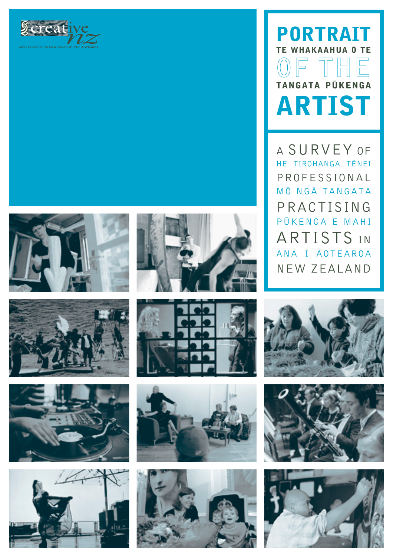

















PORTRAIT TE WHAKAAHUA Ô TE **OF THE** TANGATA PÜKENGA ARTIST

A SURVEY OF HE TIROHANGA TËNEI PROFESSIONAL MÖ NGÄ TANGATA PRACTISING PÜKENGA E MAHI ARTISTS IN ANA I AOTEAROA NEW ZEALAND





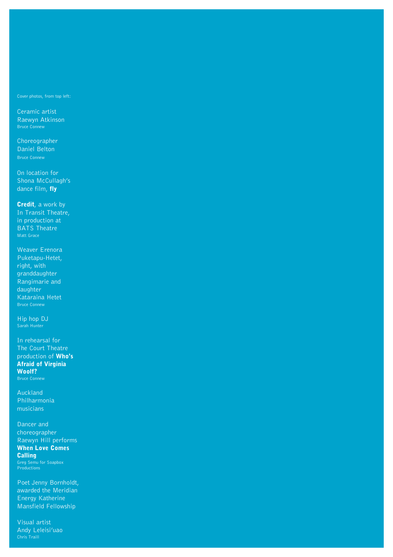Ceramic artist Raewyn Atkinson

Choreographer Daniel Belton Bruce Connew

On location for Shona McCullagh's dance film, fly

Credit, a work by In Transit Theatre, in production at BATS Theatre

Weaver Erenora Puketapu-Hetet, right, with granddaughter Rangimarie and daughter Kataraina Hetet

Hip hop DJ Sarah Hunter

In rehearsal for The Court Theatre production of Who's Afraid of Virginia Woolf?

Auckland Philharmonia musicians

Dancer and choreographer Raewyn Hill performs When Love Comes **Calling** Greg Semu for Soapbox Productions

Poet Jenny Bornholdt, awarded the Meridian Energy Katherine Mansfield Fellowship

Visual artist Andy Leleisi'uao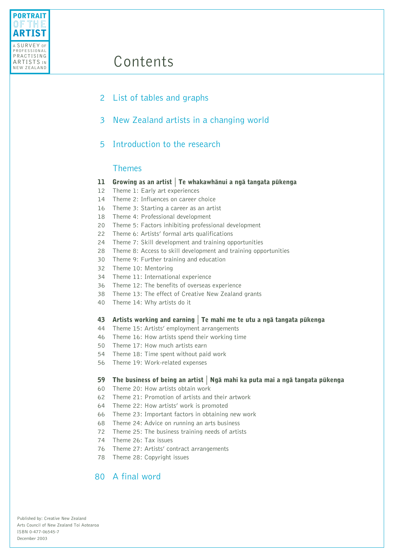

NEW ZEALAND

### Contents

- 2 List of tables and graphs
- 3 New Zealand artists in a changing world
- 5 Introduction to the research

#### Themes

- 11 Growing as an artist <sup>|</sup> Te whakawhänui a ngä tangata pükenga
- 12 Theme 1: Early art experiences
- 14 Theme 2: Influences on career choice
- 16 Theme 3: Starting a career as an artist
- 18 Theme 4: Professional development
- 20 Theme 5: Factors inhibiting professional development
- 22 Theme 6: Artists' formal arts qualifications
- 24 Theme 7: Skill development and training opportunities
- 28 Theme 8: Access to skill development and training opportunities
- 30 Theme 9: Further training and education
- 32 Theme 10: Mentoring
- 34 Theme 11: International experience
- 36 Theme 12: The benefits of overseas experience
- 38 Theme 13: The effect of Creative New Zealand grants
- 40 Theme 14: Why artists do it

#### 43 Artists working and earning <sup>|</sup> Te mahi me te utu a ngä tangata pükenga

- 44 Theme 15: Artists' employment arrangements
- 46 Theme 16: How artists spend their working time
- 50 Theme 17: How much artists earn
- 54 Theme 18: Time spent without paid work
- 56 Theme 19: Work-related expenses

#### 59 The business of being an artist <sup>|</sup> Ngä mahi ka puta mai a ngä tangata pükenga

- 60 Theme 20: How artists obtain work
- 62 Theme 21: Promotion of artists and their artwork
- 64 Theme 22: How artists' work is promoted
- 66 Theme 23: Important factors in obtaining new work
- 68 Theme 24: Advice on running an arts business
- 72 Theme 25: The business training needs of artists
- 74 Theme 26: Tax issues
- 76 Theme 27: Artists' contract arrangements
- 78 Theme 28: Copyright issues

#### 80 A final word

Published by: Creative New Zealand Arts Council of New Zealand Toi Aotearoa ISBN 0-477-06545-7 December 2003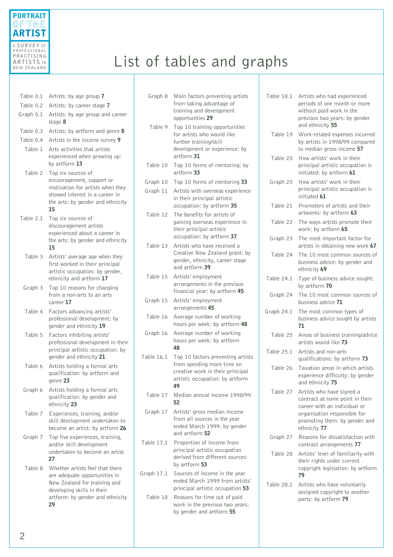

## List of tables and graphs

| Table 0.1 | Artists: by age group 7                                                                                                                                                  |
|-----------|--------------------------------------------------------------------------------------------------------------------------------------------------------------------------|
| Table 0.2 | Artists: by career stage 7                                                                                                                                               |
| Graph 0.1 | Artists: by age group and career<br>stage $8$                                                                                                                            |
| Table 0.3 | Artists: by artform and genre 8                                                                                                                                          |
| Table 0.4 | Artists in the income survey 9                                                                                                                                           |
| Table 1   | Arts activities that artists<br>experienced when growing up:<br>by artform 13                                                                                            |
| Table 2   | Top six sources of<br>encouragement, support or<br>motivation for artists when they<br>showed interest in a career in<br>the arts: by gender and ethnicity<br>15         |
| Table 2.1 | Top six sources of<br>discouragement artists<br>experienced about a career in<br>the arts: by gender and ethnicity<br>15                                                 |
| Table 3   | Artists' average age when they<br>first worked in their principal<br>artistic occupation: by gender,<br>ethnicity and artform 17                                         |
| Graph 3   | Top 10 reasons for changing<br>from a non-arts to an arts<br>career 17                                                                                                   |
| Table 4   | Factors advancing artists'<br>professional development: by<br>gender and ethnicity 19                                                                                    |
| Table 5   | Factors inhibiting artists'<br>professional development in their<br>principal artistic occupation: by<br>gender and ethnicity 21                                         |
| Table 6   | Artists holding a formal arts<br>qualification: by artform and<br>genre 23                                                                                               |
| Graph 6   | Artists holding a formal arts<br>qualification: by gender and<br>ethnicity 23                                                                                            |
| Table 7   | Experiences, training, and/or<br>skill development undertaken to<br>become an artist: by artform 26                                                                      |
| Graph 7   | Top five experiences, training,<br>and/or skill development<br>undertaken to become an artist<br>27                                                                      |
| Table 8   | Whether artists feel that there<br>are adequate opportunities in<br>New Zealand for training and<br>developing skills in their<br>artform: by gender and ethnicity<br>29 |
|           |                                                                                                                                                                          |

| Graph 8    | Main factors preventing artists<br>from taking advantage of<br>training and development<br>opportunities 29                                  |
|------------|----------------------------------------------------------------------------------------------------------------------------------------------|
| Table 9    | Top 10 training opportunities<br>for artists who would like<br>further training/skill<br>development or experience: by<br>artform 31         |
| Table 10   | Top 10 forms of mentoring: by<br>artform 33                                                                                                  |
| Graph 10   | Top 10 forms of mentoring 33                                                                                                                 |
| Graph 11   | Artists with overseas experience<br>in their principal artistic<br>occupation: by artform 35                                                 |
| Table 12   | The benefits for artists of<br>gaining overseas experience in<br>their principal artistic<br>occupation: by artform 37                       |
| Table 13   | Artists who have received a<br>Creative New Zealand grant: by<br>gender, ethnicity, career stage<br>and artform 39                           |
| Table 15   | Artists' employment<br>arrangements in the previous<br>financial year: by artform 45                                                         |
| Graph 15   | Artists' employment<br>arrangements 45                                                                                                       |
| Table 16   | Average number of working<br>hours per week: by artform 48                                                                                   |
| Graph 16   | Average number of working<br>hours per week: by artform<br>48                                                                                |
| Table 16.1 | Top 10 factors preventing artists<br>from spending more time on<br>creative work in their principal<br>artistic occupation: by artform<br>49 |
| Table 17   | Median annual income 1998/99<br>52                                                                                                           |
| Graph 17   | Artists' gross median income<br>from all sources in the year<br>ended March 1999: by gender<br>and artform 52                                |
| Table 17.1 | Proportion of income from<br>principal artistic occupation<br>derived from different sources:<br>by artform <b>53</b>                        |
| Graph 17.1 | Sources of income in the year<br>ended March 1999 from artists'<br>principal artistic occupation 53                                          |
| Table 18   | Reasons for time out of paid<br>work in the previous two years:<br>by gender and artform 55                                                  |

| Table 18.1 | Artists who had experienced<br>periods of one month or more<br>without paid work in the<br>previous two years: by gender<br>and ethnicity 55                                  |
|------------|-------------------------------------------------------------------------------------------------------------------------------------------------------------------------------|
| Table 19   | Work-related expenses incurred<br>by artists in 1998/99 compared<br>to median gross income 57                                                                                 |
| Table 20   | How artists' work in their<br>principal artistic occupation is<br>initiated: by artform 61                                                                                    |
| Graph 20   | How artists' work in their<br>principal artistic occupation is<br>initiated $61$                                                                                              |
| Table 21   | Promoters of artists and their<br>artworks: by artform 63                                                                                                                     |
| Table 22   | The ways artists promote their<br>work: by artform 65                                                                                                                         |
| Graph 23   | The most important factor for<br>artists in obtaining new work 67                                                                                                             |
| Table 24   | The 10 most common sources of<br>business advice: by gender and<br>ethnicity 69                                                                                               |
| Table 24.1 | Type of business advice sought:<br>by artform 70                                                                                                                              |
| Graph 24   | The 10 most common sources of<br>business advice 71                                                                                                                           |
| Graph 24.1 | The most common types of<br>business advice sought by artists<br>71                                                                                                           |
| Table 25   | Areas of business training/advice<br>artists would like 73                                                                                                                    |
| Table 25.1 | Artists and non-arts<br>qualifications: by artform <b>73</b>                                                                                                                  |
| Table 26   | Taxation areas in which artists<br>experience difficulty: by gender<br>and ethnicity 75                                                                                       |
| Table 27   | Artists who have signed a<br>contract at some point in their<br>career with an individual or<br>organisation responsible for<br>promoting them: by gender and<br>ethnicity 77 |
| Graph 27   | Reasons for dissatisfaction with<br>contract arrangements 77                                                                                                                  |
| Table 28   | Artists' level of familiarity with<br>their rights under current<br>copyright legislation: by artform<br>79                                                                   |
| Table 28.1 | Artists who have voluntarily<br>assigned copyright to another<br>party: by artform 79                                                                                         |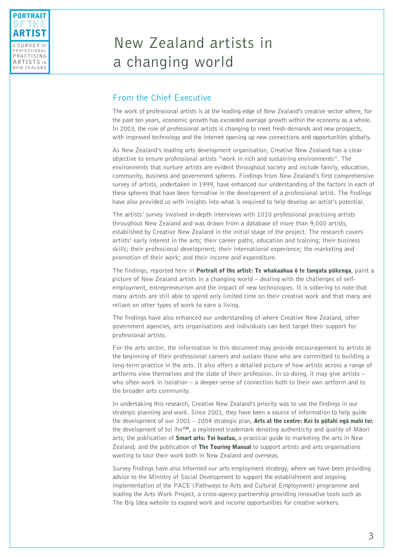

## New Zealand artists in a changing world

### From the Chief Executive

The work of professional artists is at the leading edge of New Zealand's creative sector where, for the past ten years, economic growth has exceeded average growth within the economy as a whole. In 2003, the role of professional artists is changing to meet fresh demands and new prospects, with improved technology and the internet opening up new connections and opportunities globally.

As New Zealand's leading arts development organisation, Creative New Zealand has a clear objective to ensure professional artists "work in rich and sustaining environments". The environments that nurture artists are evident throughout society and include family, education, community, business and government spheres. Findings from New Zealand's first comprehensive survey of artists, undertaken in 1999, have enhanced our understanding of the factors in each of these spheres that have been formative in the development of a professional artist. The findings have also provided us with insights into what is required to help develop an artist's potential.

The artists' survey involved in-depth interviews with 1010 professional practising artists throughout New Zealand and was drawn from a database of more than 9,000 artists, established by Creative New Zealand in the initial stage of the project. The research covers artists' early interest in the arts; their career paths, education and training; their business skills; their professional development; their international experience; the marketing and promotion of their work; and their income and expenditure.

The findings, reported here in Portrait of the artist: Te whakaahua ö te tangata pükenga, paint a picture of New Zealand artists in a changing world – dealing with the challenges of selfemployment, entrepreneurism and the impact of new technologies. It is sobering to note that many artists are still able to spend only limited time on their creative work and that many are reliant on other types of work to earn a living.

The findings have also enhanced our understanding of where Creative New Zealand, other government agencies, arts organisations and individuals can best target their support for professional artists.

For the arts sector, the information in this document may provide encouragement to artists at the beginning of their professional careers and sustain those who are committed to building a long-term practice in the arts. It also offers a detailed picture of how artists across a range of artforms view themselves and the state of their profession. In so doing, it may give artists – who often work in isolation – a deeper sense of connection both to their own artform and to the broader arts community.

In undertaking this research, Creative New Zealand's priority was to use the findings in our strategic planning and work. Since 2001, they have been a source of information to help guide the development of our  $2001 - 2004$  strategic plan, Arts at the centre: Kei te pütahi ngā mahi toi; the development of toi iho™, a registered trademark denoting authenticity and quality of Mäori arts; the publication of **Smart arts: Toi huatau**, a practical quide to marketing the arts in New Zealand; and the publication of The Touring Manual to support artists and arts organisations wanting to tour their work both in New Zealand and overseas.

Survey findings have also informed our arts employment strategy, where we have been providing advice to the Ministry of Social Development to support the establishment and ongoing implementation of the PACE (Pathways to Arts and Cultural Employment) programme and leading the Arts Work Project, a cross-agency partnership providing innovative tools such as The Big Idea website to expand work and income opportunities for creative workers.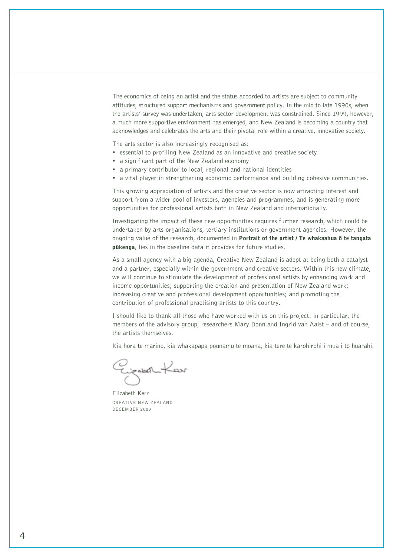The economics of being an artist and the status accorded to artists are subject to community attitudes, structured support mechanisms and government policy. In the mid to late 1990s, when the artists' survey was undertaken, arts sector development was constrained. Since 1999, however, a much more supportive environment has emerged, and New Zealand is becoming a country that acknowledges and celebrates the arts and their pivotal role within a creative, innovative society.

The arts sector is also increasingly recognised as:

- essential to profiling New Zealand as an innovative and creative society
- a significant part of the New Zealand economy
- a primary contributor to local, regional and national identities
- a vital player in strengthening economic performance and building cohesive communities.

This growing appreciation of artists and the creative sector is now attracting interest and support from a wider pool of investors, agencies and programmes, and is generating more opportunities for professional artists both in New Zealand and internationally.

Investigating the impact of these new opportunities requires further research, which could be undertaken by arts organisations, tertiary institutions or government agencies. However, the ongoing value of the research, documented in Portrait of the artist / Te whakaahua ō te tangata **pükenga**, lies in the baseline data it provides for future studies.

As a small agency with a big agenda, Creative New Zealand is adept at being both a catalyst and a partner, especially within the government and creative sectors. Within this new climate, we will continue to stimulate the development of professional artists by enhancing work and income opportunities; supporting the creation and presentation of New Zealand work; increasing creative and professional development opportunities; and promoting the contribution of professional practising artists to this country.

I should like to thank all those who have worked with us on this project: in particular, the members of the advisory group, researchers Mary Donn and Ingrid van Aalst – and of course, the artists themselves.

Kia hora te märino, kia whakapapa pounamu te moana, kia tere te kärohirohi i mua i tö huarahi.

Cipabeth Koor

Elizabeth Kerr CREATIVE NEW ZEALAND DECEMBER 2003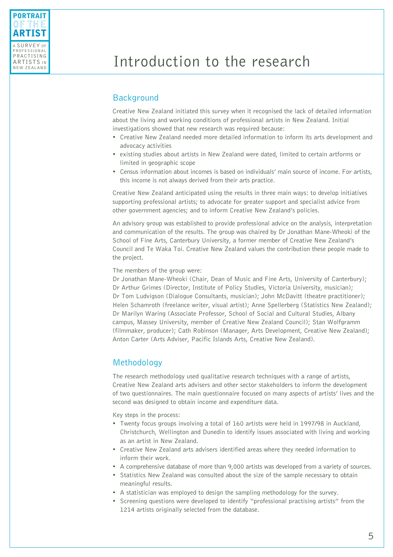

NEW ZEALAND

## Introduction to the research

### **Background**

Creative New Zealand initiated this survey when it recognised the lack of detailed information about the living and working conditions of professional artists in New Zealand. Initial investigations showed that new research was required because:

- Creative New Zealand needed more detailed information to inform its arts development and advocacy activities
- existing studies about artists in New Zealand were dated, limited to certain artforms or limited in geographic scope
- Census information about incomes is based on individuals' main source of income. For artists, this income is not always derived from their arts practice.

Creative New Zealand anticipated using the results in three main ways: to develop initiatives supporting professional artists; to advocate for greater support and specialist advice from other government agencies; and to inform Creative New Zealand's policies.

An advisory group was established to provide professional advice on the analysis, interpretation and communication of the results. The group was chaired by Dr Jonathan Mane-Wheoki of the School of Fine Arts, Canterbury University, a former member of Creative New Zealand's Council and Te Waka Toi. Creative New Zealand values the contribution these people made to the project.

The members of the group were:

Dr Jonathan Mane-Wheoki (Chair, Dean of Music and Fine Arts, University of Canterbury); Dr Arthur Grimes (Director, Institute of Policy Studies, Victoria University, musician); Dr Tom Ludvigson (Dialogue Consultants, musician); John McDavitt (theatre practitioner); Helen Schamroth (freelance writer, visual artist); Anne Spellerberg (Statistics New Zealand); Dr Marilyn Waring (Associate Professor, School of Social and Cultural Studies, Albany campus, Massey University, member of Creative New Zealand Council); Stan Wolfgramm (filmmaker, producer); Cath Robinson (Manager, Arts Development, Creative New Zealand); Anton Carter (Arts Adviser, Pacific Islands Arts, Creative New Zealand).

#### Methodology

The research methodology used qualitative research techniques with a range of artists, Creative New Zealand arts advisers and other sector stakeholders to inform the development of two questionnaires. The main questionnaire focused on many aspects of artists' lives and the second was designed to obtain income and expenditure data.

Key steps in the process:

- Twenty focus groups involving a total of 160 artists were held in 1997/98 in Auckland, Christchurch, Wellington and Dunedin to identify issues associated with living and working as an artist in New Zealand.
- Creative New Zealand arts advisers identified areas where they needed information to inform their work.
- A comprehensive database of more than 9,000 artists was developed from a variety of sources.
- Statistics New Zealand was consulted about the size of the sample necessary to obtain meaningful results.
- A statistician was employed to design the sampling methodology for the survey.
- Screening questions were developed to identify "professional practising artists" from the 1214 artists originally selected from the database.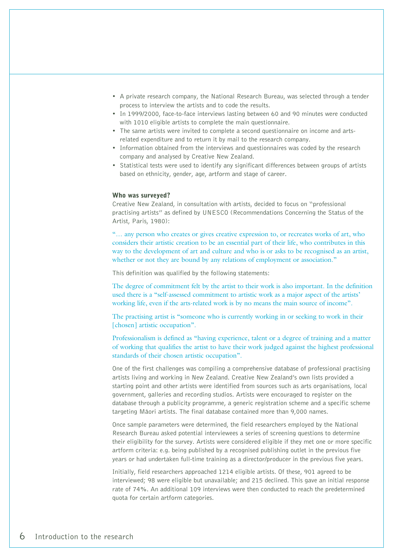- A private research company, the National Research Bureau, was selected through a tender process to interview the artists and to code the results.
- In 1999/2000, face-to-face interviews lasting between 60 and 90 minutes were conducted with 1010 eligible artists to complete the main questionnaire.
- The same artists were invited to complete a second questionnaire on income and artsrelated expenditure and to return it by mail to the research company.
- Information obtained from the interviews and questionnaires was coded by the research company and analysed by Creative New Zealand.
- Statistical tests were used to identify any significant differences between groups of artists based on ethnicity, gender, age, artform and stage of career.

#### Who was surveyed?

Creative New Zealand, in consultation with artists, decided to focus on "professional practising artists" as defined by UNESCO (Recommendations Concerning the Status of the Artist, Paris, 1980):

"… any person who creates or gives creative expression to, or recreates works of art, who considers their artistic creation to be an essential part of their life, who contributes in this way to the development of art and culture and who is or asks to be recognised as an artist, whether or not they are bound by any relations of employment or association."

This definition was qualified by the following statements:

The degree of commitment felt by the artist to their work is also important. In the definition used there is a "self-assessed commitment to artistic work as a major aspect of the artists' working life, even if the arts-related work is by no means the main source of income".

The practising artist is "someone who is currently working in or seeking to work in their [chosen] artistic occupation".

Professionalism is defined as "having experience, talent or a degree of training and a matter of working that qualifies the artist to have their work judged against the highest professional standards of their chosen artistic occupation".

One of the first challenges was compiling a comprehensive database of professional practising artists living and working in New Zealand. Creative New Zealand's own lists provided a starting point and other artists were identified from sources such as arts organisations, local government, galleries and recording studios. Artists were encouraged to register on the database through a publicity programme, a generic registration scheme and a specific scheme targeting Mäori artists. The final database contained more than 9,000 names.

Once sample parameters were determined, the field researchers employed by the National Research Bureau asked potential interviewees a series of screening questions to determine their eligibility for the survey. Artists were considered eligible if they met one or more specific artform criteria: e.g. being published by a recognised publishing outlet in the previous five years or had undertaken full-time training as a director/producer in the previous five years.

Initially, field researchers approached 1214 eligible artists. Of these, 901 agreed to be interviewed; 98 were eligible but unavailable; and 215 declined. This gave an initial response rate of 74%. An additional 109 interviews were then conducted to reach the predetermined quota for certain artform categories.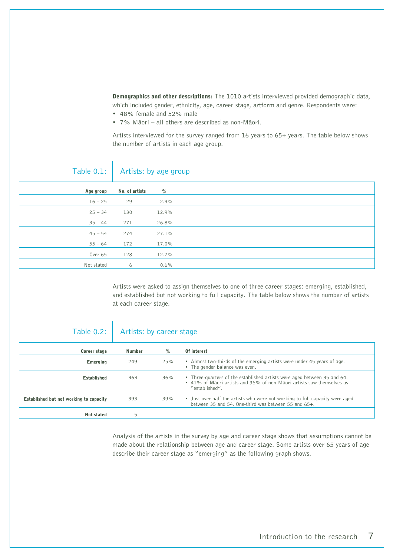Demographics and other descriptions: The 1010 artists interviewed provided demographic data, which included gender, ethnicity, age, career stage, artform and genre. Respondents were:

- 48% female and 52% male
- 7% Mäori all others are described as non-Mäori.

Artists interviewed for the survey ranged from 16 years to 65+ years. The table below shows the number of artists in each age group.

### Table 0.1: Artists: by age group

| Age group  | No. of artists | $\%$    |
|------------|----------------|---------|
| $16 - 25$  | 29             | 2.9%    |
| $25 - 34$  | 130            | 12.9%   |
| $35 - 44$  | 271            | 26.8%   |
| $45 - 54$  | 274            | 27.1%   |
| $55 - 64$  | 172            | 17.0%   |
| Over 65    | 128            | 12.7%   |
| Not stated | 6              | $0.6\%$ |

Artists were asked to assign themselves to one of three career stages: emerging, established, and established but not working to full capacity. The table below shows the number of artists at each career stage.

## Table 0.2: Artists: by career stage

| Career stage                            | Number | $\%$ | Of interest                                                                                                                                                         |
|-----------------------------------------|--------|------|---------------------------------------------------------------------------------------------------------------------------------------------------------------------|
| Emerging                                | 249    | 25%  | • Almost two-thirds of the emerging artists were under 45 years of age.<br>• The gender balance was even.                                                           |
| <b>Established</b>                      | 363    | 36%  | • Three-quarters of the established artists were aged between 35 and 64.<br>• 41% of Māori artists and 36% of non-Māori artists saw themselves as<br>"established". |
| Established but not working to capacity | 393    | 39%  | • Just over half the artists who were not working to full capacity were aged<br>between 35 and 54. One-third was between 55 and 65+.                                |
| Not stated                              |        |      |                                                                                                                                                                     |

Analysis of the artists in the survey by age and career stage shows that assumptions cannot be made about the relationship between age and career stage. Some artists over 65 years of age describe their career stage as "emerging" as the following graph shows.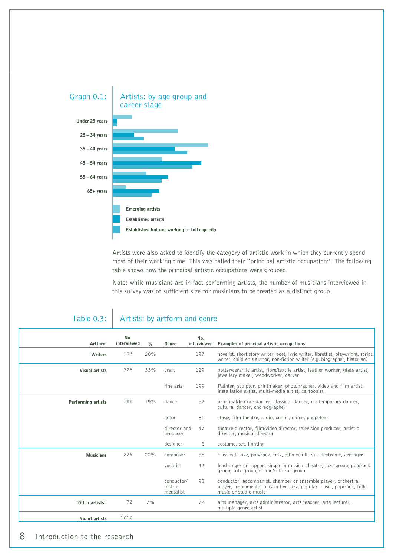

Artists were also asked to identify the category of artistic work in which they currently spend most of their working time. This was called their "principal artistic occupation". The following table shows how the principal artistic occupations were grouped.

Note: while musicians are in fact performing artists, the number of musicians interviewed in this survey was of sufficient size for musicians to be treated as a distinct group.

#### Table 0.3: | Artists: by artform and genre

| Artform                   | No.<br>interviewed | $\%$ | Genre                              | No.<br>interviewed | Examples of principal artistic occupations                                                                                                                       |
|---------------------------|--------------------|------|------------------------------------|--------------------|------------------------------------------------------------------------------------------------------------------------------------------------------------------|
| Writers                   | 197                | 20%  |                                    | 197                | novelist, short story writer, poet, lyric writer, librettist, playwright, script<br>writer, children's author, non-fiction writer (e.g. biographer, historian)   |
| <b>Visual artists</b>     | 328                | 33%  | craft                              | 129                | potter/ceramic artist, fibre/textile artist, leather worker, glass artist,<br>jewellery maker, woodworker, carver                                                |
|                           |                    |      | fine arts                          | 199                | Painter, sculptor, printmaker, photographer, video and film artist,<br>installation artist, multi-media artist, cartoonist                                       |
| <b>Performing artists</b> | 188                | 19%  | dance                              | 52                 | principal/feature dancer, classical dancer, contemporary dancer,<br>cultural dancer, choreographer                                                               |
|                           |                    |      | actor                              | 81                 | stage, film theatre, radio, comic, mime, puppeteer                                                                                                               |
|                           |                    |      | director and<br>producer           | 47                 | theatre director, film/video director, television producer, artistic<br>director, musical director                                                               |
|                           |                    |      | designer                           | 8                  | costume, set, lighting                                                                                                                                           |
| <b>Musicians</b>          | 225                | 22%  | composer                           | 85                 | classical, jazz, pop/rock, folk, ethnic/cultural, electronic, arranger                                                                                           |
|                           |                    |      | vocalist                           | 42                 | lead singer or support singer in musical theatre, jazz group, pop/rock<br>group, folk group, ethnic/cultural group                                               |
|                           |                    |      | conductor/<br>instru-<br>mentalist | 98                 | conductor, accompanist, chamber or ensemble player, orchestral<br>player, instrumental play in live jazz, popular music, pop/rock, folk<br>music or studio music |
| "Other artists"           | 72                 | 7%   |                                    | 72                 | arts manager, arts administrator, arts teacher, arts lecturer,<br>multiple-genre artist                                                                          |
| No. of artists            | 1010               |      |                                    |                    |                                                                                                                                                                  |

8 Introduction to the research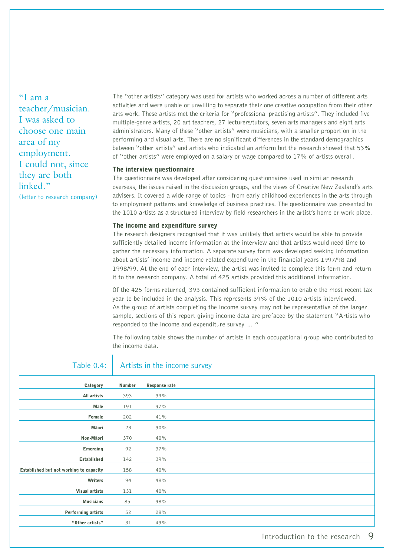"I am a teacher/musician. I was asked to choose one main area of my employment. I could not, since they are both linked." (letter to research company) The "other artists" category was used for artists who worked across a number of different arts activities and were unable or unwilling to separate their one creative occupation from their other arts work. These artists met the criteria for "professional practising artists". They included five multiple-genre artists, 20 art teachers, 27 lecturers/tutors, seven arts managers and eight arts administrators. Many of these "other artists" were musicians, with a smaller proportion in the performing and visual arts. There are no significant differences in the standard demographics between "other artists" and artists who indicated an artform but the research showed that 53% of "other artists" were employed on a salary or wage compared to 17% of artists overall.

#### The interview questionnaire

The questionnaire was developed after considering questionnaires used in similar research overseas, the issues raised in the discussion groups, and the views of Creative New Zealand's arts advisers. It covered a wide range of topics - from early childhood experiences in the arts through to employment patterns and knowledge of business practices. The questionnaire was presented to the 1010 artists as a structured interview by field researchers in the artist's home or work place.

#### The income and expenditure survey

The research designers recognised that it was unlikely that artists would be able to provide sufficiently detailed income information at the interview and that artists would need time to gather the necessary information. A separate survey form was developed seeking information about artists' income and income-related expenditure in the financial years 1997/98 and 1998/99. At the end of each interview, the artist was invited to complete this form and return it to the research company. A total of 425 artists provided this additional information.

Of the 425 forms returned, 393 contained sufficient information to enable the most recent tax year to be included in the analysis. This represents 39% of the 1010 artists interviewed. As the group of artists completing the income survey may not be representative of the larger sample, sections of this report giving income data are prefaced by the statement "Artists who responded to the income and expenditure survey … "

The following table shows the number of artists in each occupational group who contributed to the income data.

#### Table 0.4:  $\vert$  Artists in the income survey

| Category                                | <b>Number</b> | <b>Response rate</b> |
|-----------------------------------------|---------------|----------------------|
| All artists                             | 393           | 39%                  |
|                                         |               |                      |
| <b>Male</b>                             | 191           | 37%                  |
| Female                                  | 202           | 41%                  |
| Māori                                   | 23            | 30%                  |
|                                         |               |                      |
| Non-Māori                               | 370           | 40%                  |
| <b>Emerging</b>                         | 92            | 37%                  |
|                                         |               |                      |
| <b>Established</b>                      | 142           | 39%                  |
| Established but not working to capacity | 158           | 40%                  |
| Writers                                 | 94            | 48%                  |
|                                         |               |                      |
| Visual artists                          | 131           | 40%                  |
| <b>Musicians</b>                        | 85            | 38%                  |
|                                         |               |                      |
| <b>Performing artists</b>               | 52            | 28%                  |
| "Other artists"                         | 31            | 43%                  |
|                                         |               |                      |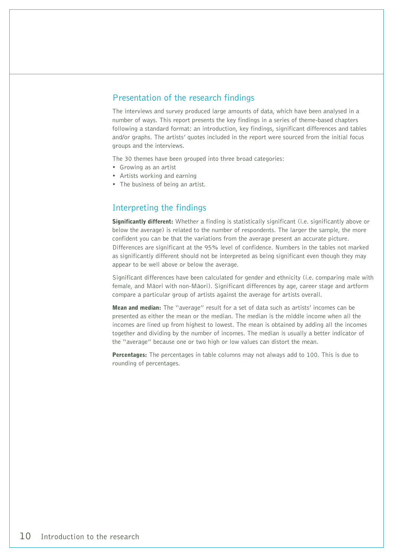#### Presentation of the research findings

The interviews and survey produced large amounts of data, which have been analysed in a number of ways. This report presents the key findings in a series of theme-based chapters following a standard format: an introduction, key findings, significant differences and tables and/or graphs. The artists' quotes included in the report were sourced from the initial focus groups and the interviews.

The 30 themes have been grouped into three broad categories:

- Growing as an artist
- Artists working and earning
- The business of being an artist.

#### Interpreting the findings

Significantly different: Whether a finding is statistically significant (i.e. significantly above or below the average) is related to the number of respondents. The larger the sample, the more confident you can be that the variations from the average present an accurate picture. Differences are significant at the 95% level of confidence. Numbers in the tables not marked as significantly different should not be interpreted as being significant even though they may appear to be well above or below the average.

Significant differences have been calculated for gender and ethnicity (i.e. comparing male with female, and Mäori with non-Mäori). Significant differences by age, career stage and artform compare a particular group of artists against the average for artists overall.

Mean and median: The "average" result for a set of data such as artists' incomes can be presented as either the mean or the median. The median is the middle income when all the incomes are lined up from highest to lowest. The mean is obtained by adding all the incomes together and dividing by the number of incomes. The median is usually a better indicator of the "average" because one or two high or low values can distort the mean.

**Percentages:** The percentages in table columns may not always add to 100. This is due to rounding of percentages.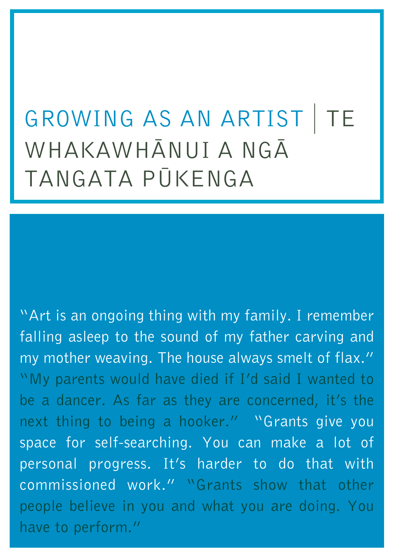# GROWING AS AN ARTIST <sup>|</sup> TE WHAKAWHĀNUI A NGĀ TANGATA PÜKENGA

"Art is an ongoing thing with my family. I remember falling asleep to the sound of my father carving and my mother weaving. The house always smelt of flax." "My parents would have died if I'd said I wanted to be a dancer. As far as they are concerned, it's the next thing to being a hooker." "Grants give you space for self-searching. You can make a lot of personal progress. It's harder to do that with commissioned work." "Grants show that other people believe in you and what you are doing. You have to perform."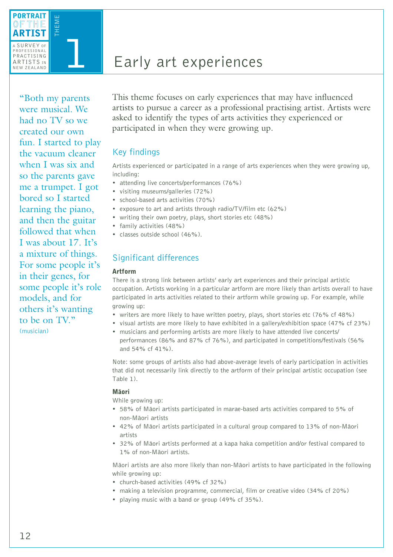

"Both my parents were musical. We had no TV so we created our own fun. I started to play the vacuum cleaner when I was six and so the parents gave me a trumpet. I got bored so I started learning the piano, and then the guitar followed that when I was about 17. It's a mixture of things. For some people it's in their genes, for some people it's role models, and for others it's wanting to be on TV." (musician)

PORTRAIT **OF THE** ARTIST

A SURVEY OF PROFESSIONAL **PRACTISING** ARTISTS IN

**PURTRAIT**<br> **ARTIST**<br>
ASURVEY OF<br>
PRACTISING<br>
PRACTISING<br>
ARTISTS IN<br>
NEW ZEALAND

This theme focuses on early experiences that may have influenced artists to pursue a career as a professional practising artist. Artists were asked to identify the types of arts activities they experienced or participated in when they were growing up.

#### Key findings

Artists experienced or participated in a range of arts experiences when they were growing up, including:

- attending live concerts/performances (76%)
- visiting museums/galleries (72%)
- school-based arts activities (70%)
- exposure to art and artists through radio/TV/film etc (62%)
- writing their own poetry, plays, short stories etc (48%)
- family activities (48%)
- classes outside school (46%).

#### Significant differences

#### Artform

There is a strong link between artists' early art experiences and their principal artistic occupation. Artists working in a particular artform are more likely than artists overall to have participated in arts activities related to their artform while growing up. For example, while growing up:

- writers are more likely to have written poetry, plays, short stories etc (76% cf 48%)
- visual artists are more likely to have exhibited in a gallery/exhibition space (47% cf 23%)
- musicians and performing artists are more likely to have attended live concerts/ performances (86% and 87% cf 76%), and participated in competitions/festivals (56% and 54% cf 41%).

Note: some groups of artists also had above-average levels of early participation in activities that did not necessarily link directly to the artform of their principal artistic occupation (see Table 1).

#### Mäori

While growing up:

- 58% of Mäori artists participated in marae-based arts activities compared to 5% of non-Mäori artists
- 42% of Mäori artists participated in a cultural group compared to 13% of non-Mäori artists
- 32% of Mäori artists performed at a kapa haka competition and/or festival compared to 1% of non-Mäori artists.

Mäori artists are also more likely than non-Mäori artists to have participated in the following while growing up:

- church-based activities (49% cf 32%)
- making a television programme, commercial, film or creative video (34% cf 20%)
- playing music with a band or group (49% cf 35%).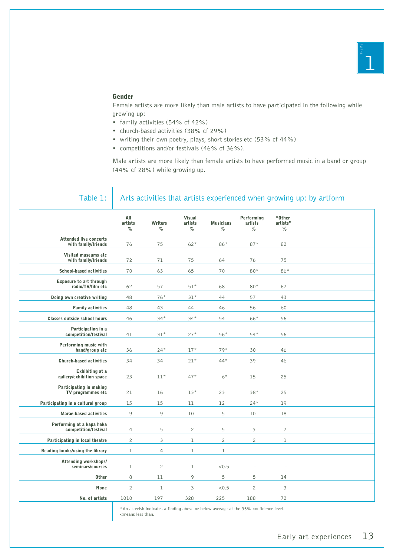#### Gender

Female artists are more likely than male artists to have participated in the following while growing up:

- family activities (54% cf 42%)
- church-based activities (38% cf 29%)
- writing their own poetry, plays, short stories etc (53% cf 44%)
- competitions and/or festivals (46% cf 36%).

Male artists are more likely than female artists to have performed music in a band or group (44% cf 28%) while growing up.

#### Table 1:  $\vert$  Arts activities that artists experienced when growing up: by artform

|                                                      | All<br>artists<br>$\%$ | <b>Writers</b><br>$\%$  | <b>Visual</b><br>artists<br>$\%$ | <b>Musicians</b><br>$\%$ | Performing<br>artists<br>$\%$ | "Other<br>artists"<br>$\%$ |  |
|------------------------------------------------------|------------------------|-------------------------|----------------------------------|--------------------------|-------------------------------|----------------------------|--|
| <b>Attended live concerts</b><br>with family/friends | 76                     | 75                      | $62*$                            | 86*                      | $87*$                         | 82                         |  |
| Visited museums etc<br>with family/friends           | 72                     | 71                      | 75                               | 64                       | 76                            | 75                         |  |
| <b>School-based activities</b>                       | 70                     | 63                      | 65                               | 70                       | $80*$                         | 86*                        |  |
| <b>Exposure to art through</b><br>radio/TV/film etc  | 62                     | 57                      | $51*$                            | 68                       | $80*$                         | 67                         |  |
| Doing own creative writing                           | 48                     | $76*$                   | $31*$                            | 44                       | 57                            | 43                         |  |
| <b>Family activities</b>                             | 48                     | 43                      | 44                               | 46                       | 56                            | 60                         |  |
| <b>Classes outside school hours</b>                  | 46                     | $34*$                   | $34*$                            | 54                       | 66*                           | 56                         |  |
| Participating in a<br>competition/festival           | 41                     | $31*$                   | $27*$                            | $56*$                    | $54*$                         | 56                         |  |
| Performing music with<br>band/group etc              | 36                     | $24*$                   | $17*$                            | $79*$                    | 30                            | 46                         |  |
| <b>Church-based activities</b>                       | 34                     | 34                      | $21*$                            | $44*$                    | 39                            | 46                         |  |
| Exhibiting at a<br>gallery/exhibition space          | 23                     | $11*$                   | $47*$                            | $6*$                     | 15                            | 25                         |  |
| Participating in making<br>TV programmes etc         | 21                     | 16                      | $13*$                            | 23                       | $38*$                         | 25                         |  |
| Participating in a cultural group                    | 15                     | 15                      | 11                               | 12                       | $24*$                         | 19                         |  |
| <b>Marae-based activities</b>                        | 9                      | 9                       | 10                               | 5                        | 10                            | 18                         |  |
| Performing at a kapa haka<br>competition/festival    | 4                      | 5                       | $\overline{c}$                   | 5                        | 3                             | 7                          |  |
| Participating in local theatre                       | $\overline{c}$         | $\overline{\mathbf{3}}$ | $\mathbf{1}$                     | $\overline{c}$           | $\overline{c}$                | $\mathbf{1}$               |  |
| Reading books/using the library                      | $\mathbf{1}$           | $\overline{4}$          | $\mathbf{1}$                     | $\mathbf{1}$             | $\overline{a}$                | ÷                          |  |
| Attending workshops/<br>seminars/courses             | ı                      | $\overline{2}$          | $\mathbf{1}$                     | < 0.5                    |                               |                            |  |
| <b>Other</b>                                         | 8                      | 11                      | 9                                | 5                        | 5                             | 14                         |  |
| <b>None</b>                                          | $\overline{c}$         | $\mathbf 1$             | $\overline{\mathbf{3}}$          | < 0.5                    | $\overline{c}$                | $\overline{\mathbf{3}}$    |  |
| No. of artists                                       | 1010                   | 197                     | 328                              | 225                      | 188                           | 72                         |  |

\*An asterisk indicates a finding above or below average at the 95% confidence level. <means less than.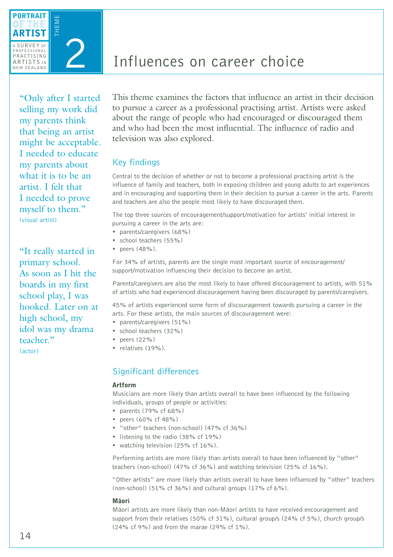#### PORTRAIT **OF THE** ARTIST A SURVEY OF PROFESSIONAL **PRACTISING** ARTISTS IN **PURTRAIT**<br> **ARTIST**<br>
ASURVEY OF<br>
PRACTISING<br>
PRACTISING<br>
ARTISTS IN<br>
NEW ZEALAND

### Influences on career choice

"Only after I started selling my work did my parents think that being an artist might be acceptable. I needed to educate my parents about what it is to be an artist. I felt that I needed to prove myself to them." (visual artist)

"It really started in primary school. As soon as I hit the boards in my first school play, I was hooked. Later on at high school, my idol was my drama teacher." (actor)

This theme examines the factors that influence an artist in their decision to pursue a career as a professional practising artist. Artists were asked about the range of people who had encouraged or discouraged them and who had been the most influential. The influence of radio and television was also explored.

#### Key findings

Central to the decision of whether or not to become a professional practising artist is the influence of family and teachers, both in exposing children and young adults to art experiences and in encouraging and supporting them in their decision to pursue a career in the arts. Parents and teachers are also the people most likely to have discouraged them.

The top three sources of encouragement/support/motivation for artists' initial interest in pursuing a career in the arts are:

- parents/caregivers (68%)
- school teachers (55%)
- peers (48%).

For 34% of artists, parents are the single most important source of encouragement/ support/motivation influencing their decision to become an artist.

Parents/caregivers are also the most likely to have offered discouragement to artists, with 51% of artists who had experienced discouragement having been discouraged by parents/caregivers.

45% of artists experienced some form of discouragement towards pursuing a career in the arts. For these artists, the main sources of discouragement were:

- parents/caregivers (51%)
- school teachers (32%)
- peers (22%)
- relatives (19%).

#### Significant differences

#### Artform

Musicians are more likely than artists overall to have been influenced by the following individuals, groups of people or activities:

- parents (79% cf 68%)
- peers (60% cf 48%)
- "other" teachers (non-school) (47% cf 36%)
- listening to the radio (38% cf 19%)
- watching television (25% cf 16%).

Performing artists are more likely than artists overall to have been influenced by "other" teachers (non-school) (47% cf 36%) and watching television (25% cf 16%).

"Other artists" are more likely than artists overall to have been influenced by "other" teachers (non-school) (51% cf 36%) and cultural groups (17% cf 6%).

#### Mäori

Mäori artists are more likely than non-Mäori artists to have received encouragement and support from their relatives (50% cf 31%), cultural group/s (24% cf 5%), church group/s (24% cf 9%) and from the marae (29% cf 1%).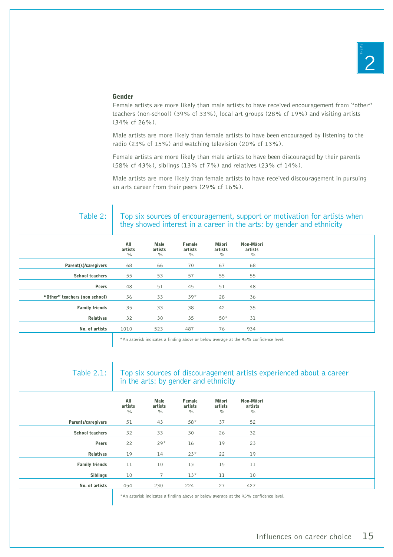#### Gender

Female artists are more likely than male artists to have received encouragement from "other" teachers (non-school) (39% cf 33%), local art groups (28% cf 19%) and visiting artists (34% cf 26%).

Male artists are more likely than female artists to have been encouraged by listening to the radio (23% cf 15%) and watching television (20% cf 13%).

Female artists are more likely than male artists to have been discouraged by their parents (58% cf 43%), siblings (13% cf 7%) and relatives (23% cf 14%).

Male artists are more likely than female artists to have received discouragement in pursuing an arts career from their peers (29% cf 16%).

#### Table 2:  $\vert$  Top six sources of encouragement, support or motivation for artists when they showed interest in a career in the arts: by gender and ethnicity

|                               | All<br>artists<br>$\%$ | <b>Male</b><br>artists<br>$\%$ | Female<br>artists<br>$\%$ | Māori<br>artists<br>$\%$ | Non-Māori<br>artists<br>$\%$ |  |
|-------------------------------|------------------------|--------------------------------|---------------------------|--------------------------|------------------------------|--|
| Parent(s)/caregivers          | 68                     | 66                             | 70                        | 67                       | 68                           |  |
| <b>School teachers</b>        | 55                     | 53                             | 57                        | 55                       | 55                           |  |
| Peers                         | 48                     | 51                             | 45                        | 51                       | 48                           |  |
| "Other" teachers (non school) | 36                     | 33                             | $39*$                     | 28                       | 36                           |  |
| <b>Family friends</b>         | 35                     | 33                             | 38                        | 42                       | 35                           |  |
| <b>Relatives</b>              | 32                     | 30                             | 35                        | $50*$                    | 31                           |  |
| No. of artists                | 1010                   | 523                            | 487                       | 76                       | 934                          |  |

\*An asterisk indicates a finding above or below average at the 95% confidence level.

#### Table 2.1: Top six sources of discouragement artists experienced about a career in the arts: by gender and ethnicity

|                        | All<br>artists<br>$\%$ | Male<br>artists<br>$\%$ | Female<br>artists<br>$\%$ | Māori<br>artists<br>$\%$ | Non-Māori<br>artists<br>$\%$ |  |
|------------------------|------------------------|-------------------------|---------------------------|--------------------------|------------------------------|--|
| Parents/caregivers     | 51                     | 43                      | 58*                       | 37                       | 52                           |  |
| <b>School teachers</b> | 32                     | 33                      | 30                        | 26                       | 32                           |  |
| Peers                  | 22                     | $29*$                   | 16                        | 19                       | 23                           |  |
| <b>Relatives</b>       | 19                     | 14                      | $23*$                     | 22                       | 19                           |  |
| <b>Family friends</b>  | 11                     | 10                      | 13                        | 15                       | 11                           |  |
| <b>Siblings</b>        | 10                     | 7                       | $13*$                     | 11                       | 10                           |  |
| No. of artists         | 454                    | 230                     | 224                       | 27                       | 427                          |  |
|                        |                        |                         |                           |                          |                              |  |

\*An asterisk indicates a finding above or below average at the 95% confidence level.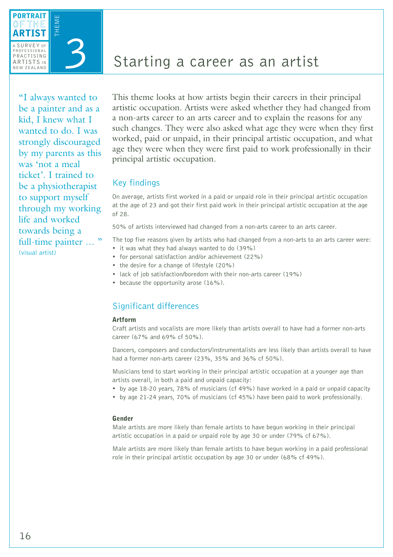#### PORTRAIT **OF THE ARTIST** A SURVEY OF PROFESSIONAL **PRACTISING** ARTISTS IN **PORTRAIT**<br> **ARTIST**<br>
ASURVEY OF<br>
PRACTISING<br>
PRACTISING<br>
ARTISTS IN<br>
NEW ZEALAND

### Starting a career as an artist

"I always wanted to be a painter and as a kid, I knew what I wanted to do. I was strongly discouraged by my parents as this was 'not a meal ticket'. I trained to be a physiotherapist to support myself through my working life and worked towards being a full-time painter … " (visual artist)

This theme looks at how artists begin their careers in their principal artistic occupation. Artists were asked whether they had changed from a non-arts career to an arts career and to explain the reasons for any such changes. They were also asked what age they were when they first worked, paid or unpaid, in their principal artistic occupation, and what age they were when they were first paid to work professionally in their principal artistic occupation.

#### Key findings

On average, artists first worked in a paid or unpaid role in their principal artistic occupation at the age of 23 and got their first paid work in their principal artistic occupation at the age of 28.

50% of artists interviewed had changed from a non-arts career to an arts career.

The top five reasons given by artists who had changed from a non-arts to an arts career were:

- it was what they had always wanted to do (39%)
- for personal satisfaction and/or achievement (22%)
- the desire for a change of lifestyle (20%)
- lack of job satisfaction/boredom with their non-arts career (19%)
- because the opportunity arose (16%).

#### Significant differences

#### Artform

Craft artists and vocalists are more likely than artists overall to have had a former non-arts career (67% and 69% cf 50%).

Dancers, composers and conductors/instrumentalists are less likely than artists overall to have had a former non-arts career (23%, 35% and 36% cf 50%).

Musicians tend to start working in their principal artistic occupation at a younger age than artists overall, in both a paid and unpaid capacity:

- by age 18-20 years, 78% of musicians (cf 49%) have worked in a paid or unpaid capacity
- by age 21-24 years, 70% of musicians (cf 45%) have been paid to work professionally.

#### Gender

Male artists are more likely than female artists to have begun working in their principal artistic occupation in a paid or unpaid role by age 30 or under (79% cf 67%).

Male artists are more likely than female artists to have begun working in a paid professional role in their principal artistic occupation by age 30 or under (68% cf 49%).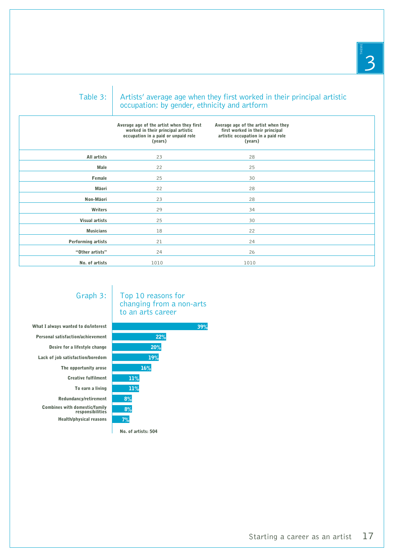#### Table 3:  $\vert$  Artists' average age when they first worked in their principal artistic occupation: by gender, ethnicity and artform

|                           | Average age of the artist when they first<br>worked in their principal artistic<br>occupation in a paid or unpaid role<br>(years) | Average age of the artist when they<br>first worked in their principal<br>artistic occupation in a paid role<br>(years) |  |
|---------------------------|-----------------------------------------------------------------------------------------------------------------------------------|-------------------------------------------------------------------------------------------------------------------------|--|
| All artists               | 23                                                                                                                                | 28                                                                                                                      |  |
| <b>Male</b>               | 22                                                                                                                                | 25                                                                                                                      |  |
| <b>Female</b>             | 25                                                                                                                                | 30                                                                                                                      |  |
| Māori                     | 22                                                                                                                                | 28                                                                                                                      |  |
| Non-Māori                 | 23                                                                                                                                | 28                                                                                                                      |  |
| Writers                   | 29                                                                                                                                | 34                                                                                                                      |  |
| <b>Visual artists</b>     | 25                                                                                                                                | 30                                                                                                                      |  |
| <b>Musicians</b>          | 18                                                                                                                                | 22                                                                                                                      |  |
| <b>Performing artists</b> | 21                                                                                                                                | 24                                                                                                                      |  |
| "Other artists"           | 24                                                                                                                                | 26                                                                                                                      |  |
| No. of artists            | 1010                                                                                                                              | 1010                                                                                                                    |  |

Graph 3: Top 10 reasons for changing from a non-arts to an arts career

Combines with domestic/family responsibilities Redundancy/retirement To earn a living Creative fulfilment The opportunity arose Lack of job satisfaction/boredom Desire for a lifestyle change Personal satisfaction/achievement What I always wanted to do/interest

Health/physical reasons

39% 22% 20% 16% 19% 11% 11% 8% 7% 8%

No. of artists: 504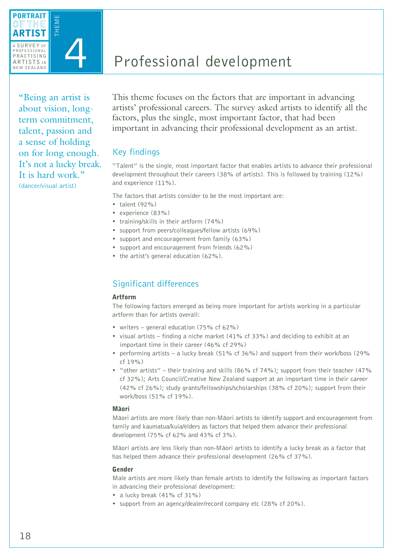

## Professional development

"Being an artist is about vision, longterm commitment, talent, passion and a sense of holding on for long enough. It's not a lucky break. It is hard work." (dancer/visual artist)

This theme focuses on the factors that are important in advancing artists' professional careers. The survey asked artists to identify all the factors, plus the single, most important factor, that had been important in advancing their professional development as an artist.

#### Key findings

"Talent" is the single, most important factor that enables artists to advance their professional development throughout their careers (38% of artists). This is followed by training (12%) and experience (11%).

The factors that artists consider to be the most important are:

- talent (92%)
- experience (83%)
- training/skills in their artform (74%)
- support from peers/colleagues/fellow artists (69%)
- support and encouragement from family (63%)
- support and encouragement from friends (62%)
- the artist's general education (62%).

#### Significant differences

#### Artform

The following factors emerged as being more important for artists working in a particular artform than for artists overall:

- writers general education (75% cf 62%)
- visual artists finding a niche market (41% cf 33%) and deciding to exhibit at an important time in their career (46% cf 29%)
- performing artists a lucky break (51% cf 36%) and support from their work/boss (29% cf 19%)
- "other artists" their training and skills (86% cf 74%); support from their teacher (47% cf 32%); Arts Council/Creative New Zealand support at an important time in their career (42% cf 26%); study grants/fellowships/scholarships (38% cf 20%); support from their work/boss (51% cf 19%).

#### Mäori

Mäori artists are more likely than non-Mäori artists to identify support and encouragement from family and kaumatua/kuia/elders as factors that helped them advance their professional development (75% cf 62% and 43% cf 3%).

Mäori artists are less likely than non-Mäori artists to identify a lucky break as a factor that has helped them advance their professional development (26% cf 37%).

#### Gender

Male artists are more likely than female artists to identify the following as important factors in advancing their professional development:

- a lucky break (41% cf 31%)
- support from an agency/dealer/record company etc (28% cf 20%).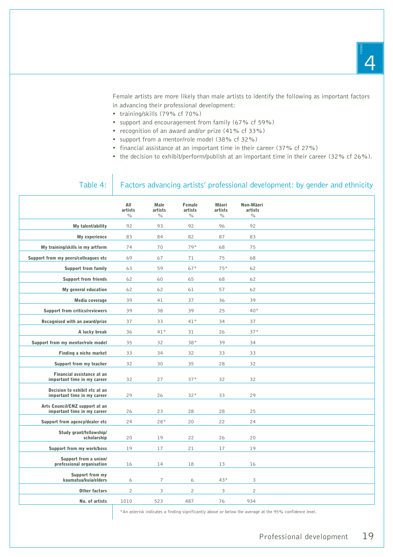Female artists are more likely than male artists to identify the following as important factors in advancing their professional development:

- training/skills (79% cf 70%)
- support and encouragement from family (67% cf 59%)
- recognition of an award and/or prize (41% cf 33%)
- support from a mentor/role model (38% cf 32%)
- financial assistance at an important time in their career (37% cf 27%)
- the decision to exhibit/perform/publish at an important time in their career (32% cf 26%).

#### Table 4: Factors advancing artists' professional development: by gender and ethnicity

|                                                               | All<br>artists<br>$\%$ | <b>Male</b><br>artists<br>$\%$ | <b>Female</b><br>artists<br>$\%$ | Māori<br>artists<br>$\%$ | Non-Māori<br>artists<br>$\%$ |  |
|---------------------------------------------------------------|------------------------|--------------------------------|----------------------------------|--------------------------|------------------------------|--|
| My talent/ability                                             | 92                     | 93                             | 92                               | 96                       | 92                           |  |
| My experience                                                 | 83                     | 84                             | 82                               | 87                       | 83                           |  |
| My training/skills in my artform                              | 74                     | 70                             | $79*$                            | 68                       | 75                           |  |
| Support from my peers/colleagues etc                          | 69                     | 67                             | 71                               | 75                       | 68                           |  |
| <b>Support from family</b>                                    | 63                     | 59                             | $67*$                            | $75*$                    | 62                           |  |
| <b>Support from friends</b>                                   | 62                     | 60                             | 65                               | 68                       | 62                           |  |
| My general education                                          | 62                     | 62                             | 61                               | 57                       | 62                           |  |
| Media coverage                                                | 39                     | 41                             | 37                               | 36                       | 39                           |  |
| <b>Support from critics/reviewers</b>                         | 39                     | 38                             | 39                               | 25                       | $40*$                        |  |
| Recognised with an award/prize                                | 37                     | 33                             | $41*$                            | 34                       | 37                           |  |
| A lucky break                                                 | 36                     | $41*$                          | 31                               | 26                       | $37*$                        |  |
| Support from my mentor/role model                             | 35                     | 32                             | $38*$                            | 39                       | 34                           |  |
| Finding a niche market                                        | 33                     | 34                             | 32                               | 33                       | 33                           |  |
| Support from my teacher                                       | 32                     | 30                             | 35                               | 28                       | 32                           |  |
| Financial assistance at an<br>important time in my career     | 32                     | 27                             | $37*$                            | 32                       | 32                           |  |
| Decision to exhibit etc at an<br>important time in my career  | 29                     | 26                             | $32*$                            | 33                       | 29                           |  |
| Arts Council/CNZ support at an<br>important time in my career | 26                     | 23                             | 28                               | 28                       | 25                           |  |
| Support from agency/dealer etc                                | 24                     | $28*$                          | 20                               | 22                       | 24                           |  |
| Study grant/fellowship/<br>scholarship                        | 20                     | 19                             | 22                               | 26                       | 20                           |  |
| Support from my work/boss                                     | 19                     | 17                             | 21                               | 17                       | 19                           |  |
| Support from a union/<br>professional organisation            | 16                     | 14                             | 18                               | 13                       | 16                           |  |
| Support from my<br>kaumatua/kuia/elders                       | 6                      | $\overline{7}$                 | 6                                | $43*$                    | 3                            |  |
| Other factors                                                 | $\overline{c}$         | 3                              | $\overline{c}$                   | $\mathfrak{Z}$           | $\overline{c}$               |  |
| No. of artists                                                | 1010                   | 523                            | 487                              | 76                       | 934                          |  |

\*An asterisk indicates a finding significantly above or below the average at the 95% confidence level.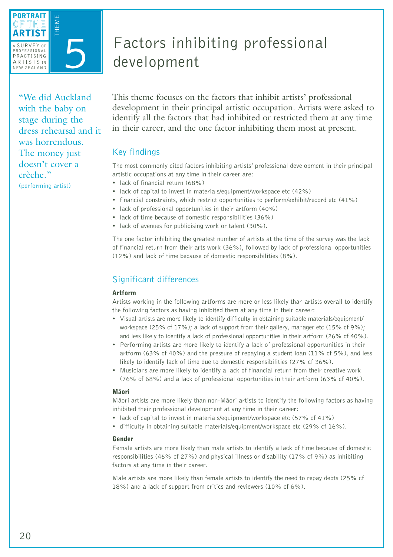

## Factors inhibiting professional development

"We did Auckland with the baby on stage during the dress rehearsal and it was horrendous. The money just doesn't cover a crèche." (performing artist)

This theme focuses on the factors that inhibit artists' professional development in their principal artistic occupation. Artists were asked to identify all the factors that had inhibited or restricted them at any time in their career, and the one factor inhibiting them most at present.

#### Key findings

The most commonly cited factors inhibiting artists' professional development in their principal artistic occupations at any time in their career are:

- lack of financial return (68%)
- lack of capital to invest in materials/equipment/workspace etc (42%)
- financial constraints, which restrict opportunities to perform/exhibit/record etc (41%)
- lack of professional opportunities in their artform (40%)
- lack of time because of domestic responsibilities (36%)
- lack of avenues for publicising work or talent (30%).

The one factor inhibiting the greatest number of artists at the time of the survey was the lack of financial return from their arts work (36%), followed by lack of professional opportunities (12%) and lack of time because of domestic responsibilities (8%).

### Significant differences

#### Artform

Artists working in the following artforms are more or less likely than artists overall to identify the following factors as having inhibited them at any time in their career:

- Visual artists are more likely to identify difficulty in obtaining suitable materials/equipment/ workspace (25% cf 17%); a lack of support from their gallery, manager etc (15% cf 9%); and less likely to identify a lack of professional opportunities in their artform (26% cf 40%).
- Performing artists are more likely to identify a lack of professional opportunities in their artform (63% cf 40%) and the pressure of repaying a student loan (11% cf 5%), and less likely to identify lack of time due to domestic responsibilities (27% cf 36%).
- Musicians are more likely to identify a lack of financial return from their creative work (76% cf 68%) and a lack of professional opportunities in their artform (63% cf 40%).

#### Mäori

Mäori artists are more likely than non-Mäori artists to identify the following factors as having inhibited their professional development at any time in their career:

- lack of capital to invest in materials/equipment/workspace etc (57% cf 41%)
- difficulty in obtaining suitable materials/equipment/workspace etc (29% cf 16%).

#### Gender

Female artists are more likely than male artists to identify a lack of time because of domestic responsibilities (46% cf 27%) and physical illness or disability (17% cf 9%) as inhibiting factors at any time in their career.

Male artists are more likely than female artists to identify the need to repay debts (25% cf 18%) and a lack of support from critics and reviewers (10% cf 6%).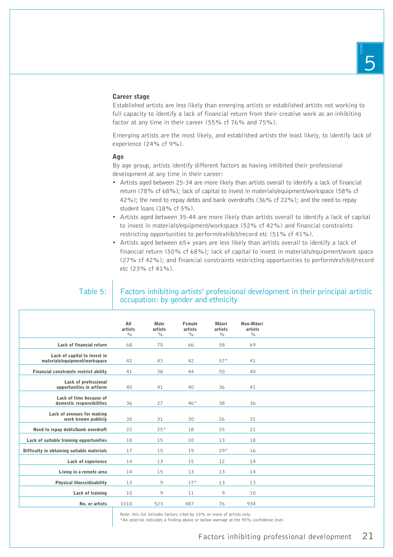#### Career stage

Established artists are less likely than emerging artists or established artists not working to full capacity to identify a lack of financial return from their creative work as an inhibiting factor at any time in their career (55% cf 76% and 75%).

Emerging artists are the most likely, and established artists the least likely, to identify lack of experience (24% cf 9%).

#### Age

By age group, artists identify different factors as having inhibited their professional development at any time in their career:

- Artists aged between 25-34 are more likely than artists overall to identify a lack of financial return (78% cf 68%); lack of capital to invest in materials/equipment/workspace (58% cf 42%); the need to repay debts and bank overdrafts (36% cf 22%); and the need to repay student loans (18% cf 5%).
- Artists aged between 35-44 are more likely than artists overall to identify a lack of capital to invest in materials/equipment/workspace (52% cf 42%) and financial constraints restricting opportunities to perform/exhibit/record etc (51% cf 41%).
- Artists aged between 65+ years are less likely than artists overall to identify a lack of financial return (50% cf 68%); lack of capital to invest in materials/equipment/work space (27% cf 42%); and financial constraints restricting opportunities to perform/exhibit/record etc (23% cf 41%).

| ור |  |
|----|--|
|----|--|

#### $\frac{1}{\pi}$  Factors inhibiting artists' professional development in their principal artistic occupation: by gender and ethnicity

|                                                               | All<br>artists | <b>Male</b><br>artists | Female<br>artists    | <b>M</b> āori<br>artists | Non-Māori<br>artists |
|---------------------------------------------------------------|----------------|------------------------|----------------------|--------------------------|----------------------|
|                                                               | $\%$           | $\frac{6}{6}$          | $\frac{1}{\sqrt{2}}$ | $\%$                     | $\%$                 |
| Lack of financial return                                      | 68             | 70                     | 66                   | 58                       | 69                   |
| Lack of capital to invest in<br>materials/equipment/workspace | 42             | 43                     | 42                   | $57*$                    | 41                   |
| <b>Financial constraints restrict ability</b>                 | 41             | 38                     | 44                   | 50                       | 40                   |
| Lack of professional<br>opportunities in artform              | 40             | 41                     | 40                   | 36                       | 41                   |
| Lack of time because of<br>domestic responsibilities          | 36             | 27                     | $46*$                | 38                       | 36                   |
| Lack of avenues for making<br>work known publicly             | 30             | 31                     | 30                   | 26                       | 31                   |
| Need to repay debts/bank overdraft                            | 22             | $25*$                  | 18                   | 25                       | 21                   |
| Lack of suitable training opportunities                       | 18             | 15                     | 20                   | 13                       | 18                   |
| Difficulty in obtaining suitable materials                    | 17             | 15                     | 19                   | $29*$                    | 16                   |
| Lack of experience                                            | 14             | 13                     | 15                   | 12                       | 14                   |
| Living in a remote area                                       | 14             | 15                     | 13                   | 13                       | 14                   |
| <b>Physical illness/disability</b>                            | 13             | 9                      | $17*$                | 13                       | 13                   |
| Lack of training                                              | 10             | 9                      | 11                   | 9                        | 10                   |
| No. or artists                                                | 1010           | 523                    | 487                  | 76                       | 934                  |

Note: this list includes factors cited by 10% or more of artists only.

\*An asterisk indicates a finding above or below average at the 95% confidence level.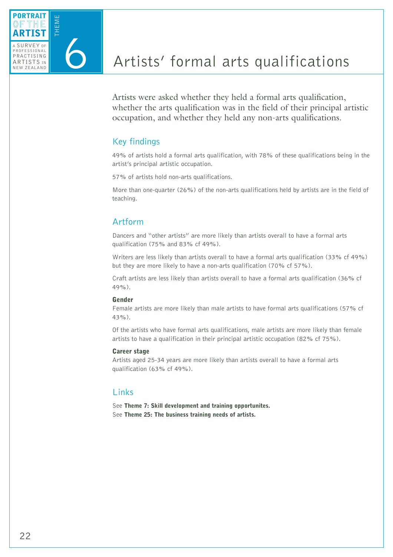### Artists' formal arts qualifications

Artists were asked whether they held a formal arts qualification, whether the arts qualification was in the field of their principal artistic occupation, and whether they held any non-arts qualifications.

#### Key findings

49% of artists hold a formal arts qualification, with 78% of these qualifications being in the artist's principal artistic occupation.

57% of artists hold non-arts qualifications.

More than one-quarter (26%) of the non-arts qualifications held by artists are in the field of teaching.

#### Artform

Dancers and "other artists" are more likely than artists overall to have a formal arts qualification (75% and 83% cf 49%).

Writers are less likely than artists overall to have a formal arts qualification (33% cf 49%) but they are more likely to have a non-arts qualification (70% cf 57%).

Craft artists are less likely than artists overall to have a formal arts qualification (36% cf 49%).

#### Gender

Female artists are more likely than male artists to have formal arts qualifications (57% cf 43%).

Of the artists who have formal arts qualifications, male artists are more likely than female artists to have a qualification in their principal artistic occupation (82% cf 75%).

#### Career stage

Artists aged 25-34 years are more likely than artists overall to have a formal arts qualification (63% cf 49%).

#### Links

See Theme 7: Skill development and training opportunites. See Theme 25: The business training needs of artists.

PORTRAIT **OF THE** ARTIST A SURVEY OF PROFESSIONAL **PRACTISING** ARTISTS IN

NEW ZEALAND 6THEME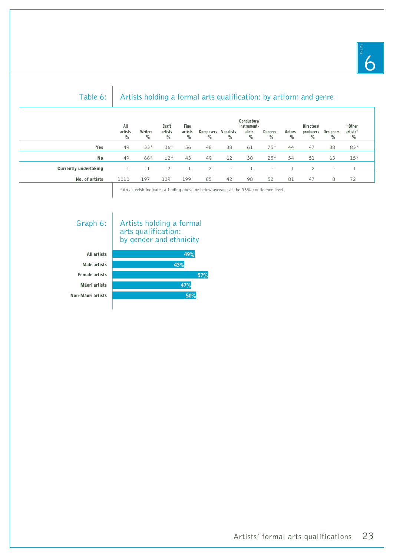### Table 6:  $\vert$  Artists holding a formal arts qualification: by artform and genre

|                              | All<br>artists<br>$\%$ | Writers<br>$\%$ | Craft<br>artists<br>$\%$ | Fine<br>artists<br>$\%$ | <b>Composers</b><br>% | <b>Vocalists</b><br>%    | Conductors/<br>instrument-<br>alists<br>$\%$ | <b>Dancers</b><br>%      | Actors<br>$\%$ | Directors/<br>producers<br>$\%$ | <b>Designers</b><br>%    | "Other<br>artists"<br>% |
|------------------------------|------------------------|-----------------|--------------------------|-------------------------|-----------------------|--------------------------|----------------------------------------------|--------------------------|----------------|---------------------------------|--------------------------|-------------------------|
| Yes                          | 49                     | $33*$           | $36*$                    | 56                      | 48                    | 38                       | 61                                           | $75*$                    | 44             | 47                              | 38                       | $83*$                   |
| No                           | 49                     | $66*$           | $62*$                    | 43                      | 49                    | 62                       | 38                                           | $25*$                    | 54             | 51                              | 63                       | $15*$                   |
| <b>Currently undertaking</b> |                        |                 |                          |                         | $\overline{2}$        | $\overline{\phantom{a}}$ |                                              | $\overline{\phantom{a}}$ |                | $\mathcal{D}$                   | $\overline{\phantom{a}}$ |                         |
| No. of artists               | 1010                   | 197             | 129                      | 199                     | 85                    | 42                       | 98                                           | 52                       | 81             | 47                              | 8                        | 72                      |

\*An asterisk indicates a finding above or below average at the 95% confidence level.

57%

49%

50% 47%

43%

#### Graph 6: | Artists holding a formal arts qualification: by gender and ethnicity

Non-Mäori artists Mäori artists Female artists Male artists All artists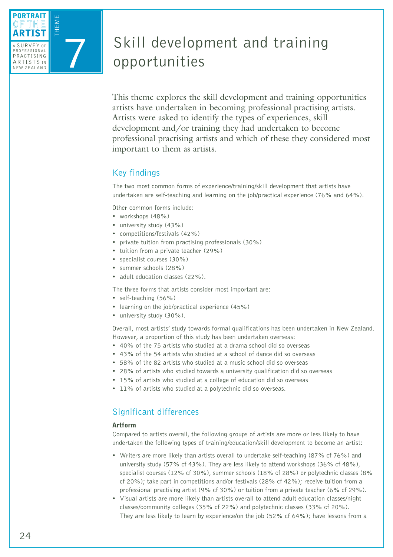## Skill development and training opportunities

This theme explores the skill development and training opportunities artists have undertaken in becoming professional practising artists. Artists were asked to identify the types of experiences, skill development and/or training they had undertaken to become professional practising artists and which of these they considered most important to them as artists.

#### Key findings

The two most common forms of experience/training/skill development that artists have undertaken are self-teaching and learning on the job/practical experience (76% and 64%).

- Other common forms include:
- workshops (48%)
- university study (43%)
- competitions/festivals (42%)
- private tuition from practising professionals (30%)
- tuition from a private teacher (29%)
- specialist courses (30%)
- summer schools (28%)
- adult education classes (22%).

The three forms that artists consider most important are:

- self-teaching (56%)
- learning on the job/practical experience (45%)
- university study (30%).

Overall, most artists' study towards formal qualifications has been undertaken in New Zealand. However, a proportion of this study has been undertaken overseas:

- 40% of the 75 artists who studied at a drama school did so overseas
- 43% of the 54 artists who studied at a school of dance did so overseas
- 58% of the 82 artists who studied at a music school did so overseas
- 28% of artists who studied towards a university qualification did so overseas
- 15% of artists who studied at a college of education did so overseas
- 11% of artists who studied at a polytechnic did so overseas.

#### Significant differences

#### Artform

Compared to artists overall, the following groups of artists are more or less likely to have undertaken the following types of training/education/skill development to become an artist:

- Writers are more likely than artists overall to undertake self-teaching (87% cf 76%) and university study (57% cf 43%). They are less likely to attend workshops (36% cf 48%), specialist courses (12% cf 30%), summer schools (18% cf 28%) or polytechnic classes (8% cf 20%); take part in competitions and/or festivals (28% cf 42%); receive tuition from a professional practising artist (9% cf 30%) or tuition from a private teacher (6% cf 29%).
- Visual artists are more likely than artists overall to attend adult education classes/night classes/community colleges (35% cf 22%) and polytechnic classes (33% cf 20%). They are less likely to learn by experience/on the job (52% cf 64%); have lessons from a

PORTRAIT **OF THE** ARTIST A SURVEY OF PROFESSIONAL **PRACTISING** ARTISTS IN

**PURTRAIT**<br> **ARTIST<br>
ASURVEY OF<br>
PRACTISING<br>
PRACTISING<br>
ARTISTS IN<br>
NEW ZEALAND**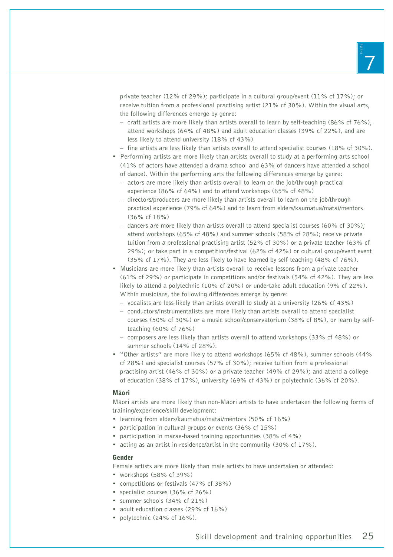private teacher (12% cf 29%); participate in a cultural group/event (11% cf 17%); or receive tuition from a professional practising artist (21% cf 30%). Within the visual arts, the following differences emerge by genre:

- craft artists are more likely than artists overall to learn by self-teaching (86% cf 76%), attend workshops (64% cf 48%) and adult education classes (39% cf 22%), and are less likely to attend university (18% cf 43%)
- fine artists are less likely than artists overall to attend specialist courses (18% cf 30%).
- Performing artists are more likely than artists overall to study at a performing arts school (41% of actors have attended a drama school and 63% of dancers have attended a school of dance). Within the performing arts the following differences emerge by genre:
	- actors are more likely than artists overall to learn on the job/through practical experience (86% cf 64%) and to attend workshops (65% cf 48%)
	- directors/producers are more likely than artists overall to learn on the job/through practical experience (79% cf 64%) and to learn from elders/kaumatua/matai/mentors (36% cf 18%)
	- dancers are more likely than artists overall to attend specialist courses (60% cf 30%); attend workshops (65% cf 48%) and summer schools (58% cf 28%); receive private tuition from a professional practising artist (52% cf 30%) or a private teacher (63% cf 29%); or take part in a competition/festival (62% cf 42%) or cultural group/event event (35% cf 17%). They are less likely to have learned by self-teaching (48% cf 76%).
- Musicians are more likely than artists overall to receive lessons from a private teacher (61% cf 29%) or participate in competitions and/or festivals (54% cf 42%). They are less likely to attend a polytechnic (10% cf 20%) or undertake adult education (9% cf 22%). Within musicians, the following differences emerge by genre:
	- vocalists are less likely than artists overall to study at a university (26% cf 43%)
	- conductors/instrumentalists are more likely than artists overall to attend specialist courses (50% cf 30%) or a music school/conservatorium (38% cf 8%), or learn by selfteaching (60% cf 76%)
	- composers are less likely than artists overall to attend workshops (33% cf 48%) or summer schools (14% cf 28%).
- "Other artists" are more likely to attend workshops (65% cf 48%), summer schools (44% cf 28%) and specialist courses (57% cf 30%); receive tuition from a professional practising artist (46% cf 30%) or a private teacher (49% cf 29%); and attend a college of education (38% cf 17%), university (69% cf 43%) or polytechnic (36% cf 20%).

#### Mäori

Mäori artists are more likely than non-Mäori artists to have undertaken the following forms of training/experience/skill development:

- learning from elders/kaumatua/matai/mentors (50% cf 16%)
- participation in cultural groups or events (36% cf 15%)
- participation in marae-based training opportunities (38% cf 4%)
- acting as an artist in residence/artist in the community (30% cf 17%).

#### Gender

Female artists are more likely than male artists to have undertaken or attended:

- workshops (58% cf 39%)
- competitions or festivals (47% cf 38%)
- specialist courses (36% cf 26%)
- summer schools (34% cf 21%)
- adult education classes (29% cf 16%)
- polytechnic (24% cf 16%).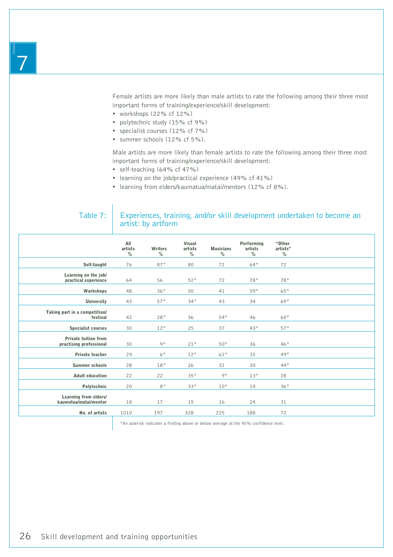

Female artists are more likely than male artists to rate the following among their three most important forms of training/experience/skill development:

- workshops (22% cf 12%)
- polytechnic study (15% cf 9%)
- specialist courses (12% cf 7%)
- summer schools (12% cf 5%).

Male artists are more likely than female artists to rate the following among their three most important forms of training/experience/skill development:

- self-teaching (64% cf 47%)
- learning on the job/practical experience (49% cf 41%)
- learning from elders/kaumatua/matai/mentors (12% cf 8%).

#### Table 7: Experiences, training, and/or skill development undertaken to become an artist: by artform

|                                                        | All<br>artists<br>$\%$ | Writers<br>$\%$ | <b>Visual</b><br>artists<br>$\%$ | <b>Musicians</b><br>$\%$ | Performing<br>artists<br>$\%$ | "Other<br>artists"<br>$\%$ |  |
|--------------------------------------------------------|------------------------|-----------------|----------------------------------|--------------------------|-------------------------------|----------------------------|--|
| Self-taught                                            | 76                     | $87*$           | 80                               | 72                       | $64*$                         | 72                         |  |
| Learning on the job/<br>practical experience           | 64                     | 56              | $52*$                            | 72                       | $78*$                         | 78*                        |  |
| Workshops                                              | 48                     | $36*$           | 50                               | 41                       | $59*$                         | $65*$                      |  |
| <b>University</b>                                      | 43                     | $57*$           | $34*$                            | 43                       | 34                            | $69*$                      |  |
| Taking part in a competition/<br>festival              | 42                     | $28*$           | 36                               | $54*$                    | 46                            | $60*$                      |  |
| <b>Specialist courses</b>                              | 30                     | $12*$           | 25                               | 37                       | $43*$                         | $57*$                      |  |
| <b>Private tuition from</b><br>practising professional | 30                     | $9*$            | $21*$                            | $50*$                    | 36                            | $46*$                      |  |
| Private teacher                                        | 29                     | $6*$            | $12*$                            | $61*$                    | 35                            | $49*$                      |  |
| <b>Summer schools</b>                                  | 28                     | $18*$           | 26                               | 31                       | 30                            | $44*$                      |  |
| <b>Adult education</b>                                 | 22                     | 22              | $35*$                            | $9*$                     | $13*$                         | 28                         |  |
| Polytechnic                                            | 20                     | $8*$            | $33*$                            | $10*$                    | 14                            | $36*$                      |  |
| Learning from elders/<br>kaumatua/matai/mentor         | 18                     | 17              | 15                               | 16                       | 24                            | 31                         |  |
| No. of artists                                         | 1010                   | 197             | 328                              | 225                      | 188                           | 72                         |  |

\*An asterisk indicates a finding above or below average at the 95% confidence level.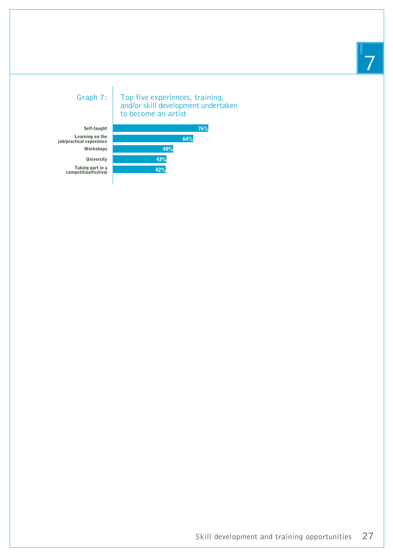7 THEME

#### Graph 7: Top five experiences, training, and/or skill development undertaken to become an artist 76% 64% 48% 42% 43% Taking part in a competition/festival University Workshops Learning on the job/practical experience Self-taught

Skill development and training opportunities 27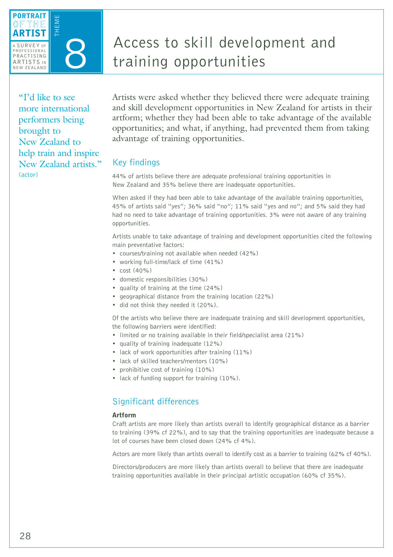

## Access to skill development and training opportunities

"I'd like to see more international performers being brought to New Zealand to help train and inspire New Zealand artists." (actor)

Artists were asked whether they believed there were adequate training and skill development opportunities in New Zealand for artists in their artform; whether they had been able to take advantage of the available opportunities; and what, if anything, had prevented them from taking advantage of training opportunities.

#### Key findings

44% of artists believe there are adequate professional training opportunities in New Zealand and 35% believe there are inadequate opportunities.

When asked if they had been able to take advantage of the available training opportunities, 45% of artists said "yes"; 36% said "no"; 11% said "yes and no"; and 5% said they had had no need to take advantage of training opportunities. 3% were not aware of any training opportunities.

Artists unable to take advantage of training and development opportunities cited the following main preventative factors:

- courses/training not available when needed (42%)
- working full-time/lack of time (41%)
- cost (40%)
- domestic responsibilities (30%)
- quality of training at the time (24%)
- geographical distance from the training location (22%)
- did not think they needed it (20%).

Of the artists who believe there are inadequate training and skill development opportunities, the following barriers were identified:

- limited or no training available in their field/specialist area (21%)
- quality of training inadequate (12%)
- lack of work opportunities after training (11%)
- lack of skilled teachers/mentors (10%)
- prohibitive cost of training (10%)
- lack of funding support for training (10%).

### Significant differences

#### Artform

Craft artists are more likely than artists overall to identify geographical distance as a barrier to training (39% cf 22%), and to say that the training opportunities are inadequate because a lot of courses have been closed down (24% cf 4%).

Actors are more likely than artists overall to identify cost as a barrier to training (62% cf 40%).

Directors/producers are more likely than artists overall to believe that there are inadequate training opportunities available in their principal artistic occupation (60% cf 35%).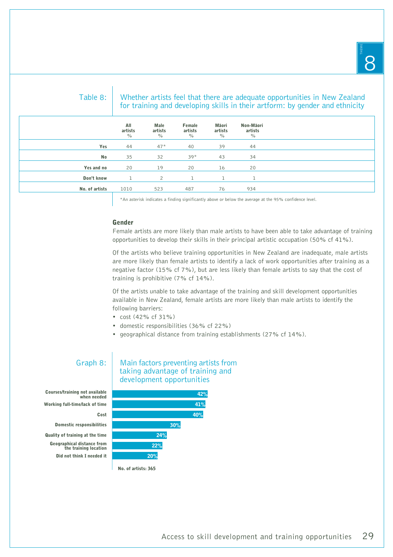#### Table 8: Whether artists feel that there are adequate opportunities in New Zealand for training and developing skills in their artform: by gender and ethnicity

|                | All<br>artists<br>$\frac{6}{6}$ | <b>Male</b><br>artists<br>$\%$ | Female<br>artists<br>$\%$ | Māori<br>artists<br>$\%$ | Non-Māori<br>artists<br>$\%$ |
|----------------|---------------------------------|--------------------------------|---------------------------|--------------------------|------------------------------|
| Yes            | 44                              | $47*$                          | 40                        | 39                       | 44                           |
| No             | 35                              | 32                             | $39*$                     | 43                       | 34                           |
| Yes and no     | 20                              | 19                             | 20                        | 16                       | 20                           |
| Don't know     |                                 | $\overline{2}$                 | 1                         |                          |                              |
| No. of artists | 1010                            | 523                            | 487                       | 76                       | 934                          |

\*An asterisk indicates a finding significantly above or below the average at the 95% confidence level.

#### Gender

Female artists are more likely than male artists to have been able to take advantage of training opportunities to develop their skills in their principal artistic occupation (50% cf 41%).

Of the artists who believe training opportunities in New Zealand are inadequate, male artists are more likely than female artists to identify a lack of work opportunities after training as a negative factor (15% cf 7%), but are less likely than female artists to say that the cost of training is prohibitive (7% cf 14%).

Of the artists unable to take advantage of the training and skill development opportunities available in New Zealand, female artists are more likely than male artists to identify the following barriers:

- cost (42% cf 31%)
- domestic responsibilities (36% cf 22%)
- geographical distance from training establishments (27% cf 14%).

#### Graph 8: Main factors preventing artists from taking advantage of training and development opportunities



Did not think I needed it Geographical distance from the training location Quality of training at the time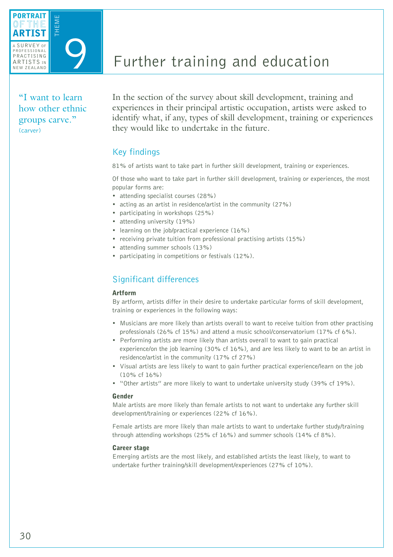

"I want to learn how other ethnic groups carve." (carver)

Further training and education

In the section of the survey about skill development, training and experiences in their principal artistic occupation, artists were asked to identify what, if any, types of skill development, training or experiences they would like to undertake in the future.

#### Key findings

81% of artists want to take part in further skill development, training or experiences.

Of those who want to take part in further skill development, training or experiences, the most popular forms are:

- attending specialist courses (28%)
- acting as an artist in residence/artist in the community (27%)
- participating in workshops (25%)
- attending university (19%)
- learning on the job/practical experience (16%)
- receiving private tuition from professional practising artists (15%)
- attending summer schools (13%)
- participating in competitions or festivals (12%).

#### Significant differences

#### Artform

By artform, artists differ in their desire to undertake particular forms of skill development, training or experiences in the following ways:

- Musicians are more likely than artists overall to want to receive tuition from other practising professionals (26% cf 15%) and attend a music school/conservatorium (17% cf 6%).
- Performing artists are more likely than artists overall to want to gain practical experience/on the job learning (30% cf 16%), and are less likely to want to be an artist in residence/artist in the community (17% cf 27%)
- Visual artists are less likely to want to gain further practical experience/learn on the job (10% cf 16%)
- "Other artists" are more likely to want to undertake university study (39% cf 19%).

#### Gender

Male artists are more likely than female artists to not want to undertake any further skill development/training or experiences (22% cf 16%).

Female artists are more likely than male artists to want to undertake further study/training through attending workshops (25% cf 16%) and summer schools (14% cf 8%).

#### Career stage

Emerging artists are the most likely, and established artists the least likely, to want to undertake further training/skill development/experiences (27% cf 10%).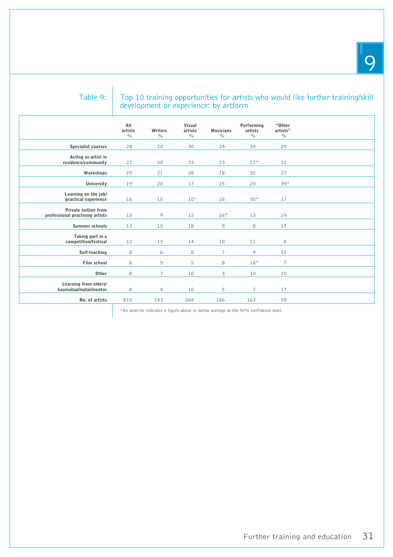#### Table 9: Top 10 training opportunities for artists who would like further training/skill development or experience: by artform

|                                                                | All<br>artists<br>$\frac{1}{\sqrt{2}}$ | Writers<br>$\frac{1}{\sqrt{2}}$ | <b>Visual</b><br>artists<br>$\%$ | <b>Musicians</b><br>$\frac{1}{\sqrt{2}}$ | Performing<br>artists<br>$\%$ | "Other<br>artists"<br>$\frac{6}{6}$ |
|----------------------------------------------------------------|----------------------------------------|---------------------------------|----------------------------------|------------------------------------------|-------------------------------|-------------------------------------|
| <b>Specialist courses</b>                                      | 28                                     | 20                              | 30                               | 24                                       | 39                            | 29                                  |
| Acting as artist in<br>residence/community                     | 27                                     | 30                              | 33                               | 23                                       | $17*$                         | 31                                  |
| Workshops                                                      | 25                                     | 21                              | 28                               | 18                                       | 32                            | 27                                  |
| <b>University</b>                                              | 19                                     | 20                              | 17                               | 15                                       | 20                            | $39*$                               |
| Learning on the job/<br>practical experience                   | 16                                     | 10                              | $10*$                            | 18                                       | $30*$                         | 17                                  |
| <b>Private tuition from</b><br>professional practising artists | 15                                     | 9                               | 12                               | $26*$                                    | 13                            | 19                                  |
| <b>Summer schools</b>                                          | 13                                     | 15                              | 18                               | 9                                        | 8                             | 17                                  |
| Taking part in a<br>competition/festival                       | 12                                     | 13                              | 14                               | 10                                       | 11                            | 8                                   |
| Self-teaching                                                  | 8                                      | 6                               | 8                                | $\overline{7}$                           | 9                             | 15                                  |
| <b>Film school</b>                                             | 8                                      | 5                               | 5                                | 8                                        | $18*$                         | $\overline{7}$                      |
| <b>Other</b>                                                   | 8                                      | $\overline{7}$                  | 10                               | $\mathbf{3}$                             | 10                            | 10                                  |
| Learning from elders/<br>kaumatua/matai/mentor                 | 8                                      | $\overline{4}$                  | 10                               | 5                                        | $\overline{7}$                | 17                                  |
| No. of artists                                                 | 815                                    | 143                             | 264                              | 186                                      | 163                           | 59                                  |

\*An asterisk indicates a figure above or below average at the 95% confidence level.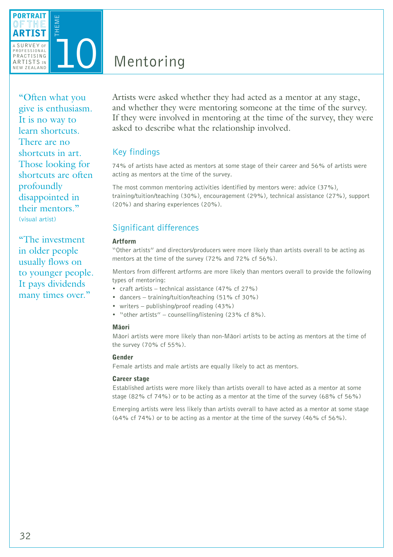

## Mentoring

"Often what you give is enthusiasm. It is no way to learn shortcuts. There are no shortcuts in art. Those looking for shortcuts are often profoundly disappointed in their mentors." (visual artist)

"The investment in older people usually flows on to younger people. It pays dividends many times over."

Artists were asked whether they had acted as a mentor at any stage, and whether they were mentoring someone at the time of the survey. If they were involved in mentoring at the time of the survey, they were asked to describe what the relationship involved.

#### Key findings

74% of artists have acted as mentors at some stage of their career and 56% of artists were acting as mentors at the time of the survey.

The most common mentoring activities identified by mentors were: advice (37%), training/tuition/teaching (30%), encouragement (29%), technical assistance (27%), support (20%) and sharing experiences (20%).

### Significant differences

#### Artform

"Other artists" and directors/producers were more likely than artists overall to be acting as mentors at the time of the survey (72% and 72% cf 56%).

Mentors from different artforms are more likely than mentors overall to provide the following types of mentoring:

- craft artists technical assistance (47% cf 27%)
- dancers training/tuition/teaching (51% cf 30%)
- writers publishing/proof reading (43%)
- "other artists" counselling/listening (23% cf 8%).

#### Mäori

Mäori artists were more likely than non-Mäori artists to be acting as mentors at the time of the survey (70% cf 55%).

#### Gender

Female artists and male artists are equally likely to act as mentors.

#### Career stage

Established artists were more likely than artists overall to have acted as a mentor at some stage (82% cf 74%) or to be acting as a mentor at the time of the survey (68% cf 56%)

Emerging artists were less likely than artists overall to have acted as a mentor at some stage (64% cf 74%) or to be acting as a mentor at the time of the survey (46% cf 56%).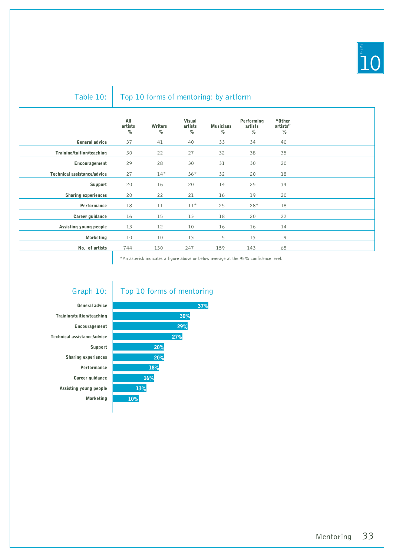### Table 10: Top 10 forms of mentoring: by artform

|                                    | All<br>artists<br>$\%$ | Writers<br>$\%$ | <b>Visual</b><br>artists<br>$\%$ | <b>Musicians</b><br>$\%$ | Performing<br>artists<br>$\%$ | "Other<br>artists"<br>$\%$ |  |
|------------------------------------|------------------------|-----------------|----------------------------------|--------------------------|-------------------------------|----------------------------|--|
| <b>General advice</b>              | 37                     | 41              | 40                               | 33                       | 34                            | 40                         |  |
| <b>Training/tuition/teaching</b>   | 30                     | 22              | 27                               | 32                       | 38                            | 35                         |  |
| Encouragement                      | 29                     | 28              | 30                               | 31                       | 30                            | 20                         |  |
| <b>Technical assistance/advice</b> | 27                     | $14*$           | $36*$                            | 32                       | 20                            | 18                         |  |
| Support                            | 20                     | 16              | 20                               | 14                       | 25                            | 34                         |  |
| <b>Sharing experiences</b>         | 20                     | 22              | 21                               | 16                       | 19                            | 20                         |  |
| Performance                        | 18                     | 11              | $11*$                            | 25                       | $28*$                         | 18                         |  |
| <b>Career guidance</b>             | 16                     | 15              | 13                               | 18                       | 20                            | 22                         |  |
| Assisting young people             | 13                     | 12              | 10                               | 16                       | 16                            | 14                         |  |
| <b>Marketing</b>                   | 10                     | 10              | 13                               | 5                        | 13                            | 9                          |  |
| No. of artists                     | 744                    | 130             | 247                              | 159                      | 143                           | 65                         |  |

\*An asterisk indicates a figure above or below average at the 95% confidence level.

37%

30% 29%

### Graph 10: | Top 10 forms of mentoring

|                         | <b>General advice</b>              |
|-------------------------|------------------------------------|
| $\overline{\mathbf{3}}$ | Training/tuition/teaching          |
| 29                      | <b>Encouragement</b>               |
| 27%                     | <b>Technical assistance/advice</b> |
| 20%                     | <b>Support</b>                     |
| 20%                     | <b>Sharing experiences</b>         |
| 18%                     | <b>Performance</b>                 |
| 16%                     | <b>Career quidance</b>             |
| 13%                     | <b>Assisting young people</b>      |
| 10%                     | <b>Marketing</b>                   |
|                         |                                    |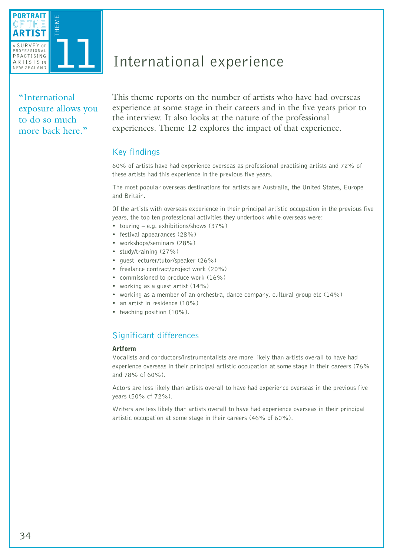

to do so much more back here."

## "International exposure allows you

This theme reports on the number of artists who have had overseas experience at some stage in their careers and in the five years prior to the interview. It also looks at the nature of the professional experiences. Theme 12 explores the impact of that experience.

International experience

#### Key findings

60% of artists have had experience overseas as professional practising artists and 72% of these artists had this experience in the previous five years.

The most popular overseas destinations for artists are Australia, the United States, Europe and Britain.

Of the artists with overseas experience in their principal artistic occupation in the previous five years, the top ten professional activities they undertook while overseas were:

- touring e.g. exhibitions/shows (37%)
- festival appearances (28%)
- workshops/seminars (28%)
- study/training (27%)
- guest lecturer/tutor/speaker (26%)
- freelance contract/project work (20%)
- commissioned to produce work (16%)
- working as a guest artist (14%)
- working as a member of an orchestra, dance company, cultural group etc (14%)
- an artist in residence (10%)
- teaching position (10%).

### Significant differences

#### Artform

Vocalists and conductors/instrumentalists are more likely than artists overall to have had experience overseas in their principal artistic occupation at some stage in their careers (76% and 78% cf 60%).

Actors are less likely than artists overall to have had experience overseas in the previous five years (50% cf 72%).

Writers are less likely than artists overall to have had experience overseas in their principal artistic occupation at some stage in their careers (46% cf 60%).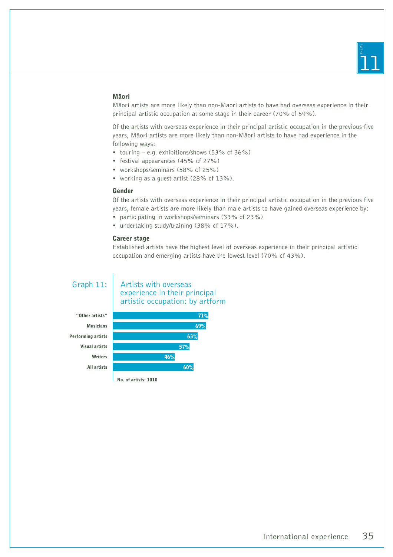

#### Mäori

Mäori artists are more likely than non-Maori artists to have had overseas experience in their principal artistic occupation at some stage in their career (70% cf 59%).

Of the artists with overseas experience in their principal artistic occupation in the previous five years, Mäori artists are more likely than non-Mäori artists to have had experience in the following ways:

- touring e.g. exhibitions/shows (53% cf 36%)
- festival appearances (45% cf 27%)
- workshops/seminars (58% cf 25%)
- working as a guest artist (28% cf 13%).

#### Gender

Of the artists with overseas experience in their principal artistic occupation in the previous five years, female artists are more likely than male artists to have gained overseas experience by:

- participating in workshops/seminars (33% cf 23%)
- undertaking study/training (38% cf 17%).

#### Career stage

Established artists have the highest level of overseas experience in their principal artistic occupation and emerging artists have the lowest level (70% cf 43%).

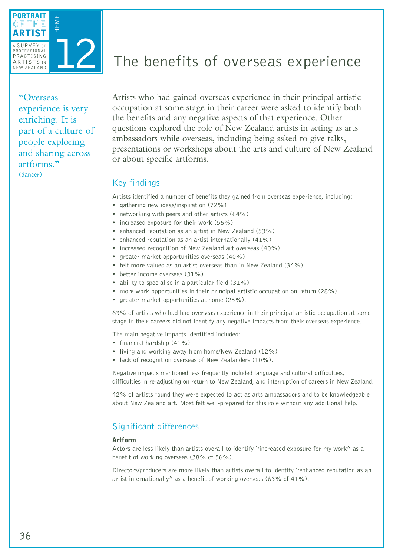

# The benefits of overseas experience

"Overseas experience is very enriching. It is part of a culture of people exploring and sharing across artforms." (dancer)

Artists who had gained overseas experience in their principal artistic occupation at some stage in their career were asked to identify both the benefits and any negative aspects of that experience. Other questions explored the role of New Zealand artists in acting as arts ambassadors while overseas, including being asked to give talks, presentations or workshops about the arts and culture of New Zealand or about specific artforms.

#### Key findings

Artists identified a number of benefits they gained from overseas experience, including:

- gathering new ideas/inspiration (72%)
- networking with peers and other artists (64%)
- increased exposure for their work (56%)
- enhanced reputation as an artist in New Zealand (53%)
- enhanced reputation as an artist internationally (41%)
- increased recognition of New Zealand art overseas (40%)
- greater market opportunities overseas (40%)
- felt more valued as an artist overseas than in New Zealand (34%)
- better income overseas (31%)
- ability to specialise in a particular field (31%)
- more work opportunities in their principal artistic occupation on return (28%)
- greater market opportunities at home (25%).

63% of artists who had had overseas experience in their principal artistic occupation at some stage in their careers did not identify any negative impacts from their overseas experience.

The main negative impacts identified included:

- financial hardship (41%)
- living and working away from home/New Zealand (12%)
- lack of recognition overseas of New Zealanders (10%).

Negative impacts mentioned less frequently included language and cultural difficulties, difficulties in re-adjusting on return to New Zealand, and interruption of careers in New Zealand.

42% of artists found they were expected to act as arts ambassadors and to be knowledgeable about New Zealand art. Most felt well-prepared for this role without any additional help.

#### Significant differences

#### Artform

Actors are less likely than artists overall to identify "increased exposure for my work" as a benefit of working overseas (38% cf 56%).

Directors/producers are more likely than artists overall to identify "enhanced reputation as an artist internationally" as a benefit of working overseas (63% cf 41%).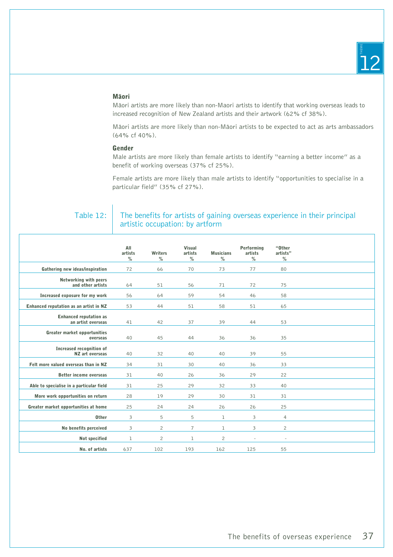#### Mäori

Mäori artists are more likely than non-Maori artists to identify that working overseas leads to increased recognition of New Zealand artists and their artwork (62% cf 38%).

Mäori artists are more likely than non-Mäori artists to be expected to act as arts ambassadors (64% cf 40%).

#### Gender

Male artists are more likely than female artists to identify "earning a better income" as a benefit of working overseas (37% cf 25%).

Female artists are more likely than male artists to identify "opportunities to specialise in a particular field" (35% cf 27%).

#### Table 12: The benefits for artists of gaining overseas experience in their principal artistic occupation: by artform

|                                                     | All<br>artists<br>$\%$ | Writers<br>$\%$ | <b>Visual</b><br>artists<br>$\%$ | <b>Musicians</b><br>$\%$ | Performing<br>artists<br>$\%$ | "Other<br>artists"<br>$\%$ |  |
|-----------------------------------------------------|------------------------|-----------------|----------------------------------|--------------------------|-------------------------------|----------------------------|--|
| Gathering new ideas/inspiration                     | 72                     | 66              | 70                               | 73                       | 77                            | 80                         |  |
| Networking with peers<br>and other artists          | 64                     | 51              | 56                               | 71                       | 72                            | 75                         |  |
| Increased exposure for my work                      | 56                     | 64              | 59                               | 54                       | 46                            | 58                         |  |
| Enhanced reputation as an artist in NZ              | 53                     | 44              | 51                               | 58                       | 51                            | 65                         |  |
| <b>Enhanced reputation as</b><br>an artist overseas | 41                     | 42              | 37                               | 39                       | 44                            | 53                         |  |
| <b>Greater market opportunities</b><br>overseas     | 40                     | 45              | 44                               | 36                       | 36                            | 35                         |  |
| Increased recognition of<br>NZ art overseas         | 40                     | 32              | 40                               | 40                       | 39                            | 55                         |  |
| Felt more valued overseas than in NZ                | 34                     | 31              | 30                               | 40                       | 36                            | 33                         |  |
| <b>Better income overseas</b>                       | 31                     | 40              | 26                               | 36                       | 29                            | 22                         |  |
| Able to specialise in a particular field            | 31                     | 25              | 29                               | 32                       | 33                            | 40                         |  |
| More work opportunities on return                   | 28                     | 19              | 29                               | 30                       | 31                            | 31                         |  |
| Greater market opportunities at home                | 25                     | 24              | 24                               | 26                       | 26                            | 25                         |  |
| <b>Other</b>                                        | $\mathbf{3}$           | 5               | 5                                | $\mathbf{1}$             | 3                             | $\overline{4}$             |  |
| No benefits perceived                               | 3                      | $\overline{c}$  | $\overline{7}$                   | $\mathbf{1}$             | 3                             | $\overline{c}$             |  |
| Not specified                                       | $\mathbf{1}$           | $\overline{c}$  | 1                                | $\overline{c}$           |                               |                            |  |
| No. of artists                                      | 637                    | 102             | 193                              | 162                      | 125                           | 55                         |  |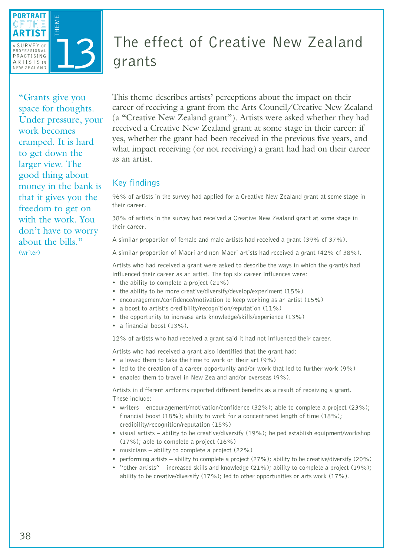

# The effect of Creative New Zealand grants

"Grants give you space for thoughts. Under pressure, your work becomes cramped. It is hard to get down the larger view. The good thing about money in the bank is that it gives you the freedom to get on with the work. You don't have to worry about the bills." (writer)

This theme describes artists' perceptions about the impact on their career of receiving a grant from the Arts Council/Creative New Zealand (a "Creative New Zealand grant"). Artists were asked whether they had received a Creative New Zealand grant at some stage in their career: if yes, whether the grant had been received in the previous five years, and what impact receiving (or not receiving) a grant had had on their career as an artist.

#### Key findings

96% of artists in the survey had applied for a Creative New Zealand grant at some stage in their career.

38% of artists in the survey had received a Creative New Zealand grant at some stage in their career.

A similar proportion of female and male artists had received a grant (39% cf 37%).

A similar proportion of Mäori and non-Mäori artists had received a grant (42% cf 38%).

Artists who had received a grant were asked to describe the ways in which the grant/s had influenced their career as an artist. The top six career influences were:

- the ability to complete a project (21%)
- the ability to be more creative/diversify/develop/experiment (15%)
- encouragement/confidence/motivation to keep working as an artist (15%)
- a boost to artist's credibility/recognition/reputation (11%)
- the opportunity to increase arts knowledge/skills/experience (13%)
- a financial boost (13%).

12% of artists who had received a grant said it had not influenced their career.

Artists who had received a grant also identified that the grant had:

- allowed them to take the time to work on their art (9%)
- led to the creation of a career opportunity and/or work that led to further work (9%)
- enabled them to travel in New Zealand and/or overseas (9%).

Artists in different artforms reported different benefits as a result of receiving a grant. These include:

- writers encouragement/motivation/confidence (32%); able to complete a project (23%); financial boost (18%); ability to work for a concentrated length of time (18%); credibility/recognition/reputation (15%)
- visual artists ability to be creative/diversify (19%); helped establish equipment/workshop (17%); able to complete a project (16%)
- musicians ability to complete a project (22%)
- performing artists ability to complete a project (27%); ability to be creative/diversify (20%)
- "other artists" increased skills and knowledge  $(21\%)$ ; ability to complete a project  $(19\%)$ ; ability to be creative/diversify (17%); led to other opportunities or arts work (17%).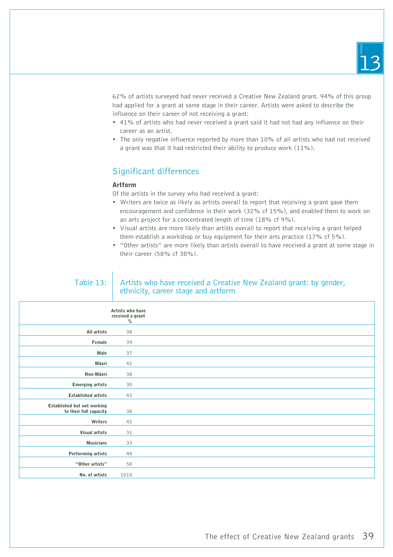62% of artists surveyed had never received a Creative New Zealand grant. 94% of this group had applied for a grant at some stage in their career. Artists were asked to describe the influence on their career of not receiving a grant:

- 41% of artists who had never received a grant said it had not had any influence on their career as an artist.
- The only negative influence reported by more than 10% of all artists who had not received a grant was that it had restricted their ability to produce work (11%).

#### Significant differences

#### Artform

Of the artists in the survey who had received a grant:

- Writers are twice as likely as artists overall to report that receiving a grant gave them encouragement and confidence in their work (32% cf 15%), and enabled them to work on an arts project for a concentrated length of time (18% cf 9%).
- Visual artists are more likely than artists overall to report that receiving a grant helped them establish a workshop or buy equipment for their arts practice (17% cf 5%).
- "Other artists" are more likely than artists overall to have received a grant at some stage in their career (58% cf 38%).

Table 13: Artists who have received a Creative New Zealand grant: by gender, ethnicity, career stage and artform

|                                                              | Artists who have<br>received a grant<br>$\%$ |  |  |
|--------------------------------------------------------------|----------------------------------------------|--|--|
| All artists                                                  | 38                                           |  |  |
| Female                                                       | 39                                           |  |  |
| <b>Male</b>                                                  | 37                                           |  |  |
| Māori                                                        | 42                                           |  |  |
| Non-Māori                                                    | 38                                           |  |  |
| <b>Emerging artists</b>                                      | 30                                           |  |  |
| <b>Established artists</b>                                   | 43                                           |  |  |
| <b>Established but not working</b><br>to their full capacity | 38                                           |  |  |
| Writers                                                      | 42                                           |  |  |
| <b>Visual artists</b>                                        | 31                                           |  |  |
| <b>Musicians</b>                                             | 33                                           |  |  |
| <b>Performing artists</b>                                    | 44                                           |  |  |
| "Other artists"                                              | 58                                           |  |  |
| No. of artists                                               | 1010                                         |  |  |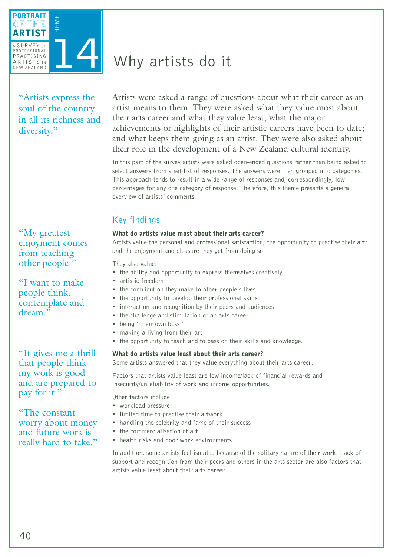

## "Artists express the soul of the country in all its richness and diversity."

Artists were asked a range of questions about what their career as an artist means to them. They were asked what they value most about their arts career and what they value least; what the major achievements or highlights of their artistic careers have been to date; and what keeps them going as an artist. They were also asked about their role in the development of a New Zealand cultural identity.

In this part of the survey artists were asked open-ended questions rather than being asked to select answers from a set list of responses. The answers were then grouped into categories. This approach tends to result in a wide range of responses and, correspondingly, low percentages for any one category of response. Therefore, this theme presents a general overview of artists' comments.

## Key findings

#### What do artists value most about their arts career?

Artists value the personal and professional satisfaction; the opportunity to practise their art; and the enjoyment and pleasure they get from doing so.

They also value:

- the ability and opportunity to express themselves creatively
- artistic freedom
- the contribution they make to other people's lives
- the opportunity to develop their professional skills
- interaction and recognition by their peers and audiences
- the challenge and stimulation of an arts career
- being "their own boss"
- making a living from their art
- the opportunity to teach and to pass on their skills and knowledge.

#### What do artists value least about their arts career?

Some artists answered that they value everything about their arts career.

Factors that artists value least are low income/lack of financial rewards and insecurity/unreliability of work and income opportunities.

Other factors include:

- workload pressure
- limited time to practise their artwork
- handling the celebrity and fame of their success
- the commercialisation of art
- health risks and poor work environments.

In addition, some artists feel isolated because of the solitary nature of their work. Lack of support and recognition from their peers and others in the arts sector are also factors that artists value least about their arts career.

"My greatest enjoyment comes from teaching other people."

"I want to make people think, contemplate and dream."

#### "It gives me a thrill that people think my work is good and are prepared to pay for it."

"The constant worry about money and future work is really hard to take."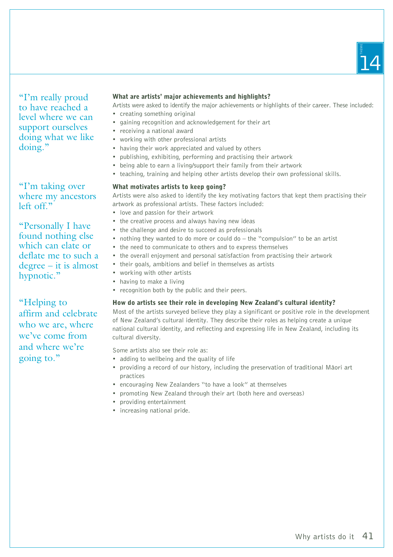

"I'm really proud to have reached a level where we can support ourselves doing what we like doing."

#### "I'm taking over where my ancestors left off."

"Personally I have found nothing else which can elate or deflate me to such a degree – it is almost hypnotic."

#### What are artists' major achievements and highlights?

Artists were asked to identify the major achievements or highlights of their career. These included:

- creating something original
- gaining recognition and acknowledgement for their art
- receiving a national award
- working with other professional artists
- having their work appreciated and valued by others
- publishing, exhibiting, performing and practising their artwork
- being able to earn a living/support their family from their artwork
- teaching, training and helping other artists develop their own professional skills.

#### What motivates artists to keep going?

Artists were also asked to identify the key motivating factors that kept them practising their artwork as professional artists. These factors included:

- love and passion for their artwork
- the creative process and always having new ideas
- the challenge and desire to succeed as professionals
- nothing they wanted to do more or could do the "compulsion" to be an artist
- the need to communicate to others and to express themselves
- the overall enjoyment and personal satisfaction from practising their artwork
- their goals, ambitions and belief in themselves as artists
- working with other artists
- having to make a living
- recognition both by the public and their peers.

#### How do artists see their role in developing New Zealand's cultural identity?

Most of the artists surveyed believe they play a significant or positive role in the development of New Zealand's cultural identity. They describe their roles as helping create a unique national cultural identity, and reflecting and expressing life in New Zealand, including its cultural diversity.

Some artists also see their role as:

- adding to wellbeing and the quality of life
- providing a record of our history, including the preservation of traditional Mäori art practices
- encouraging New Zealanders "to have a look" at themselves
- promoting New Zealand through their art (both here and overseas)
- providing entertainment
- increasing national pride.

"Helping to affirm and celebrate who we are, where we've come from and where we're going to."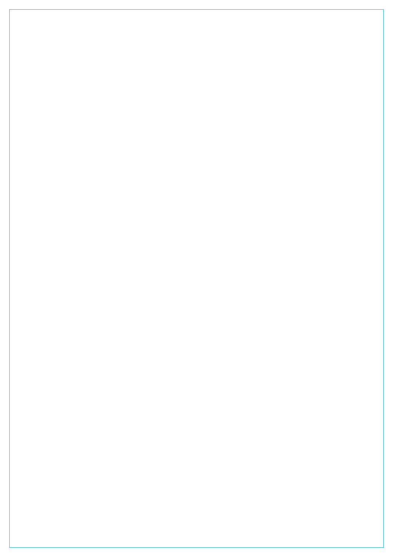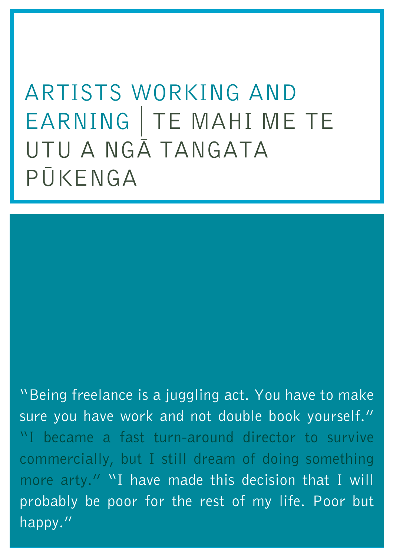# ARTISTS WORKING AND EARNING <sup>|</sup> TE MAHI ME TE UTU A NGÄ TANGATA PÜKENGA

"Being freelance is a juggling act. You have to make sure you have work and not double book yourself." "I became a fast turn-around director to survive commercially, but I still dream of doing something more arty." "I have made this decision that I will probably be poor for the rest of my life. Poor but happy."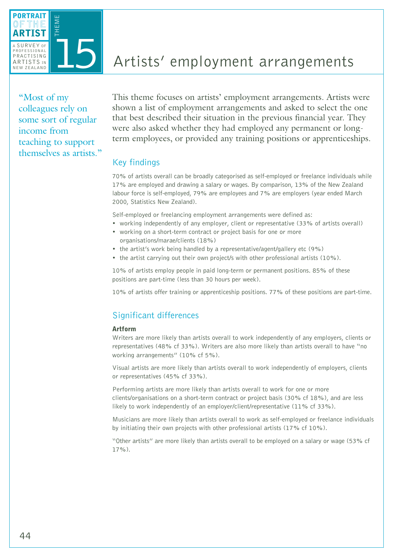

# Artists' employment arrangements

"Most of my colleagues rely on some sort of regular income from teaching to support themselves as artists." This theme focuses on artists' employment arrangements. Artists were shown a list of employment arrangements and asked to select the one that best described their situation in the previous financial year. They were also asked whether they had employed any permanent or longterm employees, or provided any training positions or apprenticeships.

#### Key findings

70% of artists overall can be broadly categorised as self-employed or freelance individuals while 17% are employed and drawing a salary or wages. By comparison, 13% of the New Zealand labour force is self-employed, 79% are employees and 7% are employers (year ended March 2000, Statistics New Zealand).

Self-employed or freelancing employment arrangements were defined as:

- working independently of any employer, client or representative (33% of artists overall)
- working on a short-term contract or project basis for one or more organisations/marae/clients (18%)
- the artist's work being handled by a representative/agent/gallery etc (9%)
- the artist carrying out their own project/s with other professional artists (10%).

10% of artists employ people in paid long-term or permanent positions. 85% of these positions are part-time (less than 30 hours per week).

10% of artists offer training or apprenticeship positions. 77% of these positions are part-time.

#### Significant differences

#### Artform

Writers are more likely than artists overall to work independently of any employers, clients or representatives (48% cf 33%). Writers are also more likely than artists overall to have "no working arrangements" (10% cf 5%).

Visual artists are more likely than artists overall to work independently of employers, clients or representatives (45% cf 33%).

Performing artists are more likely than artists overall to work for one or more clients/organisations on a short-term contract or project basis (30% cf 18%), and are less likely to work independently of an employer/client/representative (11% cf 33%).

Musicians are more likely than artists overall to work as self-employed or freelance individuals by initiating their own projects with other professional artists (17% cf 10%).

"Other artists" are more likely than artists overall to be employed on a salary or wage (53% cf 17%).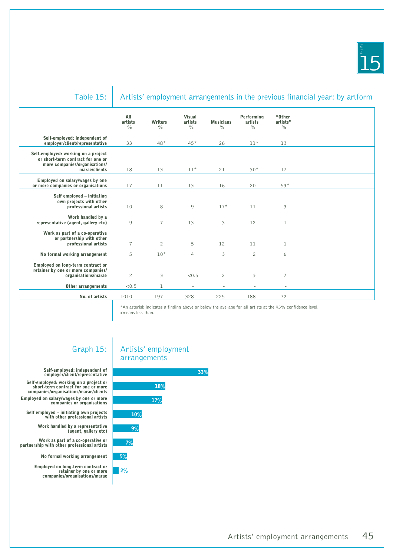## Table 15: Artists' employment arrangements in the previous financial year: by artform

|                                                                                                                            | All<br>artists<br>$\frac{1}{\sqrt{2}}$ | Writers<br>$\frac{0}{0}$ | <b>Visual</b><br>artists<br>$\%$ | <b>Musicians</b><br>$\frac{1}{\sqrt{2}}$ | Performing<br>artists<br>$\frac{0}{0}$ | "Other<br>artists"<br>$\frac{0}{0}$ |  |
|----------------------------------------------------------------------------------------------------------------------------|----------------------------------------|--------------------------|----------------------------------|------------------------------------------|----------------------------------------|-------------------------------------|--|
| Self-employed: independent of<br>employer/client/representative                                                            | 33                                     | $48*$                    | $45*$                            | 26                                       | $11*$                                  | 13                                  |  |
| Self-employed: working on a project<br>or short-term contract for one or<br>more companies/organisations/<br>marae/clients | 18                                     | 13                       | $11*$                            | 21                                       | $30*$                                  | 17                                  |  |
| Employed on salary/wages by one<br>or more companies or organisations                                                      | 17                                     | 11                       | 13                               | 16                                       | 20                                     | $53*$                               |  |
| Self employed - initiating<br>own projects with other<br>professional artists                                              | 10                                     | 8                        | 9                                | $17*$                                    | 11                                     | 3                                   |  |
| Work handled by a<br>representative (agent, gallery etc)                                                                   | 9                                      | $\overline{7}$           | 13                               | $\mathbf{3}$                             | 12                                     | $\mathbf{1}$                        |  |
| Work as part of a co-operative<br>or partnership with other<br>professional artists                                        | $\overline{7}$                         | $\overline{c}$           | 5                                | 12                                       | 11                                     | $\mathbf 1$                         |  |
| No formal working arrangement                                                                                              | 5                                      | $10*$                    | $\overline{4}$                   | $\mathbf{3}$                             | $\overline{2}$                         | 6                                   |  |
| Employed on long-term contract or<br>retainer by one or more companies/<br>organisations/marae                             | $\overline{c}$                         | 3                        | < 0.5                            | $\overline{c}$                           | 3                                      | $\overline{7}$                      |  |
| Other arrangements                                                                                                         | < 0.5                                  | $\mathbf{1}$             | $\overline{a}$                   |                                          |                                        |                                     |  |
| No. of artists                                                                                                             | 1010                                   | 197                      | 328                              | 225                                      | 188                                    | 72                                  |  |

\*An asterisk indicates a finding above or below the average for all artists at the 95% confidence level. <means less than.

#### Graph 15: | Artists' employment arrangements

| Self-employed: independent of<br>employer/client/representative                                      | 33% |
|------------------------------------------------------------------------------------------------------|-----|
| ıloyed: working on a project or<br>-term contract for one or more<br>ies/organisations/marae/clients | 18% |
| on salary/wages by one or more<br>companies or organisations                                         | 17% |
| loyed – initiating own projects<br>with other professional artists                                   | 10% |
| rk handled by a representative<br>(agent, gallery etc)                                               | 9%  |
| ork as part of a co-operative or<br>with other professional artists                                  | 7%  |
| o formal working arrangement                                                                         | 5%  |
| loyed on long-term contract or<br>retainer by one or more                                            | 2%  |

Employed on salary/wages by one or more companies or organisations 17% 18% Self-employed: working on a project or short-term contract for one or more companies/organisations/marae/clients

Self employed – initiating own projects with other professional artists

Work handled by a representative (agent, gallery etc)

Work as part of a co-operative or partnership with other professional artists

No formal working arrangement

2% Employed on long-term contract or retainer by one or more companies/organisations/marae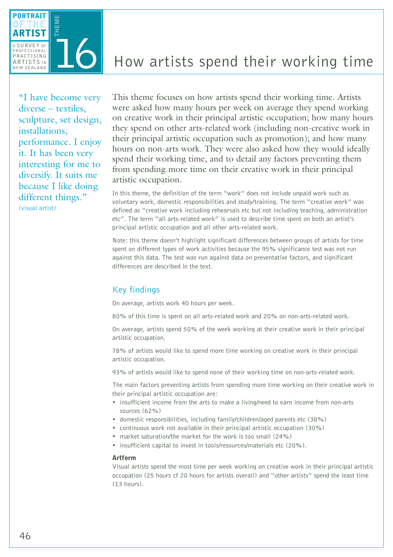

# How artists spend their working time

"I have become very diverse – textiles, sculpture, set design, installations, performance. I enjoy it. It has been very interesting for me to diversify. It suits me because I like doing different things." (visual artist)

This theme focuses on how artists spend their working time. Artists were asked how many hours per week on average they spend working on creative work in their principal artistic occupation; how many hours they spend on other arts-related work (including non-creative work in their principal artistic occupation such as promotion); and how many hours on non-arts work. They were also asked how they would ideally spend their working time, and to detail any factors preventing them from spending more time on their creative work in their principal artistic occupation.

In this theme, the definition of the term "work" does not include unpaid work such as voluntary work, domestic responsibilities and study/training. The term "creative work" was defined as "creative work including rehearsals etc but not including teaching, administration etc". The term "all arts-related work" is used to describe time spent on both an artist's principal artistic occupation and all other arts-related work.

Note: this theme doesn't highlight significant differences between groups of artists for time spent on different types of work activities because the 95% significance test was not run against this data. The test was run against data on preventative factors, and significant differences are described in the text.

#### Key findings

On average, artists work 40 hours per week.

80% of this time is spent on all arts-related work and 20% on non-arts-related work.

On average, artists spend 50% of the week working at their creative work in their principal artistic occupation.

78% of artists would like to spend more time working on creative work in their principal artistic occupation.

93% of artists would like to spend none of their working time on non-arts-related work.

The main factors preventing artists from spending more time working on their creative work in their principal artistic occupation are:

- insufficient income from the arts to make a living/need to earn income from non-arts sources (62%)
- domestic responsibilities, including family/children/aged parents etc (38%)
- continuous work not available in their principal artistic occupation (30%)
- market saturation/the market for the work is too small (24%)
- insufficient capital to invest in tools/resources/materials etc (20%).

#### Artform

Visual artists spend the most time per week working on creative work in their principal artistic occupation (25 hours cf 20 hours for artists overall) and "other artists" spend the least time (13 hours).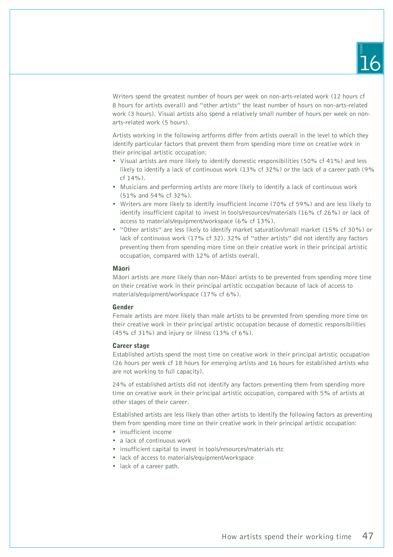Writers spend the greatest number of hours per week on non-arts-related work (12 hours cf 8 hours for artists overall) and "other artists" the least number of hours on non-arts-related work (3 hours). Visual artists also spend a relatively small number of hours per week on nonarts-related work (5 hours).

Artists working in the following artforms differ from artists overall in the level to which they identify particular factors that prevent them from spending more time on creative work in their principal artistic occupation:

- Visual artists are more likely to identify domestic responsibilities (50% cf 41%) and less likely to identify a lack of continuous work (13% cf 32%) or the lack of a career path (9%  $cf$  14%).
- Musicians and performing artists are more likely to identify a lack of continuous work (51% and 54% cf 32%).
- Writers are more likely to identify insufficient income (70% cf 59%) and are less likely to identify insufficient capital to invest in tools/resources/materials (16% cf 26%) or lack of access to materials/equipment/workspace (6% cf 13%).
- "Other artists" are less likely to identify market saturation/small market (15% cf 30%) or lack of continuous work (17% cf 32). 32% of "other artists" did not identify any factors preventing them from spending more time on their creative work in their principal artistic occupation, compared with 12% of artists overall.

#### Mäori

Mäori artists are more likely than non-Mäori artists to be prevented from spending more time on their creative work in their principal artistic occupation because of lack of access to materials/equipment/workspace (17% cf 6%).

#### Gender

Female artists are more likely than male artists to be prevented from spending more time on their creative work in their principal artistic occupation because of domestic responsibilities (45% cf 31%) and injury or illness (13% cf 6%).

#### Career stage

Established artists spend the most time on creative work in their principal artistic occupation (26 hours per week cf 18 hours for emerging artists and 16 hours for established artists who are not working to full capacity).

24% of established artists did not identify any factors preventing them from spending more time on creative work in their principal artistic occupation, compared with 5% of artists at other stages of their career.

Established artists are less likely than other artists to identify the following factors as preventing them from spending more time on their creative work in their principal artistic occupation:

- insufficient income
- a lack of continuous work
- insufficient capital to invest in tools/resources/materials etc
- lack of access to materials/equipment/workspace
- lack of a career path.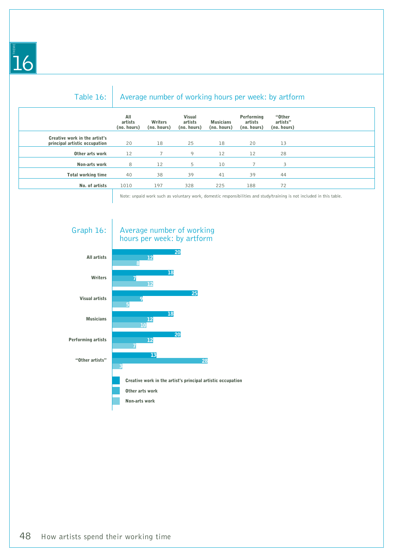

### Table 16: Average number of working hours per week: by artform

|                                                                       | All<br>artists<br>(no. hours) | Writers<br>(no. hours) | <b>Visual</b><br>artists<br>(no. hours) | <b>Musicians</b><br>(no. hours) | Performing<br>artists<br>(no. hours) | "Other<br>artists"<br>(no. hours) |  |
|-----------------------------------------------------------------------|-------------------------------|------------------------|-----------------------------------------|---------------------------------|--------------------------------------|-----------------------------------|--|
| <b>Creative work in the artist's</b><br>principal artistic occupation | 20                            | 18                     | 25                                      | 18                              | 20                                   | 13                                |  |
| Other arts work                                                       | 12                            |                        | 9                                       | 12                              | $12 \overline{ }$                    | 28                                |  |
| Non-arts work                                                         | 8                             | 12                     | 5                                       | 10                              |                                      | 3                                 |  |
| <b>Total working time</b>                                             | 40                            | 38                     | 39                                      | 41                              | 39                                   | 44                                |  |
| No. of artists                                                        | 1010                          | 197                    | 328                                     | 225                             | 188                                  | 72                                |  |

Note: unpaid work such as voluntary work, domestic responsibilities and study/training is not included in this table.

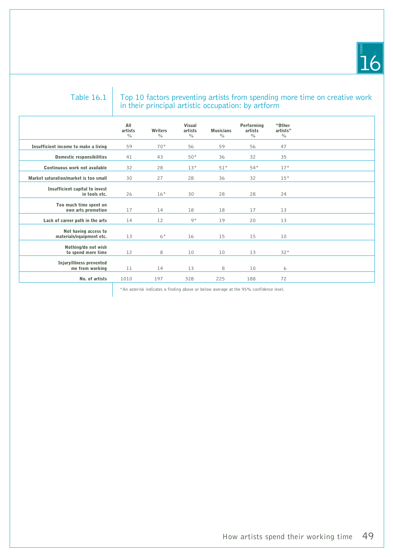Table  $16.1$  Top 10 factors preventing artists from spending more time on creative work in their principal artistic occupation: by artform

|                                                    | All<br>artists<br>$\frac{1}{\sqrt{2}}$ | Writers<br>$\frac{6}{6}$ | <b>Visual</b><br>artists<br>$\%$ | <b>Musicians</b><br>$\%$ | Performing<br>artists<br>$\%$ | "Other<br>artists"<br>$\%$ |
|----------------------------------------------------|----------------------------------------|--------------------------|----------------------------------|--------------------------|-------------------------------|----------------------------|
| Insufficient income to make a living               | 59                                     | $70*$                    | 56                               | 59                       | 56                            | 47                         |
| <b>Domestic responsibilities</b>                   | 41                                     | 43                       | $50*$                            | 36                       | 32                            | 35                         |
| Continuous work not available                      | 32                                     | 28                       | $13*$                            | $51*$                    | $54*$                         | $17*$                      |
| Market saturation/market is too small              | 30                                     | 27                       | 28                               | 36                       | 32                            | $15*$                      |
| Insufficient capital to invest<br>in tools etc.    | 26                                     | $16*$                    | 30                               | 28                       | 28                            | 24                         |
| Too much time spent on<br>own arts promotion       | 17                                     | 14                       | 18                               | 18                       | 17                            | 13                         |
| Lack of career path in the arts                    | 14                                     | 12                       | $9*$                             | 19                       | 20                            | 13                         |
| Not having access to<br>materials/equipment etc.   | 13                                     | $6*$                     | 16                               | 15                       | 15                            | 10                         |
| Nothing/do not wish<br>to spend more time          | 12                                     | 8                        | 10                               | 10                       | 13                            | $32*$                      |
| <b>Injury/illness prevented</b><br>me from working | 11                                     | 14                       | 13                               | 8                        | 10                            | 6                          |
| No. of artists                                     | 1010                                   | 197                      | 328                              | 225                      | 188                           | 72                         |

\*An asterisk indicates a finding above or below average at the 95% confidence level.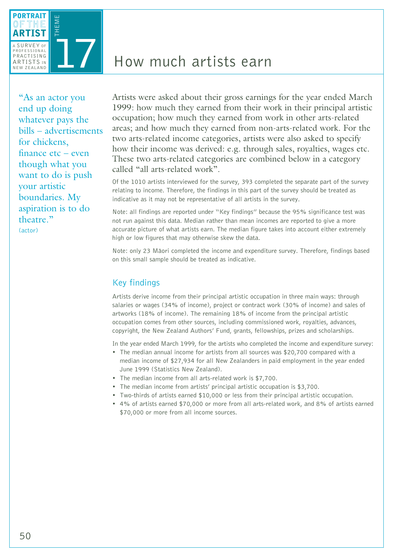

# How much artists earn

"As an actor you end up doing whatever pays the bills – advertisements for chickens, finance etc – even though what you want to do is push your artistic boundaries. My aspiration is to do theatre." (actor)

Artists were asked about their gross earnings for the year ended March 1999: how much they earned from their work in their principal artistic occupation; how much they earned from work in other arts-related areas; and how much they earned from non-arts-related work. For the two arts-related income categories, artists were also asked to specify how their income was derived: e.g. through sales, royalties, wages etc. These two arts-related categories are combined below in a category called "all arts-related work".

Of the 1010 artists interviewed for the survey, 393 completed the separate part of the survey relating to income. Therefore, the findings in this part of the survey should be treated as indicative as it may not be representative of all artists in the survey.

Note: all findings are reported under "Key findings" because the 95% significance test was not run against this data. Median rather than mean incomes are reported to give a more accurate picture of what artists earn. The median figure takes into account either extremely high or low figures that may otherwise skew the data.

Note: only 23 Mäori completed the income and expenditure survey. Therefore, findings based on this small sample should be treated as indicative.

### Key findings

Artists derive income from their principal artistic occupation in three main ways: through salaries or wages (34% of income), project or contract work (30% of income) and sales of artworks (18% of income). The remaining 18% of income from the principal artistic occupation comes from other sources, including commissioned work, royalties, advances, copyright, the New Zealand Authors' Fund, grants, fellowships, prizes and scholarships.

In the year ended March 1999, for the artists who completed the income and expenditure survey:

- The median annual income for artists from all sources was \$20,700 compared with a median income of \$27,934 for all New Zealanders in paid employment in the year ended June 1999 (Statistics New Zealand).
- The median income from all arts-related work is \$7,700.
- The median income from artists' principal artistic occupation is \$3,700.
- Two-thirds of artists earned \$10,000 or less from their principal artistic occupation.
- 4% of artists earned \$70,000 or more from all arts-related work, and 8% of artists earned \$70,000 or more from all income sources.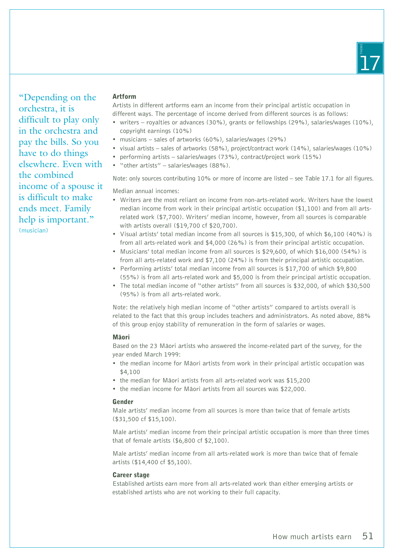

"Depending on the orchestra, it is difficult to play only in the orchestra and pay the bills. So you have to do things elsewhere. Even with the combined income of a spouse it is difficult to make ends meet. Family help is important." (musician)

#### Artform

Artists in different artforms earn an income from their principal artistic occupation in different ways. The percentage of income derived from different sources is as follows:

- writers royalties or advances (30%), grants or fellowships (29%), salaries/wages (10%), copyright earnings (10%)
- musicians sales of artworks (60%), salaries/wages (29%)
- visual artists sales of artworks (58%), project/contract work (14%), salaries/wages (10%)
- performing artists salaries/wages (73%), contract/project work (15%)
- "other artists" salaries/wages (88%).

Note: only sources contributing 10% or more of income are listed – see Table 17.1 for all figures.

Median annual incomes:

- Writers are the most reliant on income from non-arts-related work. Writers have the lowest median income from work in their principal artistic occupation (\$1,100) and from all artsrelated work (\$7,700). Writers' median income, however, from all sources is comparable with artists overall (\$19,700 cf \$20,700).
- Visual artists' total median income from all sources is \$15,300, of which \$6,100 (40%) is from all arts-related work and \$4,000 (26%) is from their principal artistic occupation.
- Musicians' total median income from all sources is \$29,600, of which \$16,000 (54%) is from all arts-related work and \$7,100 (24%) is from their principal artistic occupation.
- Performing artists' total median income from all sources is \$17,700 of which \$9,800 (55%) is from all arts-related work and \$5,000 is from their principal artistic occupation.
- The total median income of "other artists" from all sources is \$32,000, of which \$30,500 (95%) is from all arts-related work.

Note: the relatively high median income of "other artists" compared to artists overall is related to the fact that this group includes teachers and administrators. As noted above, 88% of this group enjoy stability of remuneration in the form of salaries or wages.

#### Mäori

Based on the 23 Mäori artists who answered the income-related part of the survey, for the year ended March 1999:

- the median income for Mäori artists from work in their principal artistic occupation was \$4,100
- the median for Mäori artists from all arts-related work was \$15,200
- the median income for Mäori artists from all sources was \$22,000.

#### Gender

Male artists' median income from all sources is more than twice that of female artists (\$31,500 cf \$15,100).

Male artists' median income from their principal artistic occupation is more than three times that of female artists (\$6,800 cf \$2,100).

Male artists' median income from all arts-related work is more than twice that of female artists (\$14,400 cf \$5,100).

#### Career stage

Established artists earn more from all arts-related work than either emerging artists or established artists who are not working to their full capacity.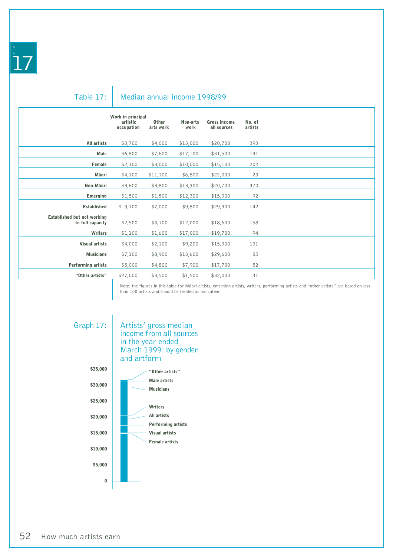

#### Table 17: Median annual income 1998/99 Work in principal Other Non-arts Gross\_income No. of<br>arts\_work all\_sources artists occupation All artists \$3,700 \$4,000 \$13,000 \$20,700 393 Male \$6,800 \$7,600 \$17,100 \$31,500 191 Female \$2,100 \$3,000 \$10,000 \$15,100 202 Mäori \$4,100 \$11,100 \$6,800 \$22,000 23 Non-Mäori \$3,600 \$3,800 \$13,300 \$20,700 370 Emerging \$1,500 \$1,500 \$12,300 \$15,300 92 Established \$13,100 \$7,000 \$9,800 \$29,900 142 Established but not working to full capacity \$2,500 \$4,100 \$12,000 \$18,600 158 Writers \$1,100 \$1,600 \$17,000 \$19,700 94 Visual artists \$4,000 \$2,100 \$9,200 \$15,300 131 Musicians \$7,100 \$8,900 \$13,600 \$29,600 85 **Performing artists** \$5,000 \$4,800 \$7,900 \$17,700 52

"Other artists" \$27,000 \$3,500 \$1,500 \$32,000 31

Note: the figures in this table for Mäori artists, emerging artists, writers, performing artists and "other artists" are based on less than 100 artists and should be treated as indicative.

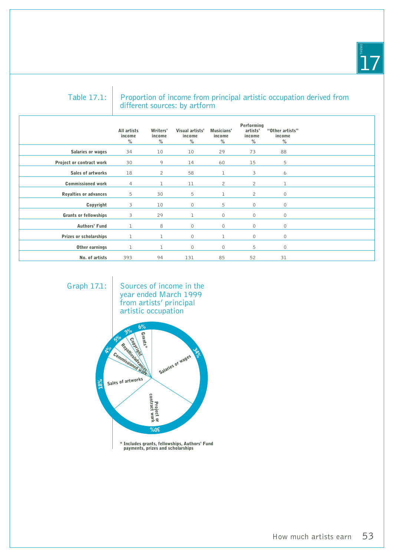

Table 17.1:  $\vert$ 

| $\therefore$ Proportion of income from principal artistic occupation derived from |
|-----------------------------------------------------------------------------------|
| different sources: by artform                                                     |

|                              | All artists<br>income<br>$\%$ | Writers'<br>income<br>% | Visual artists'<br>income<br>$\%$ | Musicians'<br>income<br>$\%$ | Performing<br>artists'<br>income<br>$\%$ | "Other artists"<br>income<br>$\%$ |  |
|------------------------------|-------------------------------|-------------------------|-----------------------------------|------------------------------|------------------------------------------|-----------------------------------|--|
| Salaries or wages            | 34                            | 10                      | 10                                | 29                           | 73                                       | 88                                |  |
| Project or contract work     | 30                            | 9                       | 14                                | 60                           | 15                                       | 5                                 |  |
| Sales of artworks            | 18                            | $\overline{2}$          | 58                                | 1                            | $\mathbf{3}$                             | 6                                 |  |
| <b>Commissioned work</b>     | $\overline{4}$                | ı                       | 11                                | $\overline{2}$               | $\overline{2}$                           | 1                                 |  |
| <b>Royalties or advances</b> | 5                             | 30                      | 5                                 | 1                            | $\overline{2}$                           | $\mathbf{0}$                      |  |
| Copyright                    | 3                             | 10                      | $\mathbf{0}$                      | 5                            | $\Omega$                                 | $\mathbf{0}$                      |  |
| <b>Grants or fellowships</b> | $\mathbf{3}$                  | 29                      | I.                                | $\mathbf{0}$                 | $\mathbf{0}$                             | $\mathbf 0$                       |  |
| <b>Authors' Fund</b>         | 1                             | 8                       | $\mathbf{0}$                      | $\mathbf{0}$                 | $\mathbf{0}$                             | $\mathbf{0}$                      |  |
| Prizes or scholarships       |                               |                         | $\mathbf 0$                       | L.                           | $\mathbf{0}$                             | $\mathbf{0}$                      |  |
| Other earnings               |                               |                         | $\mathbf{0}$                      | $\mathbf{0}$                 | 5                                        | $\mathbf{0}$                      |  |
| No. of artists               | 393                           | 94                      | 131                               | 85                           | 52                                       | 31                                |  |

Graph 17.1: Sources of income in the year ended March 1999 from artists' principal artistic occupation



\* Includes grants, fellowships, Authors' Fund payments, prizes and scholarships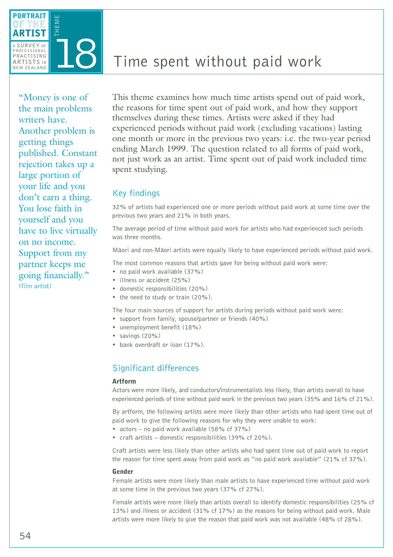

"Money is one of the main problems writers have. Another problem is getting things published. Constant rejection takes up a large portion of your life and you don't earn a thing. You lose faith in yourself and you have to live virtually on no income. Support from my partner keeps me going financially." (film artist)

This theme examines how much time artists spend out of paid work, the reasons for time spent out of paid work, and how they support themselves during these times. Artists were asked if they had experienced periods without paid work (excluding vacations) lasting one month or more in the previous two years: i.e. the two-year period ending March 1999. The question related to all forms of paid work, not just work as an artist. Time spent out of paid work included time spent studying.

#### Key findings

32% of artists had experienced one or more periods without paid work at some time over the previous two years and 21% in both years.

The average period of time without paid work for artists who had experienced such periods was three months.

Mäori and non-Mäori artists were equally likely to have experienced periods without paid work.

The most common reasons that artists gave for being without paid work were:

- no paid work available (37%)
- illness or accident (25%)
- domestic responsibilities (20%)
- the need to study or train (20%).

The four main sources of support for artists during periods without paid work were:

- support from family, spouse/partner or friends (40%)
- unemployment benefit (18%)
- savings (20%)
- bank overdraft or loan (17%).

#### Significant differences

#### Artform

Actors were more likely, and conductors/instrumentalists less likely, than artists overall to have experienced periods of time without paid work in the previous two years (35% and 16% cf 21%).

By artform, the following artists were more likely than other artists who had spent time out of paid work to give the following reasons for why they were unable to work:

- actors no paid work available (58% cf 37%)
- craft artists domestic responsibilities (39% cf 20%).

Craft artists were less likely than other artists who had spent time out of paid work to report the reason for time spent away from paid work as "no paid work available" (21% cf 37%).

#### Gender

Female artists were more likely than male artists to have experienced time without paid work at some time in the previous two years (37% cf 27%).

Female artists were more likely than artists overall to identify domestic responsibilities (25% cf 13%) and illness or accident (31% cf 17%) as the reasons for being without paid work. Male artists were more likely to give the reason that paid work was not available (48% cf 28%).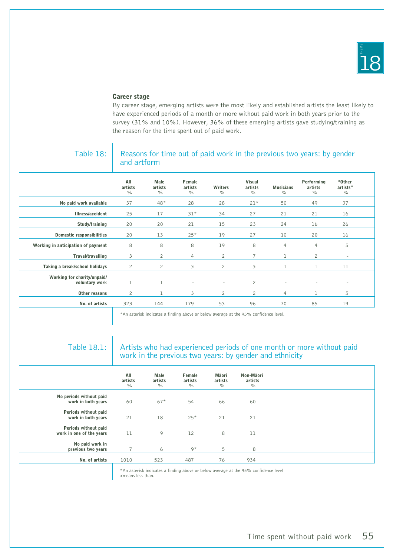

#### Career stage

By career stage, emerging artists were the most likely and established artists the least likely to have experienced periods of a month or more without paid work in both years prior to the survey (31% and 10%). However, 36% of these emerging artists gave studying/training as the reason for the time spent out of paid work.

#### Table 18: Reasons for time out of paid work in the previous two years: by gender and artform

|                                               | All<br>artists<br>$\frac{1}{\sqrt{2}}$ | <b>Male</b><br>artists<br>$\%$ | Female<br>artists<br>$\%$ | <b>Writers</b><br>$\%$ | <b>Visual</b><br>artists<br>$\%$ | <b>Musicians</b><br>$\frac{6}{6}$ | Performing<br>artists<br>$\%$ | "Other<br>artists"<br>$\frac{6}{6}$ |
|-----------------------------------------------|----------------------------------------|--------------------------------|---------------------------|------------------------|----------------------------------|-----------------------------------|-------------------------------|-------------------------------------|
| No paid work available                        | 37                                     | $48*$                          | 28                        | 28                     | $21*$                            | 50                                | 49                            | 37                                  |
| Illness/accident                              | 25                                     | 17                             | $31*$                     | 34                     | 27                               | 21                                | 21                            | 16                                  |
| Study/training                                | 20                                     | 20                             | 21                        | 15                     | 23                               | 24                                | 16                            | 26                                  |
| <b>Domestic responsibilities</b>              | 20                                     | 13                             | $25*$                     | 19                     | 27                               | 10                                | 20                            | 16                                  |
| Working in anticipation of payment            | 8                                      | 8                              | 8                         | 19                     | 8                                | 4                                 | 4                             | 5                                   |
| <b>Travel/travelling</b>                      | 3                                      | $\overline{2}$                 | 4                         | $\overline{c}$         | 7                                | 1                                 | $\overline{2}$                | $\overline{\phantom{m}}$            |
| Taking a break/school holidays                | $\overline{c}$                         | $\overline{c}$                 | 3                         | $\overline{c}$         | 3                                | 1                                 | ı                             | 11                                  |
| Working for charity/unpaid/<br>voluntary work | 1                                      |                                | $\overline{\phantom{0}}$  | -                      | $\overline{2}$                   | Ξ.                                | ٠                             | ٠                                   |
| Other reasons                                 | $\overline{c}$                         |                                | 3                         | $\overline{2}$         | $\overline{2}$                   | $\overline{4}$                    | ı                             | 5                                   |
| No. of artists                                | 323                                    | 144                            | 179                       | 53                     | 96                               | 70                                | 85                            | 19                                  |

\*An asterisk indicates a finding above or below average at the 95% confidence level.

#### Table 18.1:  $\parallel$  Artists who had experienced periods of one month or more without paid work in the previous two years: by gender and ethnicity

|                                                  | All<br>artists<br>$\%$ | <b>Male</b><br>artists<br>$\frac{6}{6}$ | <b>Female</b><br>artists<br>$\%$ | Māori<br>artists<br>$\frac{6}{6}$ | Non-Māori<br>artists<br>$\frac{6}{6}$ |  |
|--------------------------------------------------|------------------------|-----------------------------------------|----------------------------------|-----------------------------------|---------------------------------------|--|
| No periods without paid<br>work in both years    | 60                     | $67*$                                   | 54                               | 66                                | 60                                    |  |
| Periods without paid<br>work in both years       | 21                     | 18                                      | $25*$                            | 21                                | 21                                    |  |
| Periods without paid<br>work in one of the years | 11                     | 9                                       | 12                               | 8                                 | 11                                    |  |
| No paid work in<br>previous two years            | $\overline{7}$         | 6                                       | $9*$                             | 5                                 | 8                                     |  |
| No. of artists                                   | 1010                   | 523                                     | 487                              | 76                                | 934                                   |  |

\*An asterisk indicates a finding above or below average at the 95% confidence level <means less than.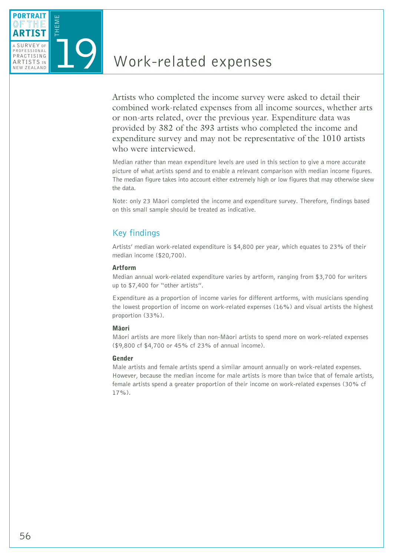

# Work-related expenses

Artists who completed the income survey were asked to detail their combined work-related expenses from all income sources, whether arts or non-arts related, over the previous year. Expenditure data was provided by 382 of the 393 artists who completed the income and expenditure survey and may not be representative of the 1010 artists who were interviewed.

Median rather than mean expenditure levels are used in this section to give a more accurate picture of what artists spend and to enable a relevant comparison with median income figures. The median figure takes into account either extremely high or low figures that may otherwise skew the data.

Note: only 23 Mäori completed the income and expenditure survey. Therefore, findings based on this small sample should be treated as indicative.

#### Key findings

Artists' median work-related expenditure is \$4,800 per year, which equates to 23% of their median income (\$20,700).

#### Artform

Median annual work-related expenditure varies by artform, ranging from \$3,700 for writers up to \$7,400 for "other artists".

Expenditure as a proportion of income varies for different artforms, with musicians spending the lowest proportion of income on work-related expenses (16%) and visual artists the highest proportion (33%).

#### Mäori

Mäori artists are more likely than non-Mäori artists to spend more on work-related expenses (\$9,800 cf \$4,700 or 45% cf 23% of annual income).

#### Gender

Male artists and female artists spend a similar amount annually on work-related expenses. However, because the median income for male artists is more than twice that of female artists, female artists spend a greater proportion of their income on work-related expenses (30% cf  $17\%$ ).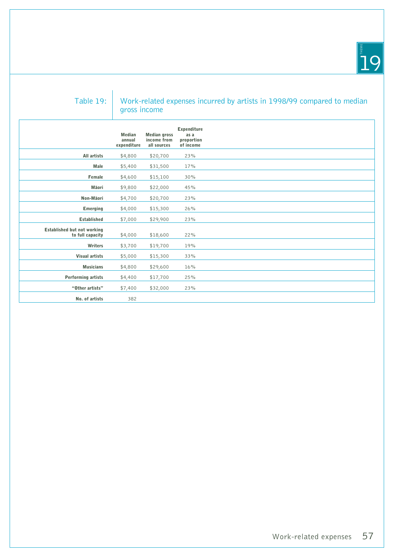#### Table 19: Work-related expenses incurred by artists in 1998/99 compared to median gross income

|                                    | <b>Median</b><br>annual | <b>Median gross</b><br>income from | <b>Expenditure</b><br>as a<br>proportion |
|------------------------------------|-------------------------|------------------------------------|------------------------------------------|
|                                    | expenditure             | all sources                        | of income                                |
| All artists                        | \$4,800                 | \$20,700                           | 23%                                      |
| <b>Male</b>                        | \$5,400                 | \$31,500                           | 17%                                      |
| Female                             | \$4,600                 | \$15,100                           | 30%                                      |
| Māori                              | \$9,800                 | \$22,000                           | 45%                                      |
| Non-Māori                          | \$4,700                 | \$20,700                           | 23%                                      |
| <b>Emerging</b>                    | \$4,000                 | \$15,300                           | 26%                                      |
| <b>Established</b>                 | \$7,000                 | \$29,900                           | 23%                                      |
| <b>Established but not working</b> |                         |                                    |                                          |
| to full capacity                   | \$4,000                 | \$18,600                           | 22%                                      |
| Writers                            | \$3,700                 | \$19,700                           | 19%                                      |
| <b>Visual artists</b>              | \$5,000                 | \$15,300                           | 33%                                      |
| <b>Musicians</b>                   | \$4,800                 | \$29,600                           | 16%                                      |
| <b>Performing artists</b>          | \$4,400                 | \$17,700                           | 25%                                      |
| "Other artists"                    | \$7,400                 | \$32,000                           | 23%                                      |
| No. of artists                     | 382                     |                                    |                                          |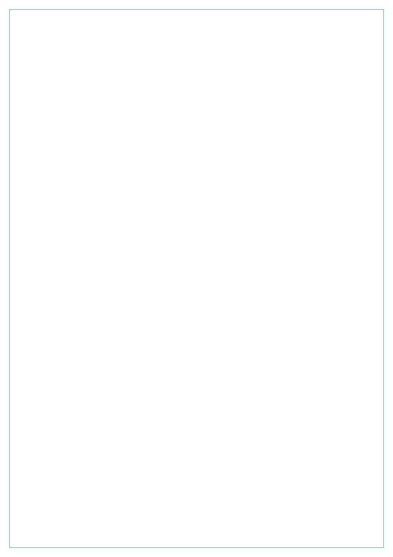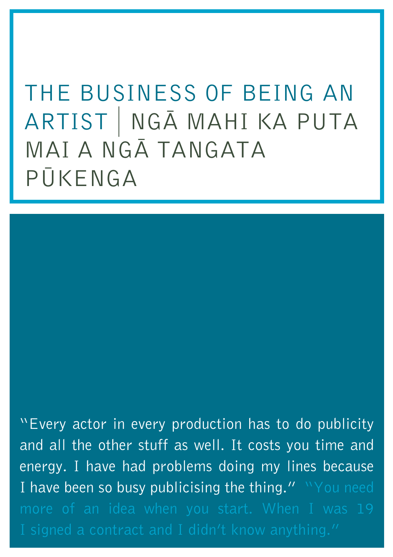THE BUSINESS OF BEING AN ARTIST <sup>|</sup> NGÄ MAHI KA PUTA MAI A NGÄ TANGATA PÜKENGA

"Every actor in every production has to do publicity and all the other stuff as well. It costs you time and energy. I have had problems doing my lines because I have been so busy publicising the thing." "You need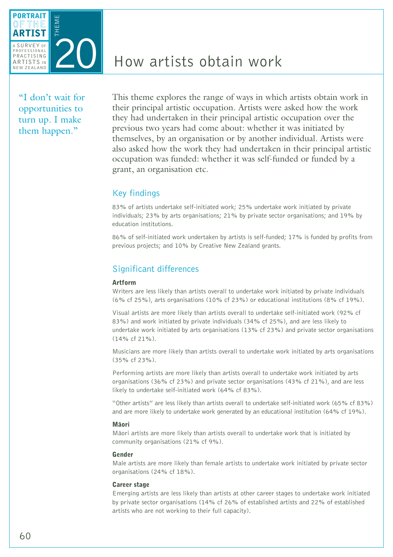

"I don't wait for opportunities to turn up. I make them happen."

This theme explores the range of ways in which artists obtain work in their principal artistic occupation. Artists were asked how the work they had undertaken in their principal artistic occupation over the previous two years had come about: whether it was initiated by themselves, by an organisation or by another individual. Artists were also asked how the work they had undertaken in their principal artistic occupation was funded: whether it was self-funded or funded by a grant, an organisation etc.

#### Key findings

83% of artists undertake self-initiated work; 25% undertake work initiated by private individuals; 23% by arts organisations; 21% by private sector organisations; and 19% by education institutions.

86% of self-initiated work undertaken by artists is self-funded; 17% is funded by profits from previous projects; and 10% by Creative New Zealand grants.

#### Significant differences

#### Artform

Writers are less likely than artists overall to undertake work initiated by private individuals (6% cf 25%), arts organisations (10% cf 23%) or educational institutions (8% cf 19%).

Visual artists are more likely than artists overall to undertake self-initiated work (92% cf 83%) and work initiated by private individuals (34% cf 25%), and are less likely to undertake work initiated by arts organisations (13% cf 23%) and private sector organisations  $(14\% \text{ cf } 21\%)$ 

Musicians are more likely than artists overall to undertake work initiated by arts organisations (35% cf 23%).

Performing artists are more likely than artists overall to undertake work initiated by arts organisations (36% cf 23%) and private sector organisations (43% cf 21%), and are less likely to undertake self-initiated work (64% cf 83%).

"Other artists" are less likely than artists overall to undertake self-initiated work (65% cf 83%) and are more likely to undertake work generated by an educational institution (64% cf 19%).

#### Mäori

Mäori artists are more likely than artists overall to undertake work that is initiated by community organisations (21% cf 9%).

#### Gender

Male artists are more likely than female artists to undertake work initiated by private sector organisations (24% cf 18%).

#### Career stage

Emerging artists are less likely than artists at other career stages to undertake work initiated by private sector organisations (14% cf 26% of established artists and 22% of established artists who are not working to their full capacity).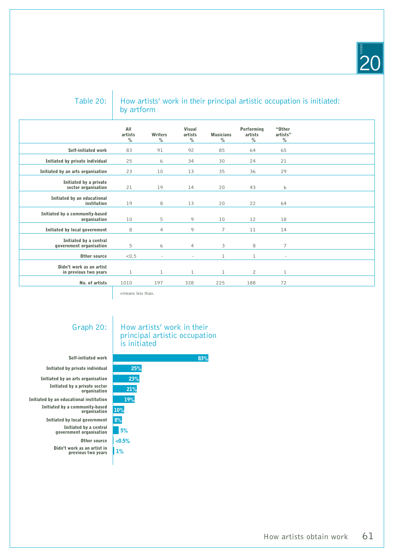#### Table 20: How artists' work in their principal artistic occupation is initiated: by artform

|                                                   | All<br>artists<br>$\%$ | Writers<br>$\%$          | <b>Visual</b><br>artists<br>$\%$ | <b>Musicians</b><br>% | Performing<br>artists<br>$\%$ | "Other<br>artists"<br>$\%$ |  |
|---------------------------------------------------|------------------------|--------------------------|----------------------------------|-----------------------|-------------------------------|----------------------------|--|
| Self-initiated work                               | 83                     | 91                       | 92                               | 85                    | 64                            | 65                         |  |
| Initiated by private individual                   | 25                     | 6                        | 34                               | 30                    | 24                            | 21                         |  |
| Initiated by an arts organisation                 | 23                     | 10                       | 13                               | 35                    | 36                            | 29                         |  |
| Initiated by a private<br>sector organisation     | 21                     | 19                       | 14                               | 20                    | 43                            | 6                          |  |
| Initiated by an educational<br>institution        | 19                     | 8                        | 13                               | 20                    | 22                            | 64                         |  |
| Initiated by a community-based<br>organisation    | 10                     | 5                        | 9                                | 10                    | 12                            | 18                         |  |
| Initiated by local government                     | 8                      | $\overline{4}$           | 9                                | $\overline{7}$        | 11                            | 14                         |  |
| Initiated by a central<br>government organisation | 5                      | 6                        | $\overline{4}$                   | 3                     | 8                             | $\overline{7}$             |  |
| Other source                                      | < 0.5                  | $\overline{\phantom{a}}$ |                                  |                       |                               | $\overline{\phantom{a}}$   |  |
| Didn't work as an artist<br>in previous two years | 1                      | 1                        | $\mathbf{1}$                     |                       | $\overline{2}$                | $\mathbf{I}$               |  |
| No. of artists                                    | 1010                   | 197                      | 328                              | 225                   | 188                           | 72                         |  |

<means less than.

#### Graph 20: | How artists' work in their principal artistic occupation is initiated

Self-initiated work

Initiated by private individual

Initiated by a private sector Initiated by an arts organisation

organisation

Initiated by a community-based organisation Initiated by an educational institution

> Initiated by a central government organisation Initiated by local government

Other source

Didn't work as an artist in previous two years

83% 25% 23% 19% 21% 10% 8% 5%

#### $|$  <0.5%  $1%$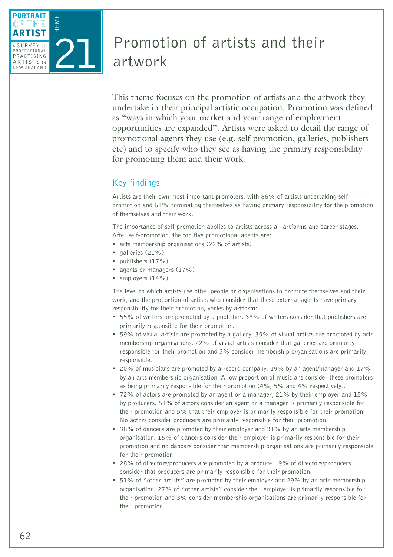# Promotion of artists and their artwork

This theme focuses on the promotion of artists and the artwork they undertake in their principal artistic occupation. Promotion was defined as "ways in which your market and your range of employment opportunities are expanded". Artists were asked to detail the range of promotional agents they use (e.g. self-promotion, galleries, publishers etc) and to specify who they see as having the primary responsibility for promoting them and their work.

#### Key findings

Artists are their own most important promoters, with 86% of artists undertaking selfpromotion and 61% nominating themselves as having primary responsibility for the promotion of themselves and their work.

The importance of self-promotion applies to artists across all artforms and career stages. After self-promotion, the top five promotional agents are:

- arts membership organisations (22% of artists)
- galleries (21%)
- publishers (17%)
- agents or managers (17%)
- employers (14%).

The level to which artists use other people or organisations to promote themselves and their work, and the proportion of artists who consider that these external agents have primary responsibility for their promotion, varies by artform:

- 55% of writers are promoted by a publisher. 38% of writers consider that publishers are primarily responsible for their promotion.
- 59% of visual artists are promoted by a gallery. 35% of visual artists are promoted by arts membership organisations. 22% of visual artists consider that galleries are primarily responsible for their promotion and 3% consider membership organisations are primarily responsible.
- 20% of musicians are promoted by a record company, 19% by an agent/manager and 17% by an arts membership organisation. A low proportion of musicians consider these promoters as being primarily responsible for their promotion (4%, 5% and 4% respectively).
- 72% of actors are promoted by an agent or a manager, 21% by their employer and 15% by producers. 51% of actors consider an agent or a manager is primarily responsible for their promotion and 5% that their employer is primarily responsible for their promotion. No actors consider producers are primarily responsible for their promotion.
- 38% of dancers are promoted by their employer and 31% by an arts membership organisation. 16% of dancers consider their employer is primarily responsible for their promotion and no dancers consider that membership organisations are primarily responsible for their promotion.
- 28% of directors/producers are promoted by a producer. 9% of directors/producers consider that producers are primarily responsible for their promotion.
- 51% of "other artists" are promoted by their employer and 29% by an arts membership organisation. 27% of "other artists" consider their employer is primarily responsible for their promotion and 3% consider membership organisations are primarily responsible for their promotion.

PORTRAIT **OF THE** ARTIST A SURVEY OF PROFESSIONAL **PRACTISING** ARTISTS IN

**PORTRAIT**<br> **ARTIST**<br>
ASURVEY OF<br>
PROFESSIONAL<br>
PRACTISING<br>
ARTISTS IN<br>
NEW ZEALAND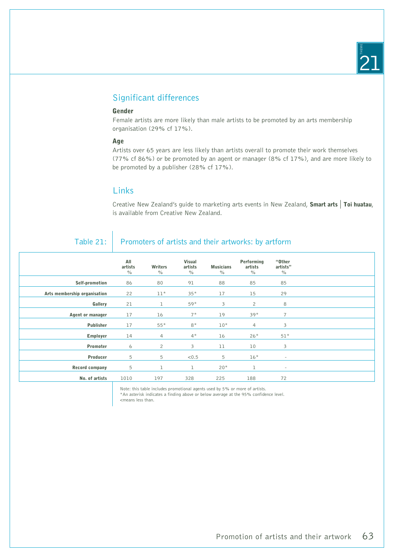# $21$

#### Significant differences

#### Gender

Female artists are more likely than male artists to be promoted by an arts membership organisation (29% cf 17%).

#### Age

Artists over 65 years are less likely than artists overall to promote their work themselves (77% cf 86%) or be promoted by an agent or manager (8% cf 17%), and are more likely to be promoted by a publisher (28% cf 17%).

#### Links

Creative New Zealand's guide to marketing arts events in New Zealand, **Smart arts** Toi huatau, is available from Creative New Zealand.

## Table 21: Promoters of artists and their artworks: by artform

| All<br>Writers<br>artists<br>$\%$<br>$\%$   | <b>Visual</b><br>artists<br>$\%$ | <b>Musicians</b><br>$\%$ | Performing<br>artists<br>$\%$ | "Other<br>artists"<br>$\%$ |
|---------------------------------------------|----------------------------------|--------------------------|-------------------------------|----------------------------|
| 80<br>Self-promotion<br>86                  | 91                               | 88                       | 85                            | 85                         |
| $11*$<br>Arts membership organisation<br>22 | $35*$                            | 17                       | 15                            | 29                         |
| Gallery<br>21<br>$\mathbf 1$                | $59*$                            | 3                        | $\overline{2}$                | 8                          |
| Agent or manager<br>17<br>16                | $7*$                             | 19                       | $39*$                         | $\overline{7}$             |
| $55*$<br><b>Publisher</b><br>17             | $8*$                             | $10*$                    | 4                             | 3                          |
| 14<br><b>Employer</b><br>$\overline{4}$     | $4*$                             | 16                       | $26*$                         | $51*$                      |
| 6<br>$\overline{2}$<br>Promoter             | 3                                | 11                       | 10                            | 3                          |
| 5<br>5<br>Producer                          | < 0.5                            | 5                        | $16*$                         | $\sim$                     |
| 5<br><b>Record company</b><br>1             | 1                                | $20*$                    | 1                             | $\sim$                     |
| No. of artists<br>1010<br>197               | 328                              | 225                      | 188                           | 72                         |

Note: this table includes promotional agents used by 5% or more of artists. \*An asterisk indicates a finding above or below average at the 95% confidence level. <means less than.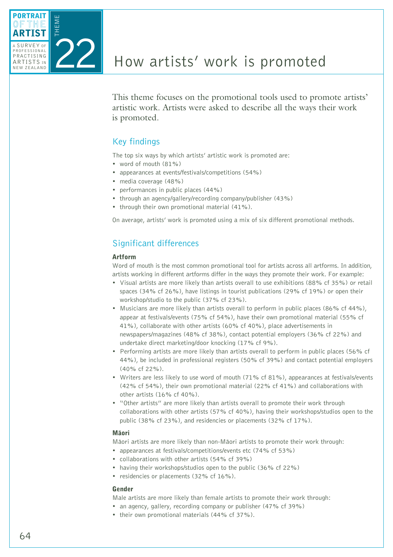## How artists' work is promoted

This theme focuses on the promotional tools used to promote artists' artistic work. Artists were asked to describe all the ways their work is promoted.

#### Key findings

The top six ways by which artists' artistic work is promoted are:

- word of mouth (81%)
- appearances at events/festivals/competitions (54%)
- media coverage (48%)
- performances in public places (44%)
- through an agency/gallery/recording company/publisher (43%)
- through their own promotional material (41%).

On average, artists' work is promoted using a mix of six different promotional methods.

#### Significant differences

#### Artform

Word of mouth is the most common promotional tool for artists across all artforms. In addition, artists working in different artforms differ in the ways they promote their work. For example:

- Visual artists are more likely than artists overall to use exhibitions (88% cf 35%) or retail spaces (34% cf 26%), have listings in tourist publications (29% cf 19%) or open their workshop/studio to the public (37% cf 23%).
- Musicians are more likely than artists overall to perform in public places (86% cf 44%), appear at festivals/events (75% cf 54%), have their own promotional material (55% cf 41%), collaborate with other artists (60% cf 40%), place advertisements in newspapers/magazines (48% cf 38%), contact potential employers (36% cf 22%) and undertake direct marketing/door knocking (17% cf 9%).
- Performing artists are more likely than artists overall to perform in public places (56% cf 44%), be included in professional registers (50% cf 39%) and contact potential employers (40% cf 22%).
- Writers are less likely to use word of mouth (71% cf 81%), appearances at festivals/events (42% cf 54%), their own promotional material (22% cf 41%) and collaborations with other artists (16% cf 40%).
- "Other artists" are more likely than artists overall to promote their work through collaborations with other artists (57% cf 40%), having their workshops/studios open to the public (38% cf 23%), and residencies or placements (32% cf 17%).

#### Mäori

Mäori artists are more likely than non-Mäori artists to promote their work through:

- appearances at festivals/competitions/events etc (74% cf 53%)
- collaborations with other artists (54% cf 39%)
- having their workshops/studios open to the public (36% cf 22%)
- residencies or placements (32% cf 16%).

#### Gender

Male artists are more likely than female artists to promote their work through:

- an agency, gallery, recording company or publisher (47% cf 39%)
- their own promotional materials (44% cf 37%).

PORTRAIT **OF THE** ARTIST A SURVEY OF PROFESSIONAL **PRACTISING** ARTISTS IN

NEW ZEALAND 22THEME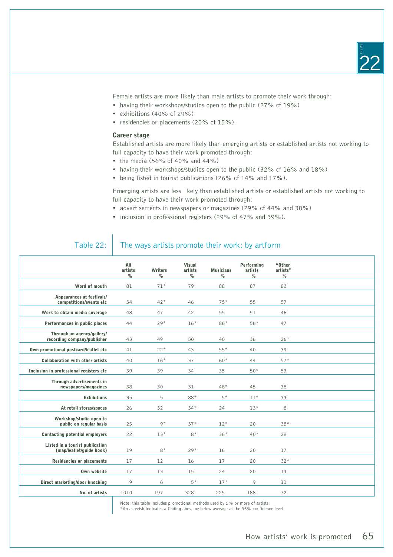Female artists are more likely than male artists to promote their work through:

- having their workshops/studios open to the public (27% cf 19%)
- exhibitions (40% cf 29%)
- residencies or placements (20% cf 15%).

#### Career stage

Established artists are more likely than emerging artists or established artists not working to full capacity to have their work promoted through:

- the media (56% cf 40% and 44%)
- having their workshops/studios open to the public (32% cf 16% and 18%)
- being listed in tourist publications (26% cf 14% and 17%).

Emerging artists are less likely than established artists or established artists not working to full capacity to have their work promoted through:

- advertisements in newspapers or magazines (29% cf 44% and 38%)
- inclusion in professional registers (29% cf 47% and 39%).

| Table 22:                                                   |                        |                 |                                  |                          | The ways artists promote their work: by artform |                            |  |
|-------------------------------------------------------------|------------------------|-----------------|----------------------------------|--------------------------|-------------------------------------------------|----------------------------|--|
|                                                             | All<br>artists<br>$\%$ | Writers<br>$\%$ | <b>Visual</b><br>artists<br>$\%$ | <b>Musicians</b><br>$\%$ | Performing<br>artists<br>$\%$                   | "Other<br>artists"<br>$\%$ |  |
| Word of mouth                                               | 81                     | $71*$           | 79                               | 88                       | 87                                              | 83                         |  |
| Appearances at festivals/<br>competitions/events etc        | 54                     | $42*$           | 46                               | $75*$                    | 55                                              | 57                         |  |
| Work to obtain media coverage                               | 48                     | 47              | 42                               | 55                       | 51                                              | 46                         |  |
| Performances in public places                               | 44                     | $29*$           | $16*$                            | 86*                      | $56*$                                           | 47                         |  |
| Through an agency/gallery/<br>recording company/publisher   | 43                     | 49              | 50                               | 40                       | 36                                              | $26*$                      |  |
| Own promotional postcard/leaflet etc                        | 41                     | $22*$           | 43                               | $55*$                    | 40                                              | 39                         |  |
| <b>Collaboration with other artists</b>                     | 40                     | $16*$           | 37                               | 60*                      | 44                                              | $57*$                      |  |
| Inclusion in professional registers etc                     | 39                     | 39              | 34                               | 35                       | $50*$                                           | 53                         |  |
| Through advertisements in<br>newspapers/magazines           | 38                     | 30              | 31                               | 48*                      | 45                                              | 38                         |  |
| <b>Exhibitions</b>                                          | 35                     | 5               | 88*                              | $5*$                     | $11*$                                           | 33                         |  |
| At retail stores/spaces                                     | 26                     | 32              | $34*$                            | 24                       | $13*$                                           | 8                          |  |
| Workshop/studio open to<br>public on regular basis          | 23                     | $9*$            | $37*$                            | $12*$                    | 20                                              | $38*$                      |  |
| <b>Contacting potential employers</b>                       | 22                     | $13*$           | $8*$                             | $36*$                    | $40*$                                           | 28                         |  |
| Listed in a tourist publication<br>(map/leaflet/guide book) | 19                     | $8*$            | $29*$                            | 16                       | 20                                              | 17                         |  |
| <b>Residencies or placements</b>                            | 17                     | 12              | 16                               | 17                       | 20                                              | $32*$                      |  |
| Own website                                                 | 17                     | 13              | 15                               | 24                       | 20                                              | 13                         |  |
| Direct marketing/door knocking                              | 9                      | 6               | $5*$                             | $17*$                    | 9                                               | 11                         |  |
| No. of artists                                              | 1010                   | 197             | 328                              | 225                      | 188                                             | 72                         |  |

Note: this table includes promotional methods used by 5% or more of artists. \*An asterisk indicates a finding above or below average at the 95% confidence level.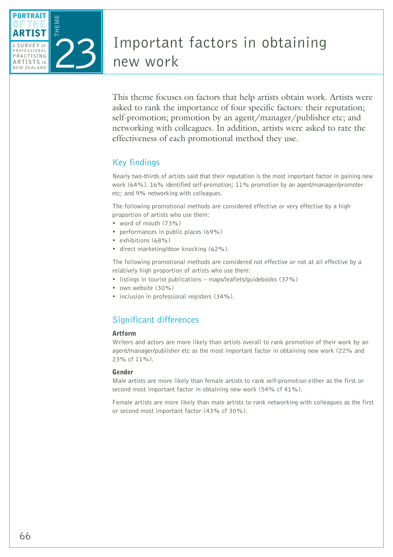

# Important factors in obtaining new work

This theme focuses on factors that help artists obtain work. Artists were asked to rank the importance of four specific factors: their reputation; self-promotion; promotion by an agent/manager/publisher etc; and networking with colleagues. In addition, artists were asked to rate the effectiveness of each promotional method they use.

### Key findings

Nearly two-thirds of artists said that their reputation is the most important factor in gaining new work (64%). 16% identified self-promotion; 11% promotion by an agent/manager/promoter etc; and 9% networking with colleagues.

The following promotional methods are considered effective or very effective by a high proportion of artists who use them:

- word of mouth (73%)
- performances in public places (69%)
- exhibitions (68%)
- direct marketing/door knocking (62%).

The following promotional methods are considered not effective or not at all effective by a relatively high proportion of artists who use them:

- listings in tourist publications maps/leaflets/guidebooks (37%)
- own website (30%)
- inclusion in professional registers (34%).

#### Significant differences

#### Artform

Writers and actors are more likely than artists overall to rank promotion of their work by an agent/manager/publisher etc as the most important factor in obtaining new work (22% and 23% cf 11%).

#### Gender

Male artists are more likely than female artists to rank self-promotion either as the first or second most important factor in obtaining new work (54% cf 41%).

Female artists are more likely than male artists to rank networking with colleagues as the first or second most important factor (43% cf 30%).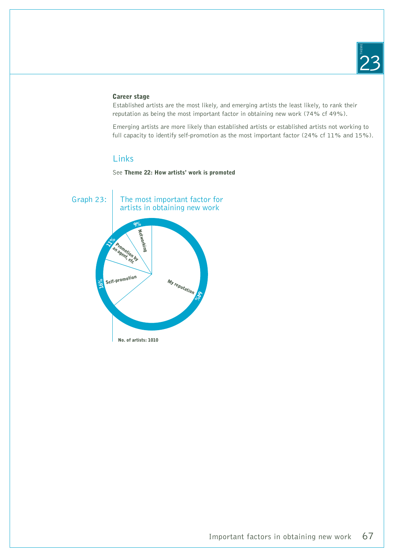

#### Career stage

Established artists are the most likely, and emerging artists the least likely, to rank their reputation as being the most important factor in obtaining new work (74% cf 49%).

Emerging artists are more likely than established artists or established artists not working to full capacity to identify self-promotion as the most important factor (24% cf 11% and 15%).

#### Links

See Theme 22: How artists' work is promoted

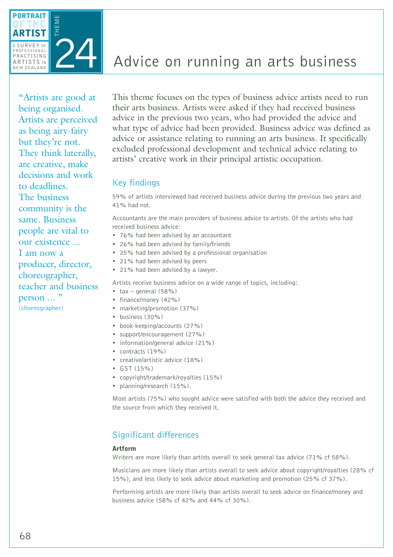

# Advice on running an arts business

"Artists are good at being organised. Artists are perceived as being airy-fairy but they're not. They think laterally, are creative, make decisions and work to deadlines. The business community is the same. Business people are vital to our existence ... I am now a producer, director, choreographer, teacher and business person ... " (choreographer)

This theme focuses on the types of business advice artists need to run their arts business. Artists were asked if they had received business advice in the previous two years, who had provided the advice and what type of advice had been provided. Business advice was defined as advice or assistance relating to running an arts business. It specifically excluded professional development and technical advice relating to artists' creative work in their principal artistic occupation.

#### Key findings

59% of artists interviewed had received business advice during the previous two years and 41% had not.

Accountants are the main providers of business advice to artists. Of the artists who had received business advice:

- 76% had been advised by an accountant
- 26% had been advised by family/friends
- 25% had been advised by a professional organisation
- 21% had been advised by peers
- 21% had been advised by a lawyer.

Artists receive business advice on a wide range of topics, including:

- $tax general (58%)$
- finance/money (42%)
- marketing/promotion (37%)
- $\bullet$  business (30%)
- book-keeping/accounts (27%)
- support/encouragement (27%)
- information/general advice (21%)
- contracts (19%)
- creative/artistic advice (18%)
- GST (15%)
- copyright/trademark/royalties (15%)
- planning/research (15%).

Most artists (75%) who sought advice were satisfied with both the advice they received and the source from which they received it.

#### Significant differences

#### Artform

Writers are more likely than artists overall to seek general tax advice (71% cf 58%).

Musicians are more likely than artists overall to seek advice about copyright/royalties (28% cf 15%), and less likely to seek advice about marketing and promotion (25% cf 37%).

Performing artists are more likely than artists overall to seek advice on finance/money and business advice (58% cf 42% and 44% cf 30%).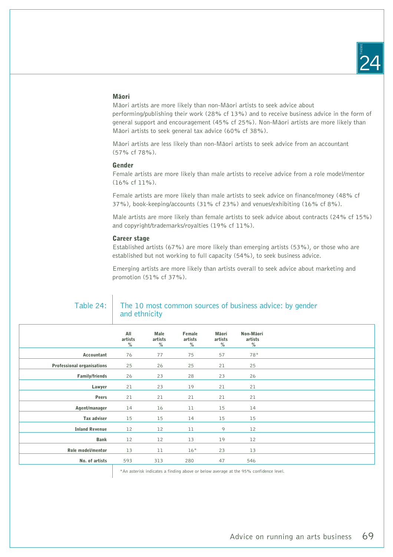#### Mäori

Mäori artists are more likely than non-Mäori artists to seek advice about performing/publishing their work (28% cf 13%) and to receive business advice in the form of general support and encouragement (45% cf 25%). Non-Mäori artists are more likely than Mäori artists to seek general tax advice (60% cf 38%).

Mäori artists are less likely than non-Mäori artists to seek advice from an accountant (57% cf 78%).

#### Gender

Female artists are more likely than male artists to receive advice from a role model/mentor (16% cf 11%).

Female artists are more likely than male artists to seek advice on finance/money (48% cf 37%), book-keeping/accounts (31% cf 23%) and venues/exhibiting (16% cf 8%).

Male artists are more likely than female artists to seek advice about contracts (24% cf 15%) and copyright/trademarks/royalties (19% cf 11%).

#### Career stage

Established artists (67%) are more likely than emerging artists (53%), or those who are established but not working to full capacity (54%), to seek business advice.

Emerging artists are more likely than artists overall to seek advice about marketing and promotion (51% cf 37%).

|                                   | and cultivity          |                                |                           |                          |                           |  |
|-----------------------------------|------------------------|--------------------------------|---------------------------|--------------------------|---------------------------|--|
|                                   | All<br>artists<br>$\%$ | <b>Male</b><br>artists<br>$\%$ | Female<br>artists<br>$\%$ | Māori<br>artists<br>$\%$ | Non-Māori<br>artists<br>% |  |
| Accountant                        | 76                     | 77                             | 75                        | 57                       | 78*                       |  |
| <b>Professional organisations</b> | 25                     | 26                             | 25                        | 21                       | 25                        |  |
| <b>Family/friends</b>             | 26                     | 23                             | 28                        | 23                       | 26                        |  |
| Lawyer                            | 21                     | 23                             | 19                        | 21                       | 21                        |  |
| Peers                             | 21                     | 21                             | 21                        | 21                       | 21                        |  |
| Agent/manager                     | 14                     | 16                             | 11                        | 15                       | 14                        |  |
| Tax adviser                       | 15                     | 15                             | 14                        | 15                       | 15                        |  |
| <b>Inland Revenue</b>             | 12                     | 12                             | 11                        | 9                        | 12                        |  |
| <b>Bank</b>                       | 12                     | 12                             | 13                        | 19                       | 12                        |  |
| Role model/mentor                 | 13                     | 11                             | $16*$                     | 23                       | 13                        |  |
| No. of artists                    | 593                    | 313                            | 280                       | 47                       | 546                       |  |
|                                   |                        |                                |                           |                          |                           |  |

#### Table 24: The 10 most common sources of business advice: by gender and ethnicity

\*An asterisk indicates a finding above or below average at the 95% confidence level.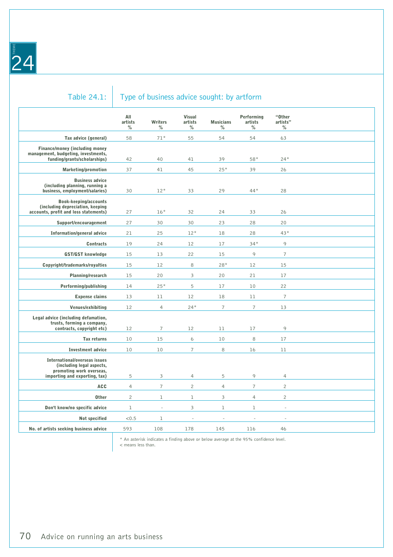

| Table 24.1:                                                                                                                    | Type of business advice sought: by artform |                |                                  |                         |                            |                            |  |  |
|--------------------------------------------------------------------------------------------------------------------------------|--------------------------------------------|----------------|----------------------------------|-------------------------|----------------------------|----------------------------|--|--|
|                                                                                                                                | All<br>artists<br>$\%$                     | Writers<br>%   | <b>Visual</b><br>artists<br>$\%$ | <b>Musicians</b><br>%   | Performing<br>artists<br>℅ | "Other<br>artists"<br>$\%$ |  |  |
| Tax advice (general)                                                                                                           | 58                                         | $71*$          | 55                               | 54                      | 54                         | 63                         |  |  |
| <b>Finance/money (including money</b><br>management, budgeting, investments,<br>funding/grants/scholarships)                   | 42                                         | 40             | 41                               | 39                      | 58*                        | $24*$                      |  |  |
| <b>Marketing/promotion</b>                                                                                                     | 37                                         | 41             | 45                               | $25*$                   | 39                         | 26                         |  |  |
| <b>Business advice</b><br>(including planning, running a<br>business, employment/salaries)                                     | 30                                         | $12*$          | 33                               | 29                      | $44*$                      | 28                         |  |  |
| <b>Book-keeping/accounts</b><br>(including depreciation, keeping<br>accounts, profit and loss statements)                      | 27                                         | $16*$          | 32                               | 24                      | 33                         | 26                         |  |  |
| Support/encouragement                                                                                                          | 27                                         | 30             | 30                               | 23                      | 28                         | 20                         |  |  |
| <b>Information/general advice</b>                                                                                              | 21                                         | 25             | $12*$                            | 18                      | 28                         | $43*$                      |  |  |
| <b>Contracts</b>                                                                                                               | 19                                         | 24             | 12                               | 17                      | $34*$                      | 9                          |  |  |
| <b>GST/GST knowledge</b>                                                                                                       | 15                                         | 13             | 22                               | 15                      | 9                          | $\overline{7}$             |  |  |
| Copyright/trademarks/royalties                                                                                                 | 15                                         | 12             | 8                                | $28*$                   | 12                         | 15                         |  |  |
| Planning/research                                                                                                              | 15                                         | 20             | $\mathbf{3}$                     | 20                      | 21                         | 17                         |  |  |
| Performing/publishing                                                                                                          | 14                                         | $25*$          | 5                                | 17                      | 10                         | 22                         |  |  |
| <b>Expense claims</b>                                                                                                          | 13                                         | 11             | 12                               | 18                      | 11                         | $\overline{\phantom{a}}$   |  |  |
| <b>Venues/exhibiting</b>                                                                                                       | 12                                         | $\overline{4}$ | $24*$                            | $\overline{7}$          | $\overline{7}$             | 13                         |  |  |
| Legal advice (including defamation,<br>trusts, forming a company,<br>contracts, copyright etc)                                 | 12                                         | $\overline{7}$ | 12                               | 11                      | 17                         | 9                          |  |  |
| Tax returns                                                                                                                    | 10                                         | 15             | 6                                | 10                      | 8                          | 17                         |  |  |
| <b>Investment advice</b>                                                                                                       | 10                                         | 10             | $\overline{7}$                   | 8                       | 16                         | 11                         |  |  |
| <b>International/overseas issues</b><br>(including legal aspects,<br>promoting work overseas,<br>importing and exporting, tax) | 5                                          | 3              | $\overline{4}$                   | 5                       | 9                          | $\overline{4}$             |  |  |
| <b>ACC</b>                                                                                                                     | $\overline{4}$                             | $\overline{7}$ | $\overline{2}$                   | $\overline{4}$          | $\overline{7}$             | $\overline{c}$             |  |  |
| <b>Other</b>                                                                                                                   | $\overline{c}$                             | 1              | 1                                | $\overline{\mathbf{3}}$ | 4                          | $\overline{c}$             |  |  |
| Don't know/no specific advice                                                                                                  | ı                                          | $\overline{a}$ | $\mathbf{3}$                     | ı                       | $\mathbf 1$                | $\overline{a}$             |  |  |
| Not specified                                                                                                                  | < 0.5                                      | $\mathbf 1$    |                                  |                         |                            |                            |  |  |
| No. of artists seeking business advice                                                                                         | 593                                        | 108            | 178                              | 145                     | 116                        | 46                         |  |  |

\* An asterisk indicates a finding above or below average at the 95% confidence level. < means less than.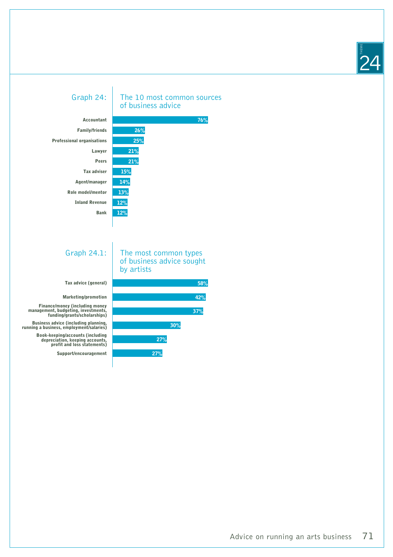$24$ 

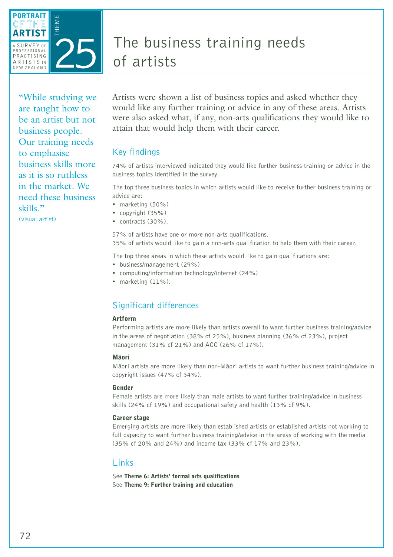

# The business training needs of artists

"While studying we are taught how to be an artist but not business people. Our training needs to emphasise business skills more as it is so ruthless in the market. We need these business skills."

(visual artist)

Artists were shown a list of business topics and asked whether they would like any further training or advice in any of these areas. Artists were also asked what, if any, non-arts qualifications they would like to attain that would help them with their career.

# Key findings

74% of artists interviewed indicated they would like further business training or advice in the business topics identified in the survey.

The top three business topics in which artists would like to receive further business training or advice are:

- marketing (50%)
- copyright (35%)
- contracts (30%).

57% of artists have one or more non-arts qualifications. 35% of artists would like to gain a non-arts qualification to help them with their career.

The top three areas in which these artists would like to gain qualifications are:

- business/management (29%)
- computing/information technology/internet (24%)
- marketing (11%).

# Significant differences

#### Artform

Performing artists are more likely than artists overall to want further business training/advice in the areas of negotiation (38% cf 25%), business planning (36% cf 23%), project management (31% cf 21%) and ACC (26% cf 17%).

#### Mäori

Mäori artists are more likely than non-Mäori artists to want further business training/advice in copyright issues (47% cf 34%).

#### Gender

Female artists are more likely than male artists to want further training/advice in business skills (24% cf 19%) and occupational safety and health (13% cf 9%).

#### Career stage

Emerging artists are more likely than established artists or established artists not working to full capacity to want further business training/advice in the areas of working with the media (35% cf 20% and 24%) and income tax (33% cf 17% and 23%).

### Links

See Theme 6: Artists' formal arts qualifications See Theme 9: Further training and education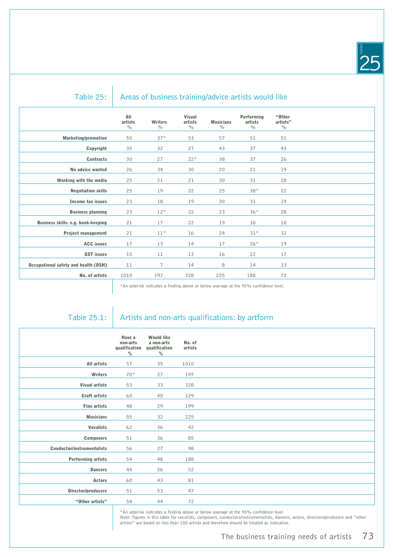

# Table 25: Areas of business training/advice artists would like

| All<br>artists<br>$\%$ | Writers<br>$\%$ | <b>Visual</b><br>artists<br>$\%$ | <b>Musicians</b><br>$\%$ | Performing<br>artists<br>$\%$ | "Other<br>artists"<br>$\frac{6}{6}$ |  |
|------------------------|-----------------|----------------------------------|--------------------------|-------------------------------|-------------------------------------|--|
| 50                     | $37*$           | 53                               | 57                       | 51                            | 51                                  |  |
| 35                     | 32              | 27                               | 43                       | 37                            | 43                                  |  |
| 30                     | 27              | $22*$                            | 38                       | 37                            | 26                                  |  |
| 26                     | 34              | 30                               | 20                       | 21                            | 19                                  |  |
| 25                     | 21              | 21                               | 30                       | 31                            | 28                                  |  |
| 25                     | 19              | 22                               | 25                       | $38*$                         | 22                                  |  |
| 23                     | 18              | 19                               | 30                       | 31                            | 19                                  |  |
| 23                     | $12*$           | 22                               | 23                       | $36*$                         | 28                                  |  |
| 21                     | 17              | 22                               | 19                       | 30                            | 18                                  |  |
| 21                     | $11*$           | 16                               | 24                       | $31*$                         | 32                                  |  |
| 17                     | 13              | 14                               | 17                       | $26*$                         | 19                                  |  |
| 15                     | 11              | 13                               | 16                       | 22                            | 17                                  |  |
| 11                     | $\overline{7}$  | 14                               | 8                        | 14                            | 13                                  |  |
| 1010                   | 197             | 328                              | 225                      | 188                           | 72                                  |  |
|                        |                 |                                  |                          |                               |                                     |  |

\*An asterisk indicates a finding above or below average at the 95% confidence level.

# Table 25.1: Artists and non-arts qualifications: by artform

| Have a<br>non-arts<br>qualification<br>$\%$ | <b>Would like</b><br>a non-arts<br>qualification<br>$\%$ | No. of<br>artists                      |
|---------------------------------------------|----------------------------------------------------------|----------------------------------------|
| 57                                          | 35                                                       | 1010                                   |
| $70*$                                       | 27                                                       | 197                                    |
| 53                                          | 33                                                       | 328                                    |
| 60                                          | 40                                                       | 129                                    |
| 48                                          |                                                          | 199                                    |
|                                             |                                                          | 225                                    |
| 62                                          | 36                                                       | 42                                     |
|                                             |                                                          | 85                                     |
| 56                                          | 27                                                       | 98                                     |
|                                             |                                                          | 188                                    |
| 44                                          |                                                          | 52                                     |
|                                             |                                                          | 81                                     |
|                                             |                                                          | 47                                     |
| 54                                          | 44                                                       | 72                                     |
|                                             | 55<br>51<br>54<br>60<br>51                               | 29<br>32<br>36<br>48<br>56<br>43<br>53 |

\*An asterisk indicates a finding above or below average at the 95% confidence level

Note: figures in this table for vocalists, composers, conductors/instrumentalists, dancers, actors, directors/producers and "other artists" are based on less than 100 artists and therefore should be treated as indicative.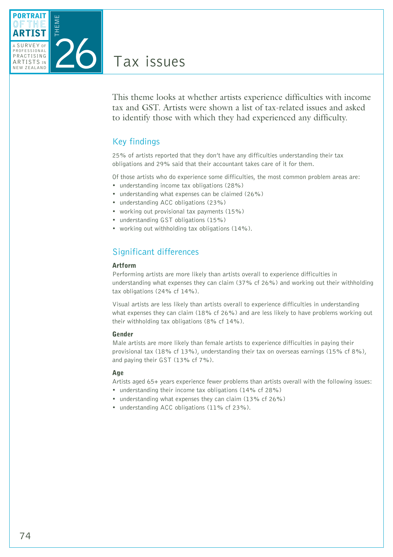Tax issues

This theme looks at whether artists experience difficulties with income tax and GST. Artists were shown a list of tax-related issues and asked to identify those with which they had experienced any difficulty.

### Key findings

25% of artists reported that they don't have any difficulties understanding their tax obligations and 29% said that their accountant takes care of it for them.

Of those artists who do experience some difficulties, the most common problem areas are:

- understanding income tax obligations (28%)
- understanding what expenses can be claimed (26%)
- understanding ACC obligations (23%)
- working out provisional tax payments (15%)
- understanding GST obligations (15%)
- working out withholding tax obligations (14%).

### Significant differences

#### Artform

Performing artists are more likely than artists overall to experience difficulties in understanding what expenses they can claim (37% cf 26%) and working out their withholding tax obligations (24% cf 14%).

Visual artists are less likely than artists overall to experience difficulties in understanding what expenses they can claim (18% cf 26%) and are less likely to have problems working out their withholding tax obligations (8% cf 14%).

#### Gender

Male artists are more likely than female artists to experience difficulties in paying their provisional tax (18% cf 13%), understanding their tax on overseas earnings (15% cf 8%), and paying their GST (13% cf 7%).

#### Age

Artists aged 65+ years experience fewer problems than artists overall with the following issues:

- understanding their income tax obligations (14% cf 28%)
- understanding what expenses they can claim (13% cf 26%)
- understanding ACC obligations (11% cf 23%).

PORTRAIT **OF THE** ARTIST A SURVEY OF PROFESSIONAL **PRACTISING** ARTISTS IN

NEW ZEALAND 26THEME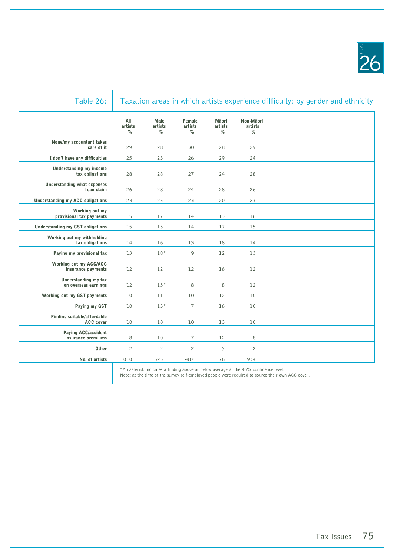| ∽ | an. | ١P |  |
|---|-----|----|--|

# Table 26: Taxation areas in which artists experience difficulty: by gender and ethnicity

|                                                     | All<br>artists<br>$\%$ | <b>Male</b><br>artists<br>$\%$ | Female<br>artists<br>$\%$ | Māori<br>artists<br>$\%$ | Non-Māori<br>artists<br>$\%$ |
|-----------------------------------------------------|------------------------|--------------------------------|---------------------------|--------------------------|------------------------------|
| None/my accountant takes                            |                        |                                |                           |                          |                              |
| care of it                                          | 29                     | 28                             | 30                        | 28                       | 29                           |
| I don't have any difficulties                       | 25                     | 23                             | 26                        | 29                       | 24                           |
| <b>Understanding my income</b><br>tax obligations   | 28                     | 28                             | 27                        | 24                       | 28                           |
| <b>Understanding what expenses</b><br>I can claim   | 26                     | 28                             | 24                        | 28                       | 26                           |
| <b>Understanding my ACC obligations</b>             | 23                     | 23                             | 23                        | 20                       | 23                           |
| Working out my<br>provisional tax payments          | 15                     | 17                             | 14                        | 13                       | 16                           |
| <b>Understanding my GST obligations</b>             | 15                     | 15                             | 14                        | 17                       | 15                           |
| Working out my withholding<br>tax obligations       | 14                     | 16                             | 13                        | 18                       | 14                           |
| Paying my provisional tax                           | 13                     | $18*$                          | 9                         | 12                       | 13                           |
| Working out my ACC/ACC<br>insurance payments        | 12                     | 12                             | 12                        | 16                       | 12                           |
| <b>Understanding my tax</b><br>on overseas earnings | 12                     | $15*$                          | 8                         | 8                        | 12                           |
| Working out my GST payments                         | 10                     | 11                             | 10                        | 12                       | 10                           |
| Paying my GST                                       | 10                     | $13*$                          | $\overline{7}$            | 16                       | 10                           |
| Finding suitable/affordable<br><b>ACC</b> cover     | 10                     | 10                             | 10                        | 13                       | 10                           |
| <b>Paying ACC/accident</b><br>insurance premiums    | 8                      | 10                             | $\overline{7}$            | 12                       | 8                            |
| <b>Other</b>                                        | $\overline{c}$         | $\overline{c}$                 | $\overline{c}$            | 3                        | $\overline{c}$               |
| No. of artists                                      | 1010                   | 523                            | 487                       | 76                       | 934                          |
|                                                     |                        |                                |                           |                          |                              |

\*An asterisk indicates a finding above or below average at the 95% confidence level.

Note: at the time of the survey self-employed people were required to source their own ACC cover.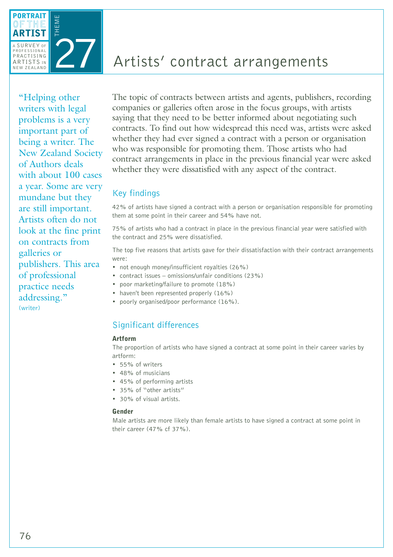

# Artists' contract arrangements

"Helping other writers with legal problems is a very important part of being a writer. The New Zealand Society of Authors deals with about 100 cases a year. Some are very mundane but they are still important. Artists often do not look at the fine print on contracts from galleries or publishers. This area of professional practice needs addressing." (writer)

The topic of contracts between artists and agents, publishers, recording companies or galleries often arose in the focus groups, with artists saying that they need to be better informed about negotiating such contracts. To find out how widespread this need was, artists were asked whether they had ever signed a contract with a person or organisation who was responsible for promoting them. Those artists who had contract arrangements in place in the previous financial year were asked whether they were dissatisfied with any aspect of the contract.

# Key findings

42% of artists have signed a contract with a person or organisation responsible for promoting them at some point in their career and 54% have not.

75% of artists who had a contract in place in the previous financial year were satisfied with the contract and 25% were dissatisfied.

The top five reasons that artists gave for their dissatisfaction with their contract arrangements were:

- not enough money/insufficient royalties (26%)
- contract issues omissions/unfair conditions (23%)
- poor marketing/failure to promote (18%)
- haven't been represented properly (16%)
- poorly organised/poor performance (16%).

# Significant differences

#### Artform

The proportion of artists who have signed a contract at some point in their career varies by artform:

- 55% of writers
- 48% of musicians
- 45% of performing artists
- 35% of "other artists"
- 30% of visual artists.

#### Gender

Male artists are more likely than female artists to have signed a contract at some point in their career (47% cf 37%).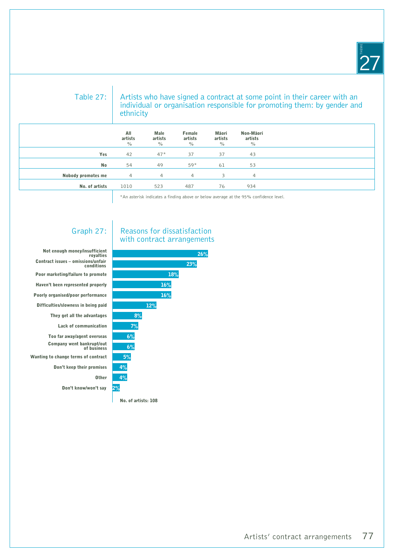Table 27:  $\vert$  Artists who have signed a contract at some point in their career with an individual or organisation responsible for promoting them: by gender and ethnicity

| All<br>artists<br>$\%$ | <b>Male</b><br>artists<br>$\%$ | <b>Female</b><br>artists<br>$\%$ | Māori<br>artists<br>$\%$ | Non-Māori<br>artists<br>$\%$ |  |
|------------------------|--------------------------------|----------------------------------|--------------------------|------------------------------|--|
| 42                     | $47*$                          | 37                               | 37                       | 43                           |  |
| 54                     | 49                             | $59*$                            | 61                       | 53                           |  |
| $\overline{4}$         | $\overline{4}$                 | $\overline{4}$                   | $\mathbf{z}$             | $\Delta$                     |  |
| 1010                   | 523                            | 487                              | 76                       | 934                          |  |
|                        |                                |                                  |                          |                              |  |

\*An asterisk indicates a finding above or below average at the 95% confidence level.

**Other** Don't keep their promises Wanting to change terms of contract Company went bankrupt/out of business Too far away/agent overseas Lack of communication They get all the advantages Difficulties/slowness in being paid Poorly organised/poor performance Haven't been represented properly Poor marketing/failure to promote Contract issues – omissions/unfair conditions Not enough money/insufficient royalties

Don't know/won't say

26% 23% 18% 16% 16% 12% 8% 7% 6% 6% 5% 4% 4% 2% No. of artists: 108

### Graph 27: Reasons for dissatisfaction with contract arrangements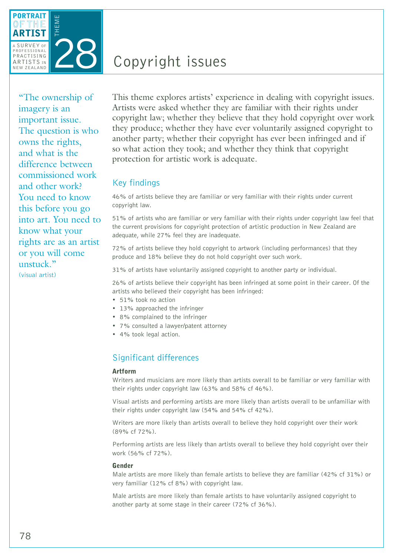

# Copyright issues

"The ownership of imagery is an important issue. The question is who owns the rights, and what is the difference between commissioned work and other work? You need to know this before you go into art. You need to know what your rights are as an artist or you will come unstuck." (visual artist)

This theme explores artists' experience in dealing with copyright issues. Artists were asked whether they are familiar with their rights under copyright law; whether they believe that they hold copyright over work they produce; whether they have ever voluntarily assigned copyright to another party; whether their copyright has ever been infringed and if so what action they took; and whether they think that copyright protection for artistic work is adequate.

### Key findings

46% of artists believe they are familiar or very familiar with their rights under current copyright law.

51% of artists who are familiar or very familiar with their rights under copyright law feel that the current provisions for copyright protection of artistic production in New Zealand are adequate, while 27% feel they are inadequate.

72% of artists believe they hold copyright to artwork (including performances) that they produce and 18% believe they do not hold copyright over such work.

31% of artists have voluntarily assigned copyright to another party or individual.

26% of artists believe their copyright has been infringed at some point in their career. Of the artists who believed their copyright has been infringed:

- 51% took no action
- 13% approached the infringer
- 8% complained to the infringer
- 7% consulted a lawyer/patent attorney
- 4% took legal action.

# Significant differences

#### Artform

Writers and musicians are more likely than artists overall to be familiar or very familiar with their rights under copyright law (63% and 58% cf 46%).

Visual artists and performing artists are more likely than artists overall to be unfamiliar with their rights under copyright law (54% and 54% cf 42%).

Writers are more likely than artists overall to believe they hold copyright over their work (89% cf 72%).

Performing artists are less likely than artists overall to believe they hold copyright over their work (56% cf 72%).

#### Gender

Male artists are more likely than female artists to believe they are familiar (42% cf 31%) or very familiar (12% cf 8%) with copyright law.

Male artists are more likely than female artists to have voluntarily assigned copyright to another party at some stage in their career (72% cf 36%).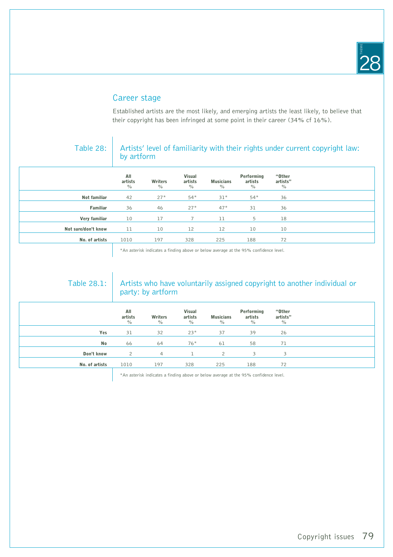

# Career stage

Established artists are the most likely, and emerging artists the least likely, to believe that their copyright has been infringed at some point in their career (34% cf 16%).

### Table 28: Artists' level of familiarity with their rights under current copyright law: by artform

|                     | All<br>artists<br>$\%$ | Writers<br>$\frac{1}{2}$ | <b>Visual</b><br>artists<br>$\%$ | <b>Musicians</b><br>$\%$ | Performing<br>artists<br>$\%$ | "Other<br>artists"<br>$\frac{1}{2}$ |  |
|---------------------|------------------------|--------------------------|----------------------------------|--------------------------|-------------------------------|-------------------------------------|--|
| Not familiar        | 42                     | $27*$                    | $54*$                            | $31*$                    | $54*$                         | 36                                  |  |
| <b>Familiar</b>     | 36                     | 46                       | $27*$                            | $47*$                    | 31                            | 36                                  |  |
| Very familiar       | 10                     | 17                       |                                  | 11                       | 5                             | 18                                  |  |
| Not sure/don't know | 11                     | 10                       | 12                               | 12                       | 10                            | 10                                  |  |
| No. of artists      | 1010                   | 197                      | 328                              | 225                      | 188                           | 72                                  |  |

\*An asterisk indicates a finding above or below average at the 95% confidence level.

#### Table 28.1: Artists who have voluntarily assigned copyright to another individual or party: by artform

|                | All<br>artists<br>$\%$ | Writers<br>$\%$ | <b>Visual</b><br>artists<br>$\%$ | <b>Musicians</b><br>$\%$ | Performing<br>artists<br>$\%$ | "Other<br>artists"<br>$\%$ |  |
|----------------|------------------------|-----------------|----------------------------------|--------------------------|-------------------------------|----------------------------|--|
| Yes            | 31                     | 32              | $23*$                            | 37                       | 39                            | 26                         |  |
| No             | 66                     | 64              | $76*$                            | 61                       | 58                            | 71                         |  |
| Don't know     | $\overline{c}$         | 4               |                                  | $\mathcal{P}$            |                               |                            |  |
| No. of artists | 1010                   | 197             | 328                              | 225                      | 188                           | 72                         |  |

\*An asterisk indicates a finding above or below average at the 95% confidence level.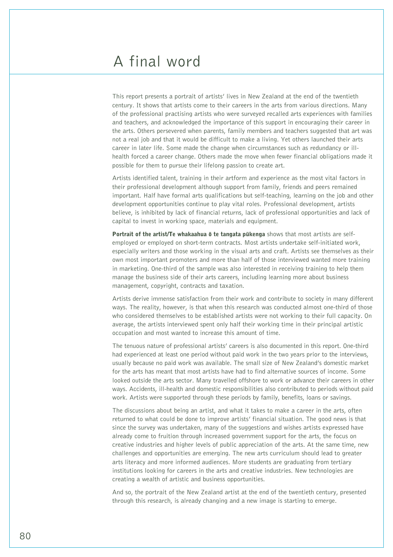# A final word

This report presents a portrait of artists' lives in New Zealand at the end of the twentieth century. It shows that artists come to their careers in the arts from various directions. Many of the professional practising artists who were surveyed recalled arts experiences with families and teachers, and acknowledged the importance of this support in encouraging their career in the arts. Others persevered when parents, family members and teachers suggested that art was not a real job and that it would be difficult to make a living. Yet others launched their arts career in later life. Some made the change when circumstances such as redundancy or illhealth forced a career change. Others made the move when fewer financial obligations made it possible for them to pursue their lifelong passion to create art.

Artists identified talent, training in their artform and experience as the most vital factors in their professional development although support from family, friends and peers remained important. Half have formal arts qualifications but self-teaching, learning on the job and other development opportunities continue to play vital roles. Professional development, artists believe, is inhibited by lack of financial returns, lack of professional opportunities and lack of capital to invest in working space, materials and equipment.

Portrait of the artist/Te whakaahua  $\bar{o}$  te tangata pukenga shows that most artists are selfemployed or employed on short-term contracts. Most artists undertake self-initiated work, especially writers and those working in the visual arts and craft. Artists see themselves as their own most important promoters and more than half of those interviewed wanted more training in marketing. One-third of the sample was also interested in receiving training to help them manage the business side of their arts careers, including learning more about business management, copyright, contracts and taxation.

Artists derive immense satisfaction from their work and contribute to society in many different ways. The reality, however, is that when this research was conducted almost one-third of those who considered themselves to be established artists were not working to their full capacity. On average, the artists interviewed spent only half their working time in their principal artistic occupation and most wanted to increase this amount of time.

The tenuous nature of professional artists' careers is also documented in this report. One-third had experienced at least one period without paid work in the two years prior to the interviews, usually because no paid work was available. The small size of New Zealand's domestic market for the arts has meant that most artists have had to find alternative sources of income. Some looked outside the arts sector. Many travelled offshore to work or advance their careers in other ways. Accidents, ill-health and domestic responsibilities also contributed to periods without paid work. Artists were supported through these periods by family, benefits, loans or savings.

The discussions about being an artist, and what it takes to make a career in the arts, often returned to what could be done to improve artists' financial situation. The good news is that since the survey was undertaken, many of the suggestions and wishes artists expressed have already come to fruition through increased government support for the arts, the focus on creative industries and higher levels of public appreciation of the arts. At the same time, new challenges and opportunities are emerging. The new arts curriculum should lead to greater arts literacy and more informed audiences. More students are graduating from tertiary institutions looking for careers in the arts and creative industries. New technologies are creating a wealth of artistic and business opportunities.

And so, the portrait of the New Zealand artist at the end of the twentieth century, presented through this research, is already changing and a new image is starting to emerge.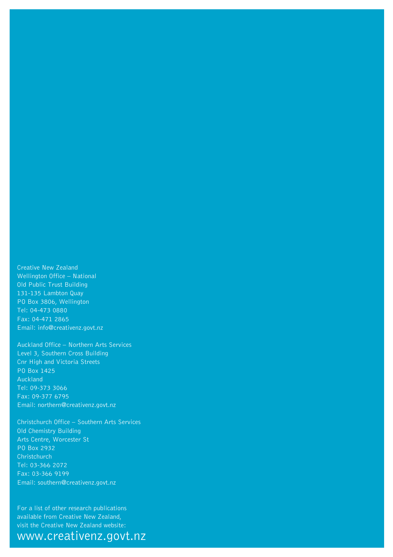Creative New Zealand Wellington Office – National Old Public Trust Building 131-135 Lambton Quay PO Box 3806, Wellington Tel: 04-473 0880 Fax: 04-471 2865 Email: info@creativenz.govt.nz

Auckland Office – Northern Arts Services Level 3, Southern Cross Building Cnr High and Victoria Streets PO Box 1425 Auckland Tel: 09-373 3066 Fax: 09-377 6795 Email: northern@creativenz.govt.nz

Christchurch Office – Southern Arts Services Old Chemistry Building Arts Centre, Worcester St PO Box 2932 **Christchurch** Tel: 03-366 2072 Fax: 03-366 9199 Email: southern@creativenz.govt.nz

For a list of other research publications available from Creative New Zealand, visit the Creative New Zealand website: www.creativenz.govt.nz